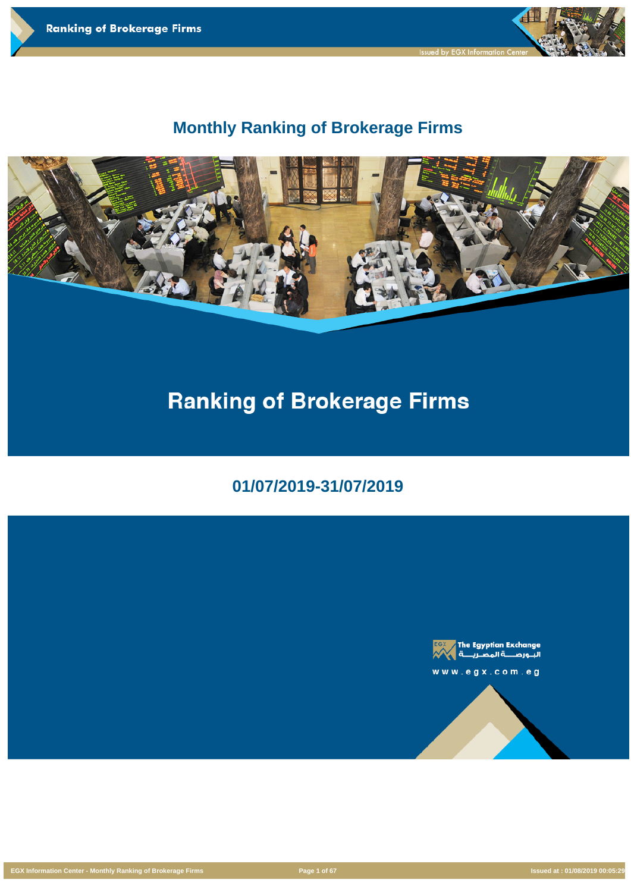

# **Monthly Ranking of Brokerage Firms**



# **Ranking of Brokerage Firms**

**01/07/2019-31/07/2019**



**EGX** The Egyptian Exchange



www.egx.com.eg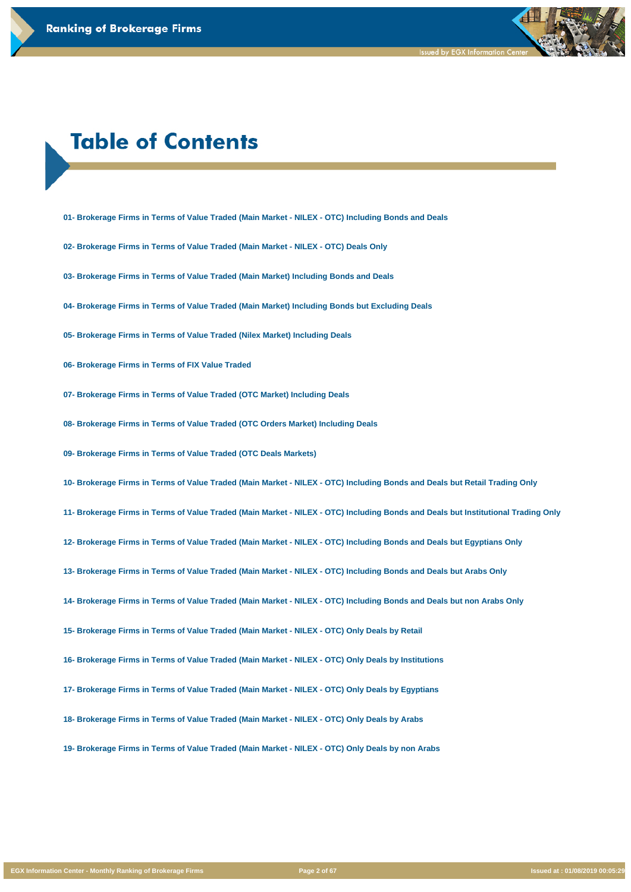# **Table of Contents**

- **01- Brokerage Firms in Terms of Value Traded (Main Market NILEX OTC) Including Bonds and Deals**
- **02- Brokerage Firms in Terms of Value Traded (Main Market NILEX OTC) Deals Only**
- **03- Brokerage Firms in Terms of Value Traded (Main Market) Including Bonds and Deals**
- **04- Brokerage Firms in Terms of Value Traded (Main Market) Including Bonds but Excluding Deals**
- **05- Brokerage Firms in Terms of Value Traded (Nilex Market) Including Deals**
- **06- Brokerage Firms in Terms of FIX Value Traded**
- **07- Brokerage Firms in Terms of Value Traded (OTC Market) Including Deals**
- **08- Brokerage Firms in Terms of Value Traded (OTC Orders Market) Including Deals**
- **09- Brokerage Firms in Terms of Value Traded (OTC Deals Markets)**
- **10- Brokerage Firms in Terms of Value Traded (Main Market NILEX OTC) Including Bonds and Deals but Retail Trading Only**
- **11- Brokerage Firms in Terms of Value Traded (Main Market NILEX OTC) Including Bonds and Deals but Institutional Trading Only**
- **12- Brokerage Firms in Terms of Value Traded (Main Market NILEX OTC) Including Bonds and Deals but Egyptians Only**
- **13- Brokerage Firms in Terms of Value Traded (Main Market NILEX OTC) Including Bonds and Deals but Arabs Only**
- **14- Brokerage Firms in Terms of Value Traded (Main Market NILEX OTC) Including Bonds and Deals but non Arabs Only**
- **15- Brokerage Firms in Terms of Value Traded (Main Market NILEX OTC) Only Deals by Retail**

**16- Brokerage Firms in Terms of Value Traded (Main Market - NILEX - OTC) Only Deals by Institutions**

**17- Brokerage Firms in Terms of Value Traded (Main Market - NILEX - OTC) Only Deals by Egyptians**

**18- Brokerage Firms in Terms of Value Traded (Main Market - NILEX - OTC) Only Deals by Arabs**

**19- Brokerage Firms in Terms of Value Traded (Main Market - NILEX - OTC) Only Deals by non Arabs**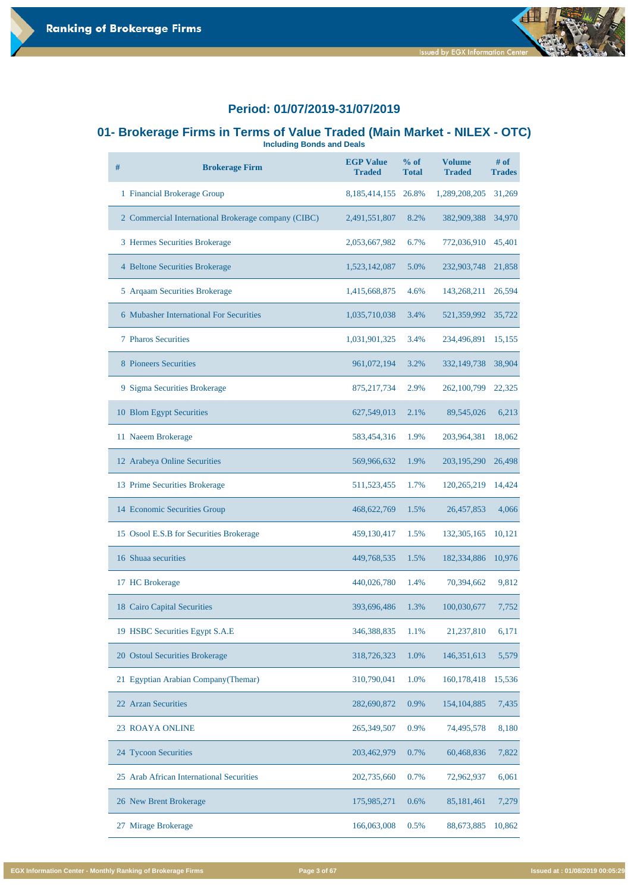

# **01- Brokerage Firms in Terms of Value Traded (Main Market - NILEX - OTC)**

**Including Bonds and Deals**

| # | <b>Brokerage Firm</b>                               | <b>EGP Value</b><br><b>Traded</b> | % of<br><b>Total</b> | <b>Volume</b><br><b>Traded</b> | # of<br><b>Trades</b> |
|---|-----------------------------------------------------|-----------------------------------|----------------------|--------------------------------|-----------------------|
|   | 1 Financial Brokerage Group                         | 8, 185, 414, 155                  | 26.8%                | 1,289,208,205                  | 31,269                |
|   | 2 Commercial International Brokerage company (CIBC) | 2,491,551,807                     | 8.2%                 | 382,909,388                    | 34,970                |
|   | 3 Hermes Securities Brokerage                       | 2,053,667,982                     | 6.7%                 | 772,036,910                    | 45,401                |
|   | 4 Beltone Securities Brokerage                      | 1,523,142,087                     | 5.0%                 | 232,903,748                    | 21,858                |
|   | 5 Argaam Securities Brokerage                       | 1,415,668,875                     | 4.6%                 | 143,268,211                    | 26,594                |
|   | 6 Mubasher International For Securities             | 1,035,710,038                     | 3.4%                 | 521,359,992                    | 35,722                |
|   | <b>7 Pharos Securities</b>                          | 1,031,901,325                     | 3.4%                 | 234,496,891                    | 15,155                |
|   | 8 Pioneers Securities                               | 961,072,194                       | 3.2%                 | 332,149,738                    | 38,904                |
|   | 9 Sigma Securities Brokerage                        | 875, 217, 734                     | 2.9%                 | 262,100,799                    | 22,325                |
|   | 10 Blom Egypt Securities                            | 627,549,013                       | 2.1%                 | 89,545,026                     | 6,213                 |
|   | 11 Naeem Brokerage                                  | 583,454,316                       | 1.9%                 | 203,964,381                    | 18,062                |
|   | 12 Arabeya Online Securities                        | 569,966,632                       | 1.9%                 | 203, 195, 290                  | 26,498                |
|   | 13 Prime Securities Brokerage                       | 511,523,455                       | 1.7%                 | 120,265,219                    | 14,424                |
|   | 14 Economic Securities Group                        | 468, 622, 769                     | 1.5%                 | 26,457,853                     | 4,066                 |
|   | 15 Osool E.S.B for Securities Brokerage             | 459,130,417                       | 1.5%                 | 132, 305, 165                  | 10,121                |
|   | 16 Shuaa securities                                 | 449,768,535                       | 1.5%                 | 182,334,886                    | 10,976                |
|   | 17 HC Brokerage                                     | 440,026,780                       | 1.4%                 | 70,394,662                     | 9,812                 |
|   | 18 Cairo Capital Securities                         | 393,696,486                       | 1.3%                 | 100,030,677                    | 7,752                 |
|   | 19 HSBC Securities Egypt S.A.E                      | 346,388,835                       | 1.1%                 | 21,237,810                     | 6,171                 |

| 20 Ostoul Securities Brokerage                     | 318,726,323   | 1.0% | 146, 351, 613 | 5,579  |
|----------------------------------------------------|---------------|------|---------------|--------|
| 21 Egyptian Arabian Company (Themar)               | 310,790,041   | 1.0% | 160, 178, 418 | 15,536 |
| 22 Arzan Securities                                | 282,690,872   | 0.9% | 154, 104, 885 | 7,435  |
| <b>23 ROAYA ONLINE</b>                             | 265, 349, 507 | 0.9% | 74,495,578    | 8,180  |
| 24 Tycoon Securities                               | 203,462,979   | 0.7% | 60,468,836    | 7,822  |
| <b>Arab African International Securities</b><br>25 | 202,735,660   | 0.7% | 72,962,937    | 6,061  |
| 26 New Brent Brokerage                             | 175,985,271   | 0.6% | 85,181,461    | 7,279  |
| 27 Mirage Brokerage                                | 166,063,008   | 0.5% | 88,673,885    | 10,862 |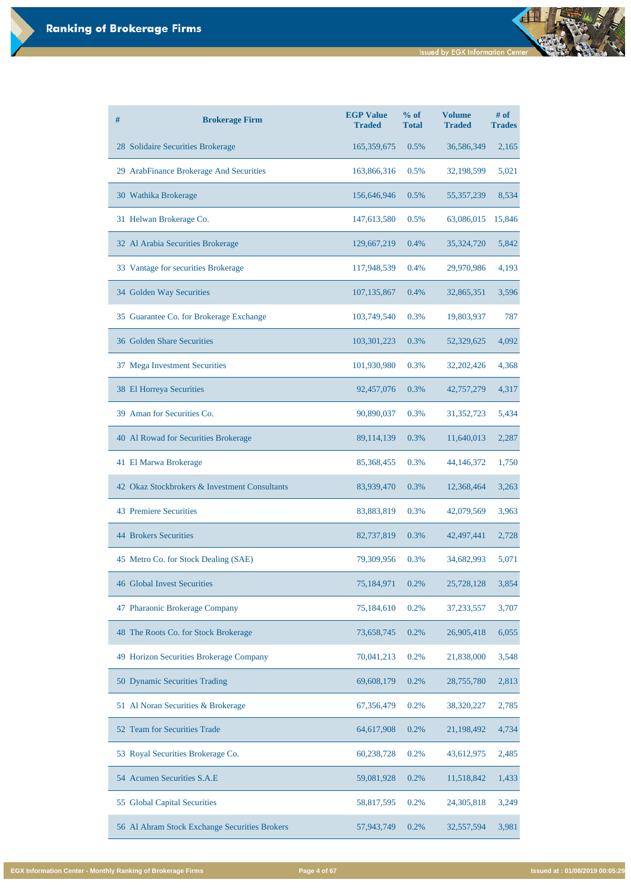**Issued by EGX Information Center** 

| # | <b>Brokerage Firm</b>                         | <b>EGP Value</b><br><b>Traded</b> | % of<br><b>Total</b> | <b>Volume</b><br><b>Traded</b> | $#$ of<br><b>Trades</b> |
|---|-----------------------------------------------|-----------------------------------|----------------------|--------------------------------|-------------------------|
|   | 28 Solidaire Securities Brokerage             | 165,359,675                       | 0.5%                 | 36,586,349                     | 2,165                   |
|   | 29 ArabFinance Brokerage And Securities       | 163,866,316                       | 0.5%                 | 32,198,599                     | 5,021                   |
|   | 30 Wathika Brokerage                          | 156,646,946                       | 0.5%                 | 55, 357, 239                   | 8,534                   |
|   | 31 Helwan Brokerage Co.                       | 147,613,580                       | 0.5%                 | 63,086,015                     | 15,846                  |
|   | 32 Al Arabia Securities Brokerage             | 129,667,219                       | 0.4%                 | 35,324,720                     | 5,842                   |
|   | 33 Vantage for securities Brokerage           | 117,948,539                       | 0.4%                 | 29,970,986                     | 4,193                   |
|   | 34 Golden Way Securities                      | 107,135,867                       | 0.4%                 | 32,865,351                     | 3,596                   |
|   | 35 Guarantee Co. for Brokerage Exchange       | 103,749,540                       | 0.3%                 | 19,803,937                     | 787                     |
|   | 36 Golden Share Securities                    | 103,301,223                       | 0.3%                 | 52,329,625                     | 4,092                   |
|   | 37 Mega Investment Securities                 | 101,930,980                       | 0.3%                 | 32,202,426                     | 4,368                   |
|   | 38 El Horreya Securities                      | 92,457,076                        | 0.3%                 | 42,757,279                     | 4,317                   |
|   | 39 Aman for Securities Co.                    | 90,890,037                        | 0.3%                 | 31,352,723                     | 5,434                   |
|   | 40 Al Rowad for Securities Brokerage          | 89,114,139                        | 0.3%                 | 11,640,013                     | 2,287                   |
|   | 41 El Marwa Brokerage                         | 85,368,455                        | 0.3%                 | 44,146,372                     | 1,750                   |
|   | 42 Okaz Stockbrokers & Investment Consultants | 83,939,470                        | 0.3%                 | 12,368,464                     | 3,263                   |
|   | <b>43 Premiere Securities</b>                 | 83,883,819                        | 0.3%                 | 42,079,569                     | 3,963                   |
|   | <b>44 Brokers Securities</b>                  | 82,737,819                        | 0.3%                 | 42,497,441                     | 2,728                   |
|   | 45 Metro Co. for Stock Dealing (SAE)          | 79,309,956                        | 0.3%                 | 34,682,993                     | 5,071                   |
|   | <b>46 Global Invest Securities</b>            | 75,184,971                        | 0.2%                 | 25,728,128                     | 3,854                   |
|   | 47 Pharaonic Brokerage Company                | 75,184,610                        | 0.2%                 | 37, 233, 557                   | 3,707                   |
|   | 48 The Roots Co. for Stock Brokerage          | 73,658,745                        | 0.2%                 | 26,905,418                     | 6,055                   |

| 49 Horizon Securities Brokerage Company       | 70,041,213 | 0.2%    | 21,838,000 | 3,548 |
|-----------------------------------------------|------------|---------|------------|-------|
| 50 Dynamic Securities Trading                 | 69,608,179 | $0.2\%$ | 28,755,780 | 2,813 |
| 51 Al Noran Securities & Brokerage            | 67,356,479 | 0.2%    | 38,320,227 | 2,785 |
| 52 Team for Securities Trade                  | 64,617,908 | 0.2%    | 21,198,492 | 4,734 |
| 53 Royal Securities Brokerage Co.             | 60,238,728 | 0.2%    | 43,612,975 | 2,485 |
| 54 Acumen Securities S.A.E                    | 59,081,928 | 0.2%    | 11,518,842 | 1,433 |
| 55 Global Capital Securities                  | 58,817,595 | 0.2%    | 24,305,818 | 3,249 |
| 56 Al Ahram Stock Exchange Securities Brokers | 57,943,749 | 0.2%    | 32,557,594 | 3,981 |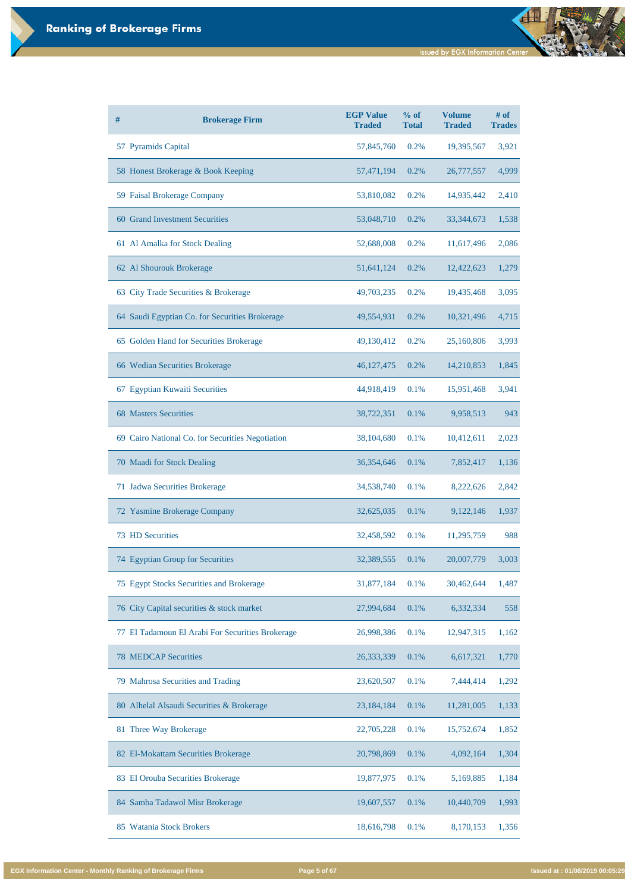| # | <b>Brokerage Firm</b>                            | <b>EGP Value</b><br><b>Traded</b> | $%$ of<br><b>Total</b> | <b>Volume</b><br><b>Traded</b> | # of<br><b>Trades</b> |
|---|--------------------------------------------------|-----------------------------------|------------------------|--------------------------------|-----------------------|
|   | 57 Pyramids Capital                              | 57,845,760                        | 0.2%                   | 19,395,567                     | 3,921                 |
|   | 58 Honest Brokerage & Book Keeping               | 57,471,194                        | 0.2%                   | 26,777,557                     | 4,999                 |
|   | 59 Faisal Brokerage Company                      | 53,810,082                        | 0.2%                   | 14,935,442                     | 2,410                 |
|   | 60 Grand Investment Securities                   | 53,048,710                        | 0.2%                   | 33, 344, 673                   | 1,538                 |
|   | 61 Al Amalka for Stock Dealing                   | 52,688,008                        | 0.2%                   | 11,617,496                     | 2,086                 |
|   | 62 Al Shourouk Brokerage                         | 51,641,124                        | 0.2%                   | 12,422,623                     | 1,279                 |
|   | 63 City Trade Securities & Brokerage             | 49,703,235                        | 0.2%                   | 19,435,468                     | 3,095                 |
|   | 64 Saudi Egyptian Co. for Securities Brokerage   | 49,554,931                        | 0.2%                   | 10,321,496                     | 4,715                 |
|   | 65 Golden Hand for Securities Brokerage          | 49,130,412                        | 0.2%                   | 25,160,806                     | 3,993                 |
|   | 66 Wedian Securities Brokerage                   | 46, 127, 475                      | 0.2%                   | 14,210,853                     | 1,845                 |
|   | 67 Egyptian Kuwaiti Securities                   | 44,918,419                        | 0.1%                   | 15,951,468                     | 3,941                 |
|   | <b>68 Masters Securities</b>                     | 38,722,351                        | 0.1%                   | 9,958,513                      | 943                   |
|   | 69 Cairo National Co. for Securities Negotiation | 38,104,680                        | 0.1%                   | 10,412,611                     | 2,023                 |
|   | 70 Maadi for Stock Dealing                       | 36,354,646                        | 0.1%                   | 7,852,417                      | 1,136                 |
|   | 71 Jadwa Securities Brokerage                    | 34,538,740                        | 0.1%                   | 8,222,626                      | 2,842                 |
|   | 72 Yasmine Brokerage Company                     | 32,625,035                        | 0.1%                   | 9,122,146                      | 1,937                 |
|   | <b>73 HD Securities</b>                          | 32,458,592                        | 0.1%                   | 11,295,759                     | 988                   |
|   | 74 Egyptian Group for Securities                 | 32,389,555                        | 0.1%                   | 20,007,779                     | 3,003                 |
|   | 75 Egypt Stocks Securities and Brokerage         | 31,877,184                        | 0.1%                   | 30,462,644                     | 1,487                 |
|   | 76 City Capital securities & stock market        | 27,994,684                        | 0.1%                   | 6,332,334                      | 558                   |
|   | 77 El Tadamoun El Arabi For Securities Brokerage | 26,998,386                        | 0.1%                   | 12,947,315                     | 1,162                 |

| <b>78 MEDCAP Securities</b>               | 26,333,339   | 0.1%    | 6,617,321  | 1,770 |
|-------------------------------------------|--------------|---------|------------|-------|
| 79 Mahrosa Securities and Trading         | 23,620,507   | 0.1%    | 7,444,414  | 1,292 |
| 80 Alhelal Alsaudi Securities & Brokerage | 23, 184, 184 | $0.1\%$ | 11,281,005 | 1,133 |
| <b>Three Way Brokerage</b><br>81          | 22,705,228   | 0.1%    | 15,752,674 | 1,852 |
| 82 El-Mokattam Securities Brokerage       | 20,798,869   | 0.1%    | 4,092,164  | 1,304 |
| 83 El Orouba Securities Brokerage         | 19,877,975   | 0.1%    | 5,169,885  | 1,184 |
| 84 Samba Tadawol Misr Brokerage           | 19,607,557   | 0.1%    | 10,440,709 | 1,993 |
| <b>Watania Stock Brokers</b><br>85        | 18,616,798   | 0.1%    | 8,170,153  | 1,356 |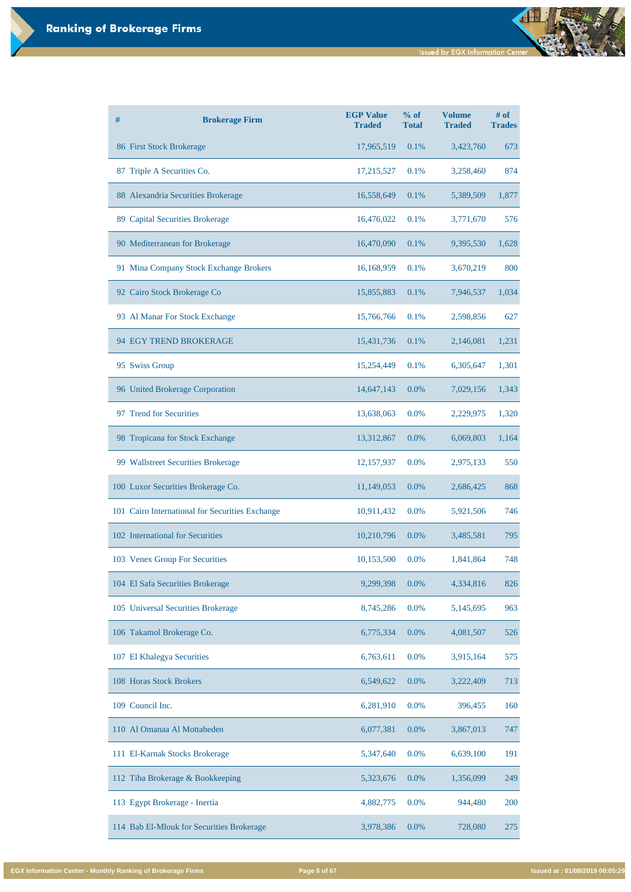đ

| # | <b>Brokerage Firm</b>                           | <b>EGP Value</b><br><b>Traded</b> | $%$ of<br><b>Total</b> | <b>Volume</b><br><b>Traded</b> | # of<br><b>Trades</b> |
|---|-------------------------------------------------|-----------------------------------|------------------------|--------------------------------|-----------------------|
|   | 86 First Stock Brokerage                        | 17,965,519                        | 0.1%                   | 3,423,760                      | 673                   |
|   | 87 Triple A Securities Co.                      | 17,215,527                        | 0.1%                   | 3,258,460                      | 874                   |
|   | 88 Alexandria Securities Brokerage              | 16,558,649                        | 0.1%                   | 5,389,509                      | 1,877                 |
|   | 89 Capital Securities Brokerage                 | 16,476,022                        | 0.1%                   | 3,771,670                      | 576                   |
|   | 90 Mediterranean for Brokerage                  | 16,470,090                        | 0.1%                   | 9,395,530                      | 1,628                 |
|   | 91 Mina Company Stock Exchange Brokers          | 16,168,959                        | 0.1%                   | 3,670,219                      | 800                   |
|   | 92 Cairo Stock Brokerage Co                     | 15,855,883                        | 0.1%                   | 7,946,537                      | 1,034                 |
|   | 93 Al Manar For Stock Exchange                  | 15,766,766                        | 0.1%                   | 2,598,856                      | 627                   |
|   | 94 EGY TREND BROKERAGE                          | 15,431,736                        | 0.1%                   | 2,146,081                      | 1,231                 |
|   | 95 Swiss Group                                  | 15,254,449                        | 0.1%                   | 6,305,647                      | 1,301                 |
|   | 96 United Brokerage Corporation                 | 14,647,143                        | 0.0%                   | 7,029,156                      | 1,343                 |
|   | 97 Trend for Securities                         | 13,638,063                        | 0.0%                   | 2,229,975                      | 1,320                 |
|   | 98 Tropicana for Stock Exchange                 | 13,312,867                        | 0.0%                   | 6,069,803                      | 1,164                 |
|   | 99 Wallstreet Securities Brokerage              | 12,157,937                        | 0.0%                   | 2,975,133                      | 550                   |
|   | 100 Luxor Securities Brokerage Co.              | 11,149,053                        | 0.0%                   | 2,686,425                      | 868                   |
|   | 101 Cairo International for Securities Exchange | 10,911,432                        | 0.0%                   | 5,921,506                      | 746                   |
|   | 102 International for Securities                | 10,210,796                        | 0.0%                   | 3,485,581                      | 795                   |
|   | 103 Venex Group For Securities                  | 10,153,500                        | 0.0%                   | 1,841,864                      | 748                   |
|   | 104 El Safa Securities Brokerage                | 9,299,398                         | 0.0%                   | 4,334,816                      | 826                   |
|   | 105 Universal Securities Brokerage              | 8,745,286                         | 0.0%                   | 5,145,695                      | 963                   |
|   | 106 Takamol Brokerage Co.                       | 6,775,334                         | 0.0%                   | 4,081,507                      | 526                   |

| 107 El Khalegya Securities                | 6,763,611 | $0.0\%$ | 3,915,164 | 575 |
|-------------------------------------------|-----------|---------|-----------|-----|
| 108 Horas Stock Brokers                   | 6,549,622 | $0.0\%$ | 3,222,409 | 713 |
| 109 Council Inc.                          | 6,281,910 | $0.0\%$ | 396,455   | 160 |
| 110 Al Omanaa Al Mottaheden               | 6,077,381 | $0.0\%$ | 3,867,013 | 747 |
| 111 El-Karnak Stocks Brokerage            | 5,347,640 | $0.0\%$ | 6,639,100 | 191 |
| 112 Tiba Brokerage & Bookkeeping          | 5,323,676 | $0.0\%$ | 1,356,099 | 249 |
| 113 Egypt Brokerage - Inertia             | 4,882,775 | $0.0\%$ | 944,480   | 200 |
| 114 Bab El-Mlouk for Securities Brokerage | 3,978,386 | 0.0%    | 728,080   | 275 |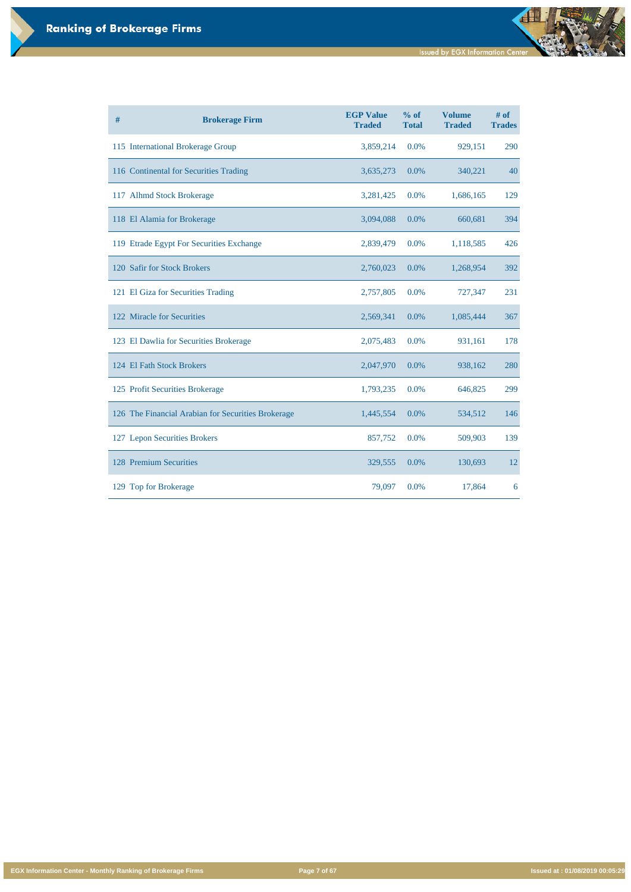**Issued by EGX Information Center** 

d

**EGX Information Center - Monthly Ranking of Brokerage Firms Page 7 of 67 Issued at : 01/08/2019 00:05:29**

| # | <b>Brokerage Firm</b>                              | <b>EGP Value</b><br><b>Traded</b> | $%$ of<br><b>Total</b> | <b>Volume</b><br><b>Traded</b> | # of<br><b>Trades</b> |
|---|----------------------------------------------------|-----------------------------------|------------------------|--------------------------------|-----------------------|
|   | 115 International Brokerage Group                  | 3,859,214                         | 0.0%                   | 929,151                        | 290                   |
|   | 116 Continental for Securities Trading             | 3,635,273                         | $0.0\%$                | 340,221                        | 40                    |
|   | 117 Alhmd Stock Brokerage                          | 3,281,425                         | 0.0%                   | 1,686,165                      | 129                   |
|   | 118 El Alamia for Brokerage                        | 3,094,088                         | $0.0\%$                | 660,681                        | 394                   |
|   | 119 Etrade Egypt For Securities Exchange           | 2,839,479                         | 0.0%                   | 1,118,585                      | 426                   |
|   | 120 Safir for Stock Brokers                        | 2,760,023                         | $0.0\%$                | 1,268,954                      | 392                   |
|   | 121 El Giza for Securities Trading                 | 2,757,805                         | 0.0%                   | 727,347                        | 231                   |
|   | 122 Miracle for Securities                         | 2,569,341                         | 0.0%                   | 1,085,444                      | 367                   |
|   | 123 El Dawlia for Securities Brokerage             | 2,075,483                         | 0.0%                   | 931,161                        | 178                   |
|   | 124 El Fath Stock Brokers                          | 2,047,970                         | 0.0%                   | 938,162                        | 280                   |
|   | 125 Profit Securities Brokerage                    | 1,793,235                         | 0.0%                   | 646,825                        | 299                   |
|   | 126 The Financial Arabian for Securities Brokerage | 1,445,554                         | 0.0%                   | 534,512                        | 146                   |
|   | 127 Lepon Securities Brokers                       | 857,752                           | 0.0%                   | 509,903                        | 139                   |
|   | 128 Premium Securities                             | 329,555                           | 0.0%                   | 130,693                        | 12                    |
|   | 129 Top for Brokerage                              | 79,097                            | 0.0%                   | 17,864                         | 6                     |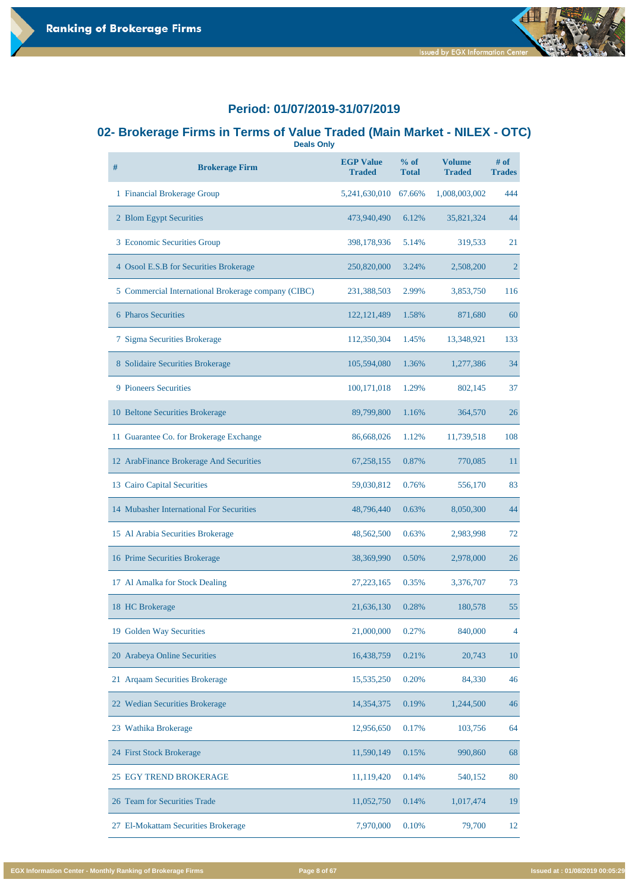#### **02- Brokerage Firms in Terms of Value Traded (Main Market - NILEX - OTC) Deals Only**

| #  | <b>Brokerage Firm</b>                               | <b>EGP Value</b><br><b>Traded</b> | % of<br><b>Total</b> | <b>Volume</b><br><b>Traded</b> | $#$ of<br><b>Trades</b> |
|----|-----------------------------------------------------|-----------------------------------|----------------------|--------------------------------|-------------------------|
|    | 1 Financial Brokerage Group                         | 5,241,630,010                     | 67.66%               | 1,008,003,002                  | 444                     |
|    | 2 Blom Egypt Securities                             | 473,940,490                       | 6.12%                | 35,821,324                     | 44                      |
|    | 3 Economic Securities Group                         | 398,178,936                       | 5.14%                | 319,533                        | 21                      |
|    | 4 Osool E.S.B for Securities Brokerage              | 250,820,000                       | 3.24%                | 2,508,200                      | $\overline{2}$          |
|    | 5 Commercial International Brokerage company (CIBC) | 231,388,503                       | 2.99%                | 3,853,750                      | 116                     |
|    | <b>6 Pharos Securities</b>                          | 122, 121, 489                     | 1.58%                | 871,680                        | 60                      |
|    | 7 Sigma Securities Brokerage                        | 112,350,304                       | 1.45%                | 13,348,921                     | 133                     |
|    | 8 Solidaire Securities Brokerage                    | 105,594,080                       | 1.36%                | 1,277,386                      | 34                      |
|    | <b>9 Pioneers Securities</b>                        | 100,171,018                       | 1.29%                | 802,145                        | 37                      |
|    | 10 Beltone Securities Brokerage                     | 89,799,800                        | 1.16%                | 364,570                        | 26                      |
|    | 11 Guarantee Co. for Brokerage Exchange             | 86,668,026                        | 1.12%                | 11,739,518                     | 108                     |
|    | 12 ArabFinance Brokerage And Securities             | 67,258,155                        | 0.87%                | 770,085                        | 11                      |
| 13 | <b>Cairo Capital Securities</b>                     | 59,030,812                        | 0.76%                | 556,170                        | 83                      |
|    | 14 Mubasher International For Securities            | 48,796,440                        | 0.63%                | 8,050,300                      | 44                      |
|    | 15 Al Arabia Securities Brokerage                   | 48,562,500                        | 0.63%                | 2,983,998                      | 72                      |
|    | 16 Prime Securities Brokerage                       | 38,369,990                        | 0.50%                | 2,978,000                      | 26                      |
|    | 17 Al Amalka for Stock Dealing                      | 27, 223, 165                      | 0.35%                | 3,376,707                      | 73                      |
|    | 18 HC Brokerage                                     | 21,636,130                        | 0.28%                | 180,578                        | 55                      |
|    | 19 Golden Way Securities                            | 21,000,000                        | 0.27%                | 840,000                        | $\overline{4}$          |

| 20 Arabeya Online Securities        | 16,438,759 | 0.21% | 20,743    | 10 |
|-------------------------------------|------------|-------|-----------|----|
| 21 Argaam Securities Brokerage      | 15,535,250 | 0.20% | 84,330    | 46 |
| 22 Wedian Securities Brokerage      | 14,354,375 | 0.19% | 1,244,500 | 46 |
| 23 Wathika Brokerage                | 12,956,650 | 0.17% | 103,756   | 64 |
| 24 First Stock Brokerage            | 11,590,149 | 0.15% | 990,860   | 68 |
| <b>25 EGY TREND BROKERAGE</b>       | 11,119,420 | 0.14% | 540,152   | 80 |
| 26 Team for Securities Trade        | 11,052,750 | 0.14% | 1,017,474 | 19 |
| 27 El-Mokattam Securities Brokerage | 7,970,000  | 0.10% | 79,700    | 12 |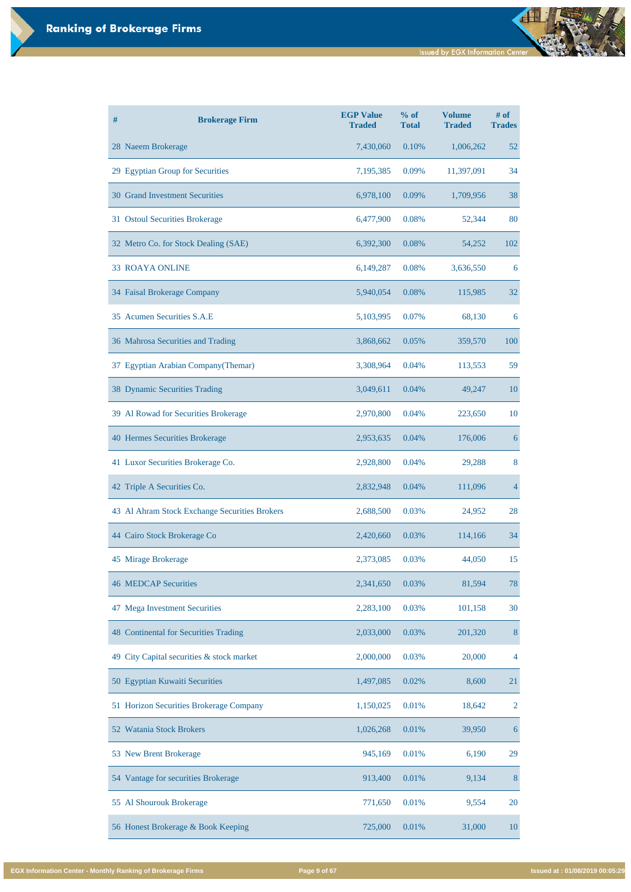m.

| #<br><b>Brokerage Firm</b>                    | <b>EGP Value</b><br><b>Traded</b> | % of<br><b>Total</b> | <b>Volume</b><br><b>Traded</b> | $#$ of<br><b>Trades</b> |
|-----------------------------------------------|-----------------------------------|----------------------|--------------------------------|-------------------------|
| 28 Naeem Brokerage                            | 7,430,060                         | 0.10%                | 1,006,262                      | 52                      |
| 29 Egyptian Group for Securities              | 7,195,385                         | 0.09%                | 11,397,091                     | 34                      |
| <b>30 Grand Investment Securities</b>         | 6,978,100                         | 0.09%                | 1,709,956                      | 38                      |
| 31 Ostoul Securities Brokerage                | 6,477,900                         | 0.08%                | 52,344                         | 80                      |
| 32 Metro Co. for Stock Dealing (SAE)          | 6,392,300                         | 0.08%                | 54,252                         | 102                     |
| <b>33 ROAYA ONLINE</b>                        | 6,149,287                         | 0.08%                | 3,636,550                      | 6                       |
| 34 Faisal Brokerage Company                   | 5,940,054                         | 0.08%                | 115,985                        | 32                      |
| 35 Acumen Securities S.A.E                    | 5,103,995                         | 0.07%                | 68,130                         | 6                       |
| 36 Mahrosa Securities and Trading             | 3,868,662                         | 0.05%                | 359,570                        | 100                     |
| 37 Egyptian Arabian Company (Themar)          | 3,308,964                         | 0.04%                | 113,553                        | 59                      |
| 38 Dynamic Securities Trading                 | 3,049,611                         | 0.04%                | 49,247                         | <b>10</b>               |
| 39 Al Rowad for Securities Brokerage          | 2,970,800                         | 0.04%                | 223,650                        | 10                      |
| <b>40 Hermes Securities Brokerage</b>         | 2,953,635                         | 0.04%                | 176,006                        | 6                       |
| 41 Luxor Securities Brokerage Co.             | 2,928,800                         | 0.04%                | 29,288                         | 8                       |
| 42 Triple A Securities Co.                    | 2,832,948                         | 0.04%                | 111,096                        | $\overline{4}$          |
| 43 Al Ahram Stock Exchange Securities Brokers | 2,688,500                         | 0.03%                | 24,952                         | 28                      |
| 44 Cairo Stock Brokerage Co                   | 2,420,660                         | 0.03%                | 114,166                        | 34                      |
| 45 Mirage Brokerage                           | 2,373,085                         | 0.03%                | 44,050                         | 15                      |
| <b>46 MEDCAP Securities</b>                   | 2,341,650                         | 0.03%                | 81,594                         | 78                      |
| 47 Mega Investment Securities                 | 2,283,100                         | 0.03%                | 101,158                        | 30                      |
| <b>48 Continental for Securities Trading</b>  | 2,033,000                         | 0.03%                | 201,320                        | 8                       |

| 49 City Capital securities & stock market | 2,000,000 | 0.03% | 20,000 | $\overline{4}$ |
|-------------------------------------------|-----------|-------|--------|----------------|
| 50 Egyptian Kuwaiti Securities            | 1,497,085 | 0.02% | 8,600  | 21             |
| 51 Horizon Securities Brokerage Company   | 1,150,025 | 0.01% | 18,642 | $\overline{2}$ |
| 52 Watania Stock Brokers                  | 1,026,268 | 0.01% | 39,950 | 6              |
| 53 New Brent Brokerage                    | 945,169   | 0.01% | 6,190  | 29             |
| 54 Vantage for securities Brokerage       | 913,400   | 0.01% | 9,134  | 8              |
| 55 Al Shourouk Brokerage                  | 771,650   | 0.01% | 9,554  | 20             |
| 56 Honest Brokerage & Book Keeping        | 725,000   | 0.01% | 31,000 | 10             |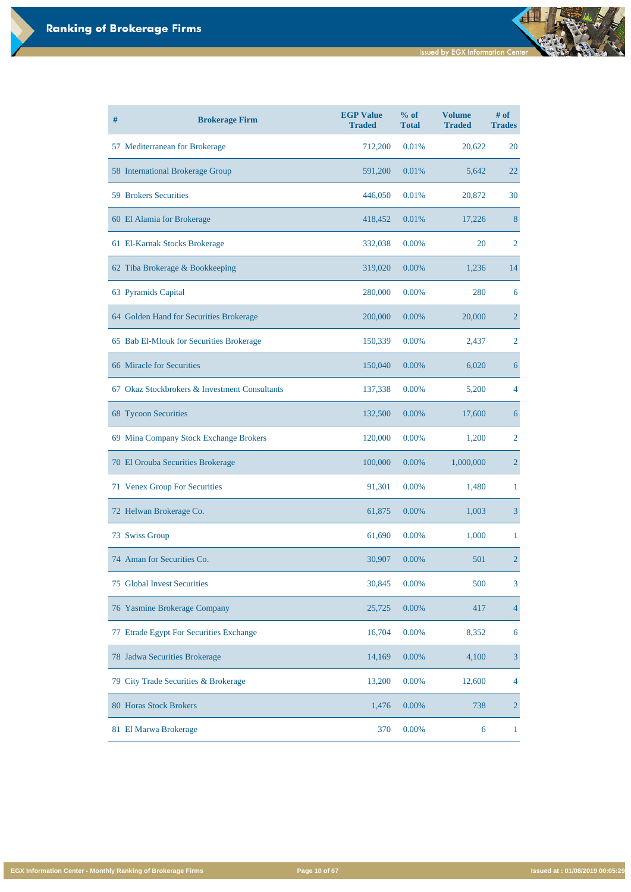| # | <b>Brokerage Firm</b>                         | <b>EGP Value</b><br><b>Traded</b> | % of<br><b>Total</b> | <b>Volume</b><br><b>Traded</b> | $#$ of<br><b>Trades</b> |
|---|-----------------------------------------------|-----------------------------------|----------------------|--------------------------------|-------------------------|
|   | 57 Mediterranean for Brokerage                | 712,200                           | 0.01%                | 20,622                         | 20                      |
|   | 58 International Brokerage Group              | 591,200                           | 0.01%                | 5,642                          | 22                      |
|   | <b>59 Brokers Securities</b>                  | 446,050                           | 0.01%                | 20,872                         | 30                      |
|   | 60 El Alamia for Brokerage                    | 418,452                           | 0.01%                | 17,226                         | 8                       |
|   | 61 El-Karnak Stocks Brokerage                 | 332,038                           | 0.00%                | 20                             | $\overline{2}$          |
|   | 62 Tiba Brokerage & Bookkeeping               | 319,020                           | 0.00%                | 1,236                          | 14                      |
|   | 63 Pyramids Capital                           | 280,000                           | 0.00%                | 280                            | 6                       |
|   | 64 Golden Hand for Securities Brokerage       | 200,000                           | 0.00%                | 20,000                         | $\overline{2}$          |
|   | 65 Bab El-Mlouk for Securities Brokerage      | 150,339                           | 0.00%                | 2,437                          | $\overline{2}$          |
|   | <b>66 Miracle for Securities</b>              | 150,040                           | 0.00%                | 6,020                          | 6                       |
|   | 67 Okaz Stockbrokers & Investment Consultants | 137,338                           | 0.00%                | 5,200                          | 4                       |
|   | <b>68 Tycoon Securities</b>                   | 132,500                           | 0.00%                | 17,600                         | 6                       |
|   | 69 Mina Company Stock Exchange Brokers        | 120,000                           | 0.00%                | 1,200                          | $\overline{2}$          |
|   | 70 El Orouba Securities Brokerage             | 100,000                           | 0.00%                | 1,000,000                      | $\overline{2}$          |
|   | 71 Venex Group For Securities                 | 91,301                            | 0.00%                | 1,480                          | $\mathbf{1}$            |
|   | 72 Helwan Brokerage Co.                       | 61,875                            | 0.00%                | 1,003                          | $\overline{3}$          |
|   | <b>73 Swiss Group</b>                         | 61,690                            | 0.00%                | 1,000                          | $\mathbf{1}$            |
|   | 74 Aman for Securities Co.                    | 30,907                            | 0.00%                | 501                            | $\overline{2}$          |
|   | <b>75 Global Invest Securities</b>            | 30,845                            | 0.00%                | 500                            | 3                       |
|   | 76 Yasmine Brokerage Company                  | 25,725                            | 0.00%                | 417                            | $\overline{4}$          |
|   | 77 Etrade Egypt For Securities Exchange       | 16,704                            | 0.00%                | 8,352                          | 6                       |

| 78 Jadwa Securities Brokerage        | 14,169 | $0.00\%$ | 4,100  | 3 <sup>1</sup> |
|--------------------------------------|--------|----------|--------|----------------|
| 79 City Trade Securities & Brokerage | 13,200 | $0.00\%$ | 12,600 | $\overline{4}$ |
| 80 Horas Stock Brokers               | 1,476  | $0.00\%$ | 738    | $\mathbf{2}$   |
| 81 El Marwa Brokerage                | 370    | $0.00\%$ | 6      |                |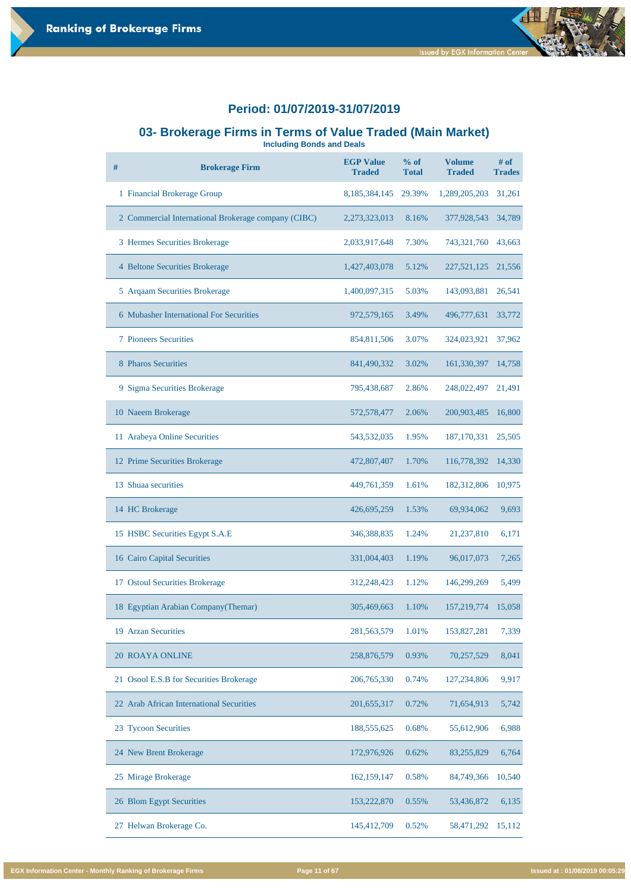#### **03- Brokerage Firms in Terms of Value Traded (Main Market)**

**Including Bonds and Deals**

| # | <b>Brokerage Firm</b>                               | <b>EGP Value</b><br><b>Traded</b> | % of<br><b>Total</b> | <b>Volume</b><br><b>Traded</b> | # of<br><b>Trades</b> |
|---|-----------------------------------------------------|-----------------------------------|----------------------|--------------------------------|-----------------------|
|   | 1 Financial Brokerage Group                         | 8, 185, 384, 145                  | 29.39%               | 1,289,205,203                  | 31,261                |
|   | 2 Commercial International Brokerage company (CIBC) | 2,273,323,013                     | 8.16%                | 377,928,543                    | 34,789                |
|   | 3 Hermes Securities Brokerage                       | 2,033,917,648                     | 7.30%                | 743,321,760                    | 43,663                |
|   | 4 Beltone Securities Brokerage                      | 1,427,403,078                     | 5.12%                | 227,521,125                    | 21,556                |
|   | 5 Arqaam Securities Brokerage                       | 1,400,097,315                     | 5.03%                | 143,093,881                    | 26,541                |
|   | 6 Mubasher International For Securities             | 972,579,165                       | 3.49%                | 496,777,631                    | 33,772                |
|   | <b>7 Pioneers Securities</b>                        | 854,811,506                       | 3.07%                | 324,023,921                    | 37,962                |
|   | 8 Pharos Securities                                 | 841,490,332                       | 3.02%                | 161,330,397                    | 14,758                |
|   | 9 Sigma Securities Brokerage                        | 795,438,687                       | 2.86%                | 248,022,497                    | 21,491                |
|   | 10 Naeem Brokerage                                  | 572,578,477                       | 2.06%                | 200,903,485                    | 16,800                |
|   | 11 Arabeya Online Securities                        | 543,532,035                       | 1.95%                | 187, 170, 331                  | 25,505                |
|   | 12 Prime Securities Brokerage                       | 472,807,407                       | 1.70%                | 116,778,392                    | 14,330                |
|   | 13 Shuaa securities                                 | 449,761,359                       | 1.61%                | 182,312,806                    | 10,975                |
|   | 14 HC Brokerage                                     | 426,695,259                       | 1.53%                | 69,934,062                     | 9,693                 |
|   | 15 HSBC Securities Egypt S.A.E                      | 346,388,835                       | 1.24%                | 21,237,810                     | 6,171                 |
|   | 16 Cairo Capital Securities                         | 331,004,403                       | 1.19%                | 96,017,073                     | 7,265                 |
|   | 17 Ostoul Securities Brokerage                      | 312,248,423                       | 1.12%                | 146,299,269                    | 5,499                 |
|   | 18 Egyptian Arabian Company(Themar)                 | 305,469,663                       | 1.10%                | 157,219,774                    | 15,058                |
|   | 19 Arzan Securities                                 | 281,563,579                       | 1.01%                | 153,827,281                    | 7,339                 |

| <b>20 ROAYA ONLINE</b>                   | 258,876,579 | 0.93% | 70,257,529  | 8,041  |
|------------------------------------------|-------------|-------|-------------|--------|
| 21 Osool E.S.B for Securities Brokerage  | 206,765,330 | 0.74% | 127,234,806 | 9,917  |
| 22 Arab African International Securities | 201,655,317 | 0.72% | 71,654,913  | 5,742  |
| 23 Tycoon Securities                     | 188,555,625 | 0.68% | 55,612,906  | 6,988  |
| 24 New Brent Brokerage                   | 172,976,926 | 0.62% | 83,255,829  | 6,764  |
| 25 Mirage Brokerage                      | 162,159,147 | 0.58% | 84,749,366  | 10,540 |
| 26 Blom Egypt Securities                 | 153,222,870 | 0.55% | 53,436,872  | 6,135  |
| 27 Helwan Brokerage Co.                  | 145,412,709 | 0.52% | 58,471,292  | 15,112 |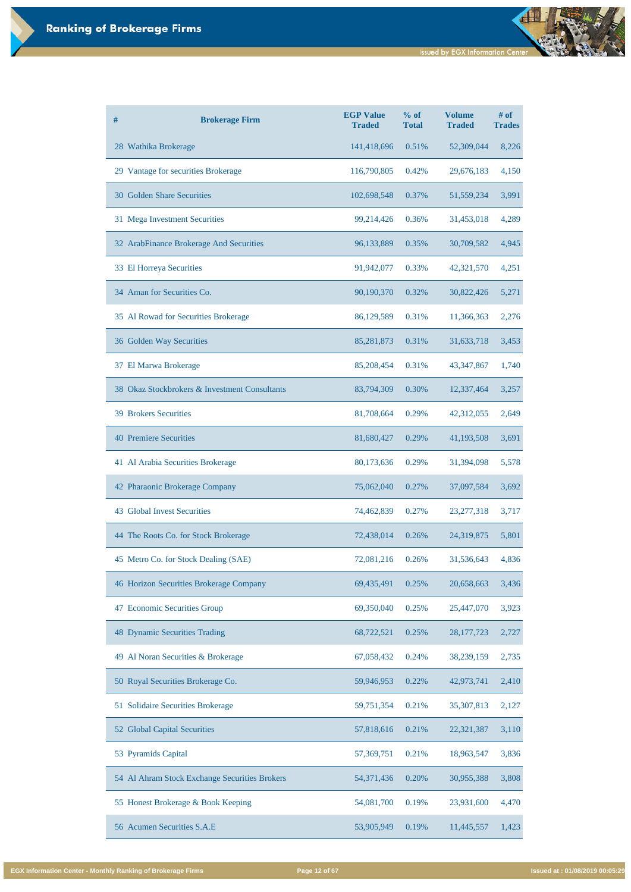| #                             | <b>Brokerage Firm</b>                         | <b>EGP Value</b><br><b>Traded</b> | % of<br><b>Total</b> | <b>Volume</b><br><b>Traded</b> | $#$ of<br><b>Trades</b> |
|-------------------------------|-----------------------------------------------|-----------------------------------|----------------------|--------------------------------|-------------------------|
| 28 Wathika Brokerage          |                                               | 141,418,696                       | 0.51%                | 52,309,044                     | 8,226                   |
|                               | 29 Vantage for securities Brokerage           | 116,790,805                       | 0.42%                | 29,676,183                     | 4,150                   |
|                               | 30 Golden Share Securities                    | 102,698,548                       | 0.37%                | 51,559,234                     | 3,991                   |
|                               | 31 Mega Investment Securities                 | 99,214,426                        | 0.36%                | 31,453,018                     | 4,289                   |
|                               | 32 ArabFinance Brokerage And Securities       | 96,133,889                        | 0.35%                | 30,709,582                     | 4,945                   |
| 33 El Horreya Securities      |                                               | 91,942,077                        | 0.33%                | 42,321,570                     | 4,251                   |
|                               | 34 Aman for Securities Co.                    | 90,190,370                        | 0.32%                | 30,822,426                     | 5,271                   |
|                               | 35 Al Rowad for Securities Brokerage          | 86,129,589                        | 0.31%                | 11,366,363                     | 2,276                   |
|                               | 36 Golden Way Securities                      | 85,281,873                        | 0.31%                | 31,633,718                     | 3,453                   |
| 37 El Marwa Brokerage         |                                               | 85,208,454                        | 0.31%                | 43, 347, 867                   | 1,740                   |
|                               | 38 Okaz Stockbrokers & Investment Consultants | 83,794,309                        | 0.30%                | 12,337,464                     | 3,257                   |
| <b>39 Brokers Securities</b>  |                                               | 81,708,664                        | 0.29%                | 42,312,055                     | 2,649                   |
| <b>40 Premiere Securities</b> |                                               | 81,680,427                        | 0.29%                | 41,193,508                     | 3,691                   |
|                               | 41 Al Arabia Securities Brokerage             | 80,173,636                        | 0.29%                | 31,394,098                     | 5,578                   |
|                               | 42 Pharaonic Brokerage Company                | 75,062,040                        | 0.27%                | 37,097,584                     | 3,692                   |
|                               | <b>43 Global Invest Securities</b>            | 74,462,839                        | 0.27%                | 23, 277, 318                   | 3,717                   |
|                               | 44 The Roots Co. for Stock Brokerage          | 72,438,014                        | 0.26%                | 24,319,875                     | 5,801                   |
|                               | 45 Metro Co. for Stock Dealing (SAE)          | 72,081,216                        | 0.26%                | 31,536,643                     | 4,836                   |
|                               | 46 Horizon Securities Brokerage Company       | 69,435,491                        | 0.25%                | 20,658,663                     | 3,436                   |
|                               | 47 Economic Securities Group                  | 69,350,040                        | 0.25%                | 25,447,070                     | 3,923                   |
|                               | 48 Dynamic Securities Trading                 | 68,722,521                        | 0.25%                | 28, 177, 723                   | 2,727                   |

| Al Noran Securities & Brokerage<br>49         | 67,058,432   | 0.24% | 38,239,159 | 2,735 |
|-----------------------------------------------|--------------|-------|------------|-------|
| 50 Royal Securities Brokerage Co.             | 59,946,953   | 0.22% | 42,973,741 | 2,410 |
| 51 Solidaire Securities Brokerage             | 59,751,354   | 0.21% | 35,307,813 | 2,127 |
| 52 Global Capital Securities                  | 57,818,616   | 0.21% | 22,321,387 | 3,110 |
| 53 Pyramids Capital                           | 57,369,751   | 0.21% | 18,963,547 | 3,836 |
| 54 Al Ahram Stock Exchange Securities Brokers | 54, 371, 436 | 0.20% | 30,955,388 | 3,808 |
| 55 Honest Brokerage & Book Keeping            | 54,081,700   | 0.19% | 23,931,600 | 4,470 |
| 56 Acumen Securities S.A.E                    | 53,905,949   | 0.19% | 11,445,557 | 1,423 |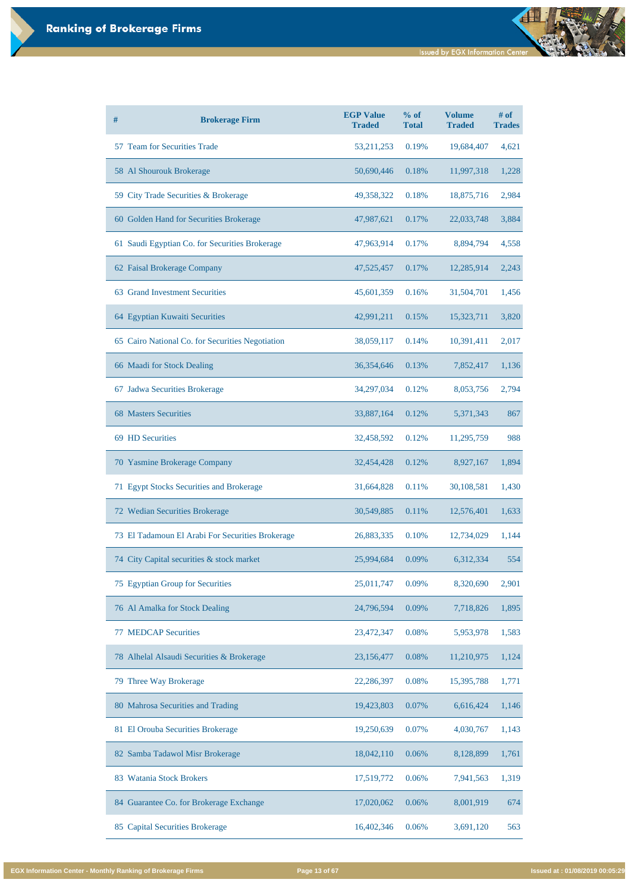| $\#$ | <b>Brokerage Firm</b>                            | <b>EGP Value</b><br><b>Traded</b> | $%$ of<br><b>Total</b> | <b>Volume</b><br><b>Traded</b> | # of<br><b>Trades</b> |
|------|--------------------------------------------------|-----------------------------------|------------------------|--------------------------------|-----------------------|
|      | 57 Team for Securities Trade                     | 53, 211, 253                      | 0.19%                  | 19,684,407                     | 4,621                 |
|      | 58 Al Shourouk Brokerage                         | 50,690,446                        | 0.18%                  | 11,997,318                     | 1,228                 |
|      | 59 City Trade Securities & Brokerage             | 49,358,322                        | 0.18%                  | 18,875,716                     | 2,984                 |
|      | 60 Golden Hand for Securities Brokerage          | 47,987,621                        | 0.17%                  | 22,033,748                     | 3,884                 |
|      | 61 Saudi Egyptian Co. for Securities Brokerage   | 47,963,914                        | 0.17%                  | 8,894,794                      | 4,558                 |
|      | 62 Faisal Brokerage Company                      | 47,525,457                        | 0.17%                  | 12,285,914                     | 2,243                 |
|      | 63 Grand Investment Securities                   | 45,601,359                        | 0.16%                  | 31,504,701                     | 1,456                 |
|      | 64 Egyptian Kuwaiti Securities                   | 42,991,211                        | 0.15%                  | 15,323,711                     | 3,820                 |
|      | 65 Cairo National Co. for Securities Negotiation | 38,059,117                        | 0.14%                  | 10,391,411                     | 2,017                 |
|      | 66 Maadi for Stock Dealing                       | 36,354,646                        | 0.13%                  | 7,852,417                      | 1,136                 |
|      | 67 Jadwa Securities Brokerage                    | 34,297,034                        | 0.12%                  | 8,053,756                      | 2,794                 |
|      | <b>68 Masters Securities</b>                     | 33,887,164                        | 0.12%                  | 5,371,343                      | 867                   |
|      | 69 HD Securities                                 | 32,458,592                        | 0.12%                  | 11,295,759                     | 988                   |
|      | 70 Yasmine Brokerage Company                     | 32,454,428                        | 0.12%                  | 8,927,167                      | 1,894                 |
|      | 71 Egypt Stocks Securities and Brokerage         | 31,664,828                        | 0.11%                  | 30,108,581                     | 1,430                 |
|      | 72 Wedian Securities Brokerage                   | 30,549,885                        | 0.11%                  | 12,576,401                     | 1,633                 |
|      | 73 El Tadamoun El Arabi For Securities Brokerage | 26,883,335                        | 0.10%                  | 12,734,029                     | 1,144                 |
|      | 74 City Capital securities & stock market        | 25,994,684                        | 0.09%                  | 6,312,334                      | 554                   |
|      | 75 Egyptian Group for Securities                 | 25,011,747                        | 0.09%                  | 8,320,690                      | 2,901                 |
|      | 76 Al Amalka for Stock Dealing                   | 24,796,594                        | 0.09%                  | 7,718,826                      | 1,895                 |
|      | <b>77 MEDCAP Securities</b>                      | 23,472,347                        | 0.08%                  | 5,953,978                      | 1,583                 |

| 78 Alhelal Alsaudi Securities & Brokerage | 23,156,477 | 0.08% | 11,210,975 | 1,124 |
|-------------------------------------------|------------|-------|------------|-------|
| 79 Three Way Brokerage                    | 22,286,397 | 0.08% | 15,395,788 | 1,771 |
| 80 Mahrosa Securities and Trading         | 19,423,803 | 0.07% | 6,616,424  | 1,146 |
| 81 El Orouba Securities Brokerage         | 19,250,639 | 0.07% | 4,030,767  | 1,143 |
| 82 Samba Tadawol Misr Brokerage           | 18,042,110 | 0.06% | 8,128,899  | 1,761 |
| <b>Watania Stock Brokers</b><br>83        | 17,519,772 | 0.06% | 7,941,563  | 1,319 |
| 84 Guarantee Co. for Brokerage Exchange   | 17,020,062 | 0.06% | 8,001,919  | 674   |
| 85 Capital Securities Brokerage           | 16,402,346 | 0.06% | 3,691,120  | 563   |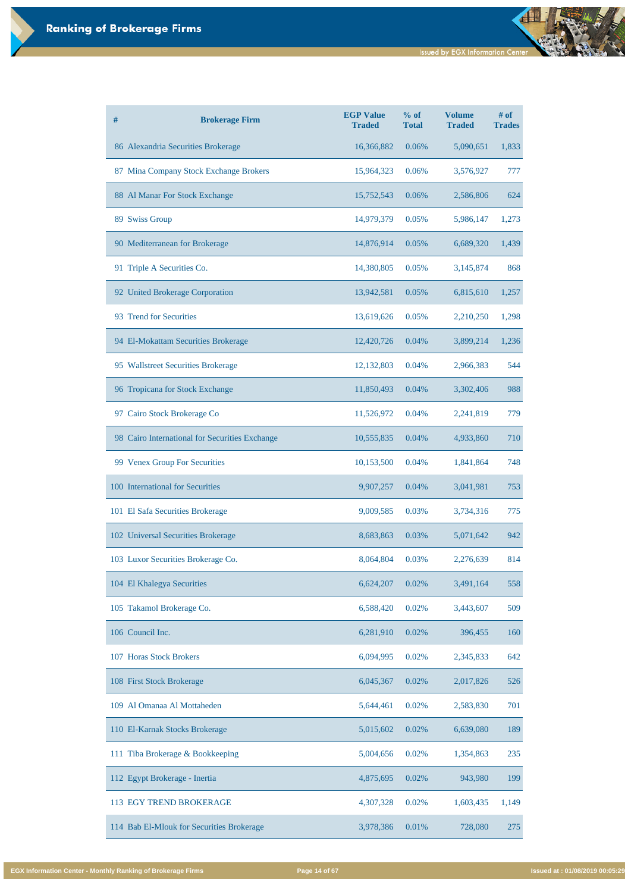| # | <b>Brokerage Firm</b>                          | <b>EGP Value</b><br><b>Traded</b> | % of<br><b>Total</b> | <b>Volume</b><br><b>Traded</b> | # of<br><b>Trades</b> |
|---|------------------------------------------------|-----------------------------------|----------------------|--------------------------------|-----------------------|
|   | 86 Alexandria Securities Brokerage             | 16,366,882                        | 0.06%                | 5,090,651                      | 1,833                 |
|   | 87 Mina Company Stock Exchange Brokers         | 15,964,323                        | 0.06%                | 3,576,927                      | 777                   |
|   | 88 Al Manar For Stock Exchange                 | 15,752,543                        | 0.06%                | 2,586,806                      | 624                   |
|   | 89 Swiss Group                                 | 14,979,379                        | 0.05%                | 5,986,147                      | 1,273                 |
|   | 90 Mediterranean for Brokerage                 | 14,876,914                        | 0.05%                | 6,689,320                      | 1,439                 |
|   | 91 Triple A Securities Co.                     | 14,380,805                        | 0.05%                | 3,145,874                      | 868                   |
|   | 92 United Brokerage Corporation                | 13,942,581                        | 0.05%                | 6,815,610                      | 1,257                 |
|   | 93 Trend for Securities                        | 13,619,626                        | 0.05%                | 2,210,250                      | 1,298                 |
|   | 94 El-Mokattam Securities Brokerage            | 12,420,726                        | 0.04%                | 3,899,214                      | 1,236                 |
|   | 95 Wallstreet Securities Brokerage             | 12,132,803                        | 0.04%                | 2,966,383                      | 544                   |
|   | 96 Tropicana for Stock Exchange                | 11,850,493                        | 0.04%                | 3,302,406                      | 988                   |
|   | 97 Cairo Stock Brokerage Co                    | 11,526,972                        | 0.04%                | 2,241,819                      | 779                   |
|   | 98 Cairo International for Securities Exchange | 10,555,835                        | 0.04%                | 4,933,860                      | 710                   |
|   | 99 Venex Group For Securities                  | 10,153,500                        | 0.04%                | 1,841,864                      | 748                   |
|   | 100 International for Securities               | 9,907,257                         | 0.04%                | 3,041,981                      | 753                   |
|   | 101 El Safa Securities Brokerage               | 9,009,585                         | 0.03%                | 3,734,316                      | 775                   |
|   | 102 Universal Securities Brokerage             | 8,683,863                         | 0.03%                | 5,071,642                      | 942                   |
|   | 103 Luxor Securities Brokerage Co.             | 8,064,804                         | 0.03%                | 2,276,639                      | 814                   |
|   | 104 El Khalegya Securities                     | 6,624,207                         | 0.02%                | 3,491,164                      | 558                   |
|   | 105 Takamol Brokerage Co.                      | 6,588,420                         | 0.02%                | 3,443,607                      | 509                   |
|   | 106 Council Inc.                               | 6,281,910                         | 0.02%                | 396,455                        | 160                   |

| 107 Horas Stock Brokers                   | 6,094,995 | 0.02% | 2,345,833 | 642   |
|-------------------------------------------|-----------|-------|-----------|-------|
| 108 First Stock Brokerage                 | 6,045,367 | 0.02% | 2,017,826 | 526   |
| 109 Al Omanaa Al Mottaheden               | 5,644,461 | 0.02% | 2,583,830 | 701   |
| 110 El-Karnak Stocks Brokerage            | 5,015,602 | 0.02% | 6,639,080 | 189   |
| 111 Tiba Brokerage & Bookkeeping          | 5,004,656 | 0.02% | 1,354,863 | 235   |
| 112 Egypt Brokerage - Inertia             | 4,875,695 | 0.02% | 943,980   | 199   |
| <b>113 EGY TREND BROKERAGE</b>            | 4,307,328 | 0.02% | 1,603,435 | 1,149 |
| 114 Bab El-Mlouk for Securities Brokerage | 3,978,386 | 0.01% | 728,080   | 275   |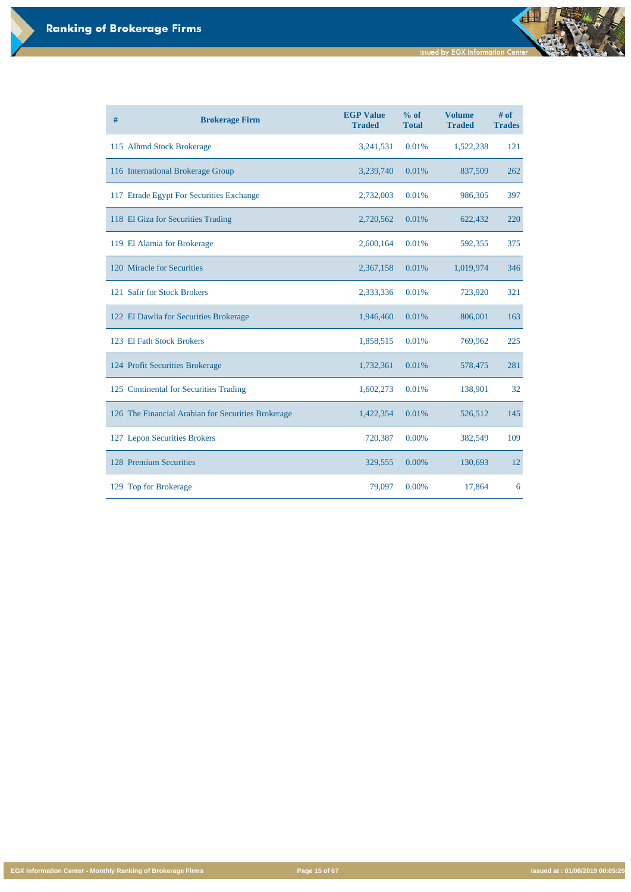đ

**EGX Information Center - Monthly Ranking of Brokerage Firms Page 15 of 67 Issued at : 01/08/2019 00:05:29**

| # | <b>Brokerage Firm</b>                              | <b>EGP Value</b><br><b>Traded</b> | % of<br><b>Total</b> | <b>Volume</b><br><b>Traded</b> | # of<br><b>Trades</b> |
|---|----------------------------------------------------|-----------------------------------|----------------------|--------------------------------|-----------------------|
|   | 115 Alhmd Stock Brokerage                          | 3,241,531                         | 0.01%                | 1,522,238                      | 121                   |
|   | 116 International Brokerage Group                  | 3,239,740                         | 0.01%                | 837,509                        | 262                   |
|   | 117 Etrade Egypt For Securities Exchange           | 2,732,003                         | 0.01%                | 986,305                        | 397                   |
|   | 118 El Giza for Securities Trading                 | 2,720,562                         | 0.01%                | 622,432                        | 220                   |
|   | 119 El Alamia for Brokerage                        | 2,600,164                         | 0.01%                | 592,355                        | 375                   |
|   | 120 Miracle for Securities                         | 2,367,158                         | 0.01%                | 1,019,974                      | 346                   |
|   | 121 Safir for Stock Brokers                        | 2,333,336                         | 0.01%                | 723,920                        | 321                   |
|   | 122 El Dawlia for Securities Brokerage             | 1,946,460                         | 0.01%                | 806,001                        | 163                   |
|   | 123 El Fath Stock Brokers                          | 1,858,515                         | 0.01%                | 769,962                        | 225                   |
|   | 124 Profit Securities Brokerage                    | 1,732,361                         | 0.01%                | 578,475                        | 281                   |
|   | 125 Continental for Securities Trading             | 1,602,273                         | 0.01%                | 138,901                        | 32                    |
|   | 126 The Financial Arabian for Securities Brokerage | 1,422,354                         | 0.01%                | 526,512                        | 145                   |
|   | 127 Lepon Securities Brokers                       | 720,387                           | 0.00%                | 382,549                        | 109                   |
|   | 128 Premium Securities                             | 329,555                           | 0.00%                | 130,693                        | 12                    |
|   | 129 Top for Brokerage                              | 79,097                            | 0.00%                | 17,864                         | 6                     |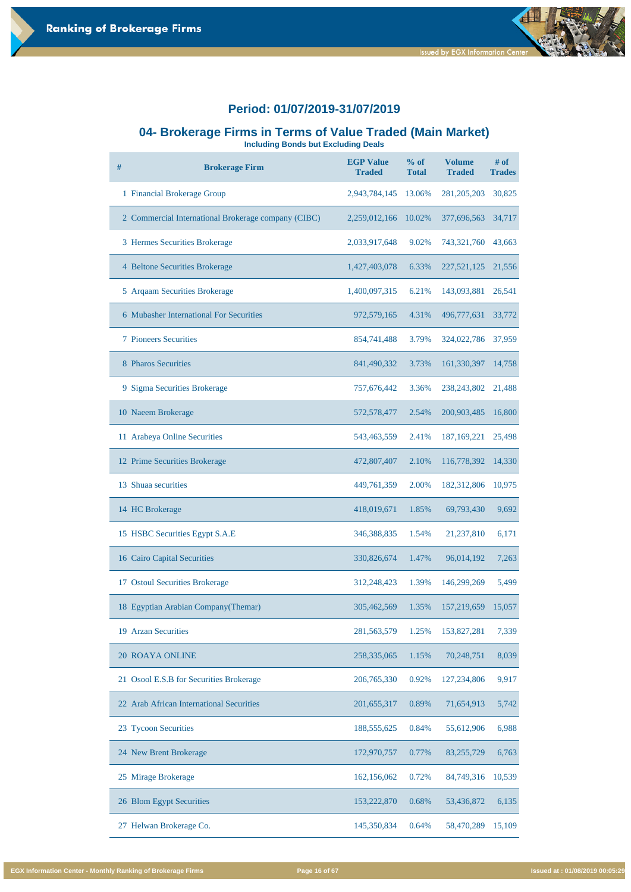

#### **04- Brokerage Firms in Terms of Value Traded (Main Market)**

**Including Bonds but Excluding Deals**

| # | <b>Brokerage Firm</b>                               | <b>EGP Value</b><br><b>Traded</b> | $%$ of<br><b>Total</b> | <b>Volume</b><br><b>Traded</b> | $#$ of<br><b>Trades</b> |
|---|-----------------------------------------------------|-----------------------------------|------------------------|--------------------------------|-------------------------|
|   | 1 Financial Brokerage Group                         | 2,943,784,145                     | 13.06%                 | 281, 205, 203                  | 30,825                  |
|   | 2 Commercial International Brokerage company (CIBC) | 2,259,012,166                     | 10.02%                 | 377,696,563                    | 34,717                  |
|   | 3 Hermes Securities Brokerage                       | 2,033,917,648                     | 9.02%                  | 743,321,760                    | 43,663                  |
|   | 4 Beltone Securities Brokerage                      | 1,427,403,078                     | 6.33%                  | 227,521,125                    | 21,556                  |
|   | 5 Arqaam Securities Brokerage                       | 1,400,097,315                     | 6.21%                  | 143,093,881                    | 26,541                  |
|   | 6 Mubasher International For Securities             | 972,579,165                       | 4.31%                  | 496,777,631                    | 33,772                  |
|   | <b>7 Pioneers Securities</b>                        | 854,741,488                       | 3.79%                  | 324,022,786                    | 37,959                  |
|   | 8 Pharos Securities                                 | 841,490,332                       | 3.73%                  | 161,330,397                    | 14,758                  |
|   | 9 Sigma Securities Brokerage                        | 757,676,442                       | 3.36%                  | 238, 243, 802                  | 21,488                  |
|   | 10 Naeem Brokerage                                  | 572,578,477                       | 2.54%                  | 200,903,485                    | 16,800                  |
|   | 11 Arabeya Online Securities                        | 543,463,559                       | 2.41%                  | 187, 169, 221                  | 25,498                  |
|   | 12 Prime Securities Brokerage                       | 472,807,407                       | 2.10%                  | 116,778,392                    | 14,330                  |
|   | 13 Shuaa securities                                 | 449,761,359                       | 2.00%                  | 182,312,806                    | 10,975                  |
|   | 14 HC Brokerage                                     | 418,019,671                       | 1.85%                  | 69,793,430                     | 9,692                   |
|   | 15 HSBC Securities Egypt S.A.E                      | 346, 388, 835                     | 1.54%                  | 21,237,810                     | 6,171                   |
|   | 16 Cairo Capital Securities                         | 330,826,674                       | 1.47%                  | 96,014,192                     | 7,263                   |
|   | 17 Ostoul Securities Brokerage                      | 312,248,423                       | 1.39%                  | 146,299,269                    | 5,499                   |
|   | 18 Egyptian Arabian Company (Themar)                | 305,462,569                       | 1.35%                  | 157,219,659                    | 15,057                  |
|   | 19 Arzan Securities                                 | 281, 563, 579                     | 1.25%                  | 153,827,281                    | 7,339                   |

| <b>20 ROAYA ONLINE</b>                   | 258, 335, 065 | 1.15% | 70,248,751  | 8,039  |
|------------------------------------------|---------------|-------|-------------|--------|
| 21 Osool E.S.B for Securities Brokerage  | 206,765,330   | 0.92% | 127,234,806 | 9,917  |
| 22 Arab African International Securities | 201,655,317   | 0.89% | 71,654,913  | 5,742  |
| 23 Tycoon Securities                     | 188, 555, 625 | 0.84% | 55,612,906  | 6,988  |
| 24 New Brent Brokerage                   | 172,970,757   | 0.77% | 83,255,729  | 6,763  |
| 25 Mirage Brokerage                      | 162,156,062   | 0.72% | 84,749,316  | 10,539 |
| 26 Blom Egypt Securities                 | 153,222,870   | 0.68% | 53,436,872  | 6,135  |
| 27 Helwan Brokerage Co.                  | 145,350,834   | 0.64% | 58,470,289  | 15,109 |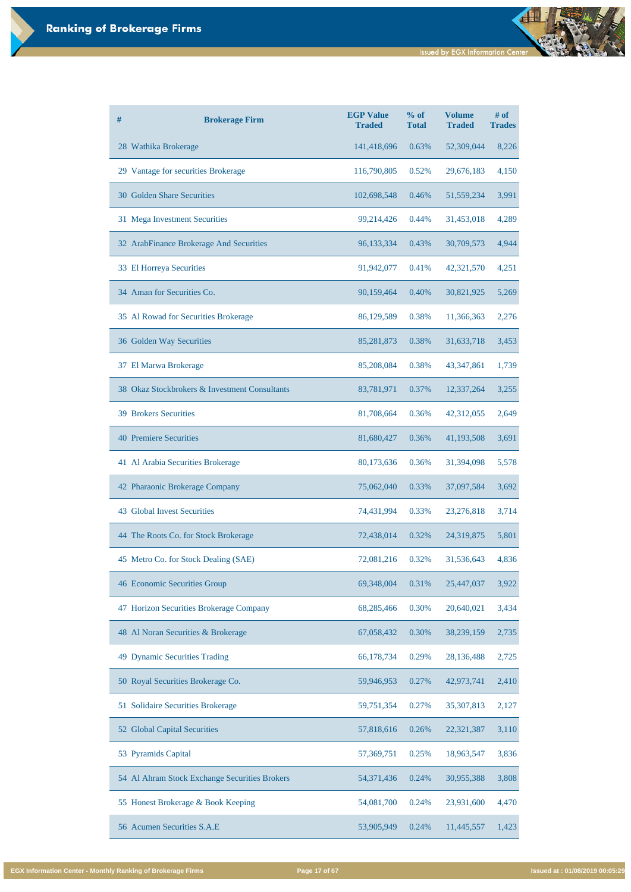| # | <b>Brokerage Firm</b>                         | <b>EGP Value</b><br><b>Traded</b> | $%$ of<br><b>Total</b> | <b>Volume</b><br><b>Traded</b> | # of<br><b>Trades</b> |
|---|-----------------------------------------------|-----------------------------------|------------------------|--------------------------------|-----------------------|
|   | 28 Wathika Brokerage                          | 141,418,696                       | 0.63%                  | 52,309,044                     | 8,226                 |
|   | 29 Vantage for securities Brokerage           | 116,790,805                       | 0.52%                  | 29,676,183                     | 4,150                 |
|   | <b>30 Golden Share Securities</b>             | 102,698,548                       | 0.46%                  | 51, 559, 234                   | 3,991                 |
|   | 31 Mega Investment Securities                 | 99,214,426                        | 0.44%                  | 31,453,018                     | 4,289                 |
|   | 32 ArabFinance Brokerage And Securities       | 96,133,334                        | 0.43%                  | 30,709,573                     | 4,944                 |
|   | 33 El Horreya Securities                      | 91,942,077                        | 0.41%                  | 42,321,570                     | 4,251                 |
|   | 34 Aman for Securities Co.                    | 90,159,464                        | 0.40%                  | 30,821,925                     | 5,269                 |
|   | 35 Al Rowad for Securities Brokerage          | 86,129,589                        | 0.38%                  | 11,366,363                     | 2,276                 |
|   | 36 Golden Way Securities                      | 85,281,873                        | 0.38%                  | 31,633,718                     | 3,453                 |
|   | 37 El Marwa Brokerage                         | 85,208,084                        | 0.38%                  | 43, 347, 861                   | 1,739                 |
|   | 38 Okaz Stockbrokers & Investment Consultants | 83,781,971                        | 0.37%                  | 12,337,264                     | 3,255                 |
|   | <b>39 Brokers Securities</b>                  | 81,708,664                        | 0.36%                  | 42,312,055                     | 2,649                 |
|   | <b>40 Premiere Securities</b>                 | 81,680,427                        | 0.36%                  | 41,193,508                     | 3,691                 |
|   | 41 Al Arabia Securities Brokerage             | 80,173,636                        | 0.36%                  | 31,394,098                     | 5,578                 |
|   | 42 Pharaonic Brokerage Company                | 75,062,040                        | 0.33%                  | 37,097,584                     | 3,692                 |
|   | <b>43 Global Invest Securities</b>            | 74,431,994                        | 0.33%                  | 23,276,818                     | 3,714                 |
|   | 44 The Roots Co. for Stock Brokerage          | 72,438,014                        | 0.32%                  | 24,319,875                     | 5,801                 |
|   | 45 Metro Co. for Stock Dealing (SAE)          | 72,081,216                        | 0.32%                  | 31,536,643                     | 4,836                 |
|   | 46 Economic Securities Group                  | 69,348,004                        | 0.31%                  | 25,447,037                     | 3,922                 |
|   | 47 Horizon Securities Brokerage Company       | 68,285,466                        | 0.30%                  | 20,640,021                     | 3,434                 |
|   | 48 Al Noran Securities & Brokerage            | 67,058,432                        | 0.30%                  | 38,239,159                     | 2,735                 |

| 49 Dynamic Securities Trading                 | 66,178,734   | 0.29% | 28,136,488 | 2,725 |
|-----------------------------------------------|--------------|-------|------------|-------|
| 50 Royal Securities Brokerage Co.             | 59,946,953   | 0.27% | 42,973,741 | 2,410 |
| 51 Solidaire Securities Brokerage             | 59,751,354   | 0.27% | 35,307,813 | 2,127 |
| 52 Global Capital Securities                  | 57,818,616   | 0.26% | 22,321,387 | 3,110 |
| 53 Pyramids Capital                           | 57,369,751   | 0.25% | 18,963,547 | 3,836 |
| 54 Al Ahram Stock Exchange Securities Brokers | 54, 371, 436 | 0.24% | 30,955,388 | 3,808 |
| 55 Honest Brokerage & Book Keeping            | 54,081,700   | 0.24% | 23,931,600 | 4,470 |
| 56 Acumen Securities S.A.E                    | 53,905,949   | 0.24% | 11,445,557 | 1,423 |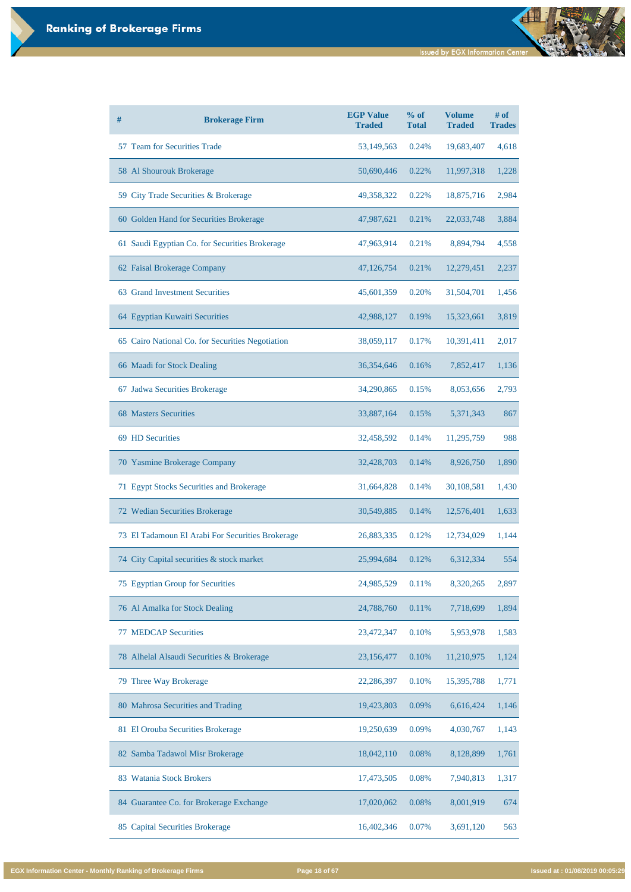| # | <b>Brokerage Firm</b>                            | <b>EGP Value</b><br><b>Traded</b> | $%$ of<br><b>Total</b> | <b>Volume</b><br><b>Traded</b> | # of<br><b>Trades</b> |
|---|--------------------------------------------------|-----------------------------------|------------------------|--------------------------------|-----------------------|
|   | 57 Team for Securities Trade                     | 53,149,563                        | 0.24%                  | 19,683,407                     | 4,618                 |
|   | 58 Al Shourouk Brokerage                         | 50,690,446                        | 0.22%                  | 11,997,318                     | 1,228                 |
|   | 59 City Trade Securities & Brokerage             | 49,358,322                        | 0.22%                  | 18,875,716                     | 2,984                 |
|   | 60 Golden Hand for Securities Brokerage          | 47,987,621                        | 0.21%                  | 22,033,748                     | 3,884                 |
|   | 61 Saudi Egyptian Co. for Securities Brokerage   | 47,963,914                        | 0.21%                  | 8,894,794                      | 4,558                 |
|   | 62 Faisal Brokerage Company                      | 47,126,754                        | 0.21%                  | 12,279,451                     | 2,237                 |
|   | 63 Grand Investment Securities                   | 45,601,359                        | 0.20%                  | 31,504,701                     | 1,456                 |
|   | 64 Egyptian Kuwaiti Securities                   | 42,988,127                        | 0.19%                  | 15,323,661                     | 3,819                 |
|   | 65 Cairo National Co. for Securities Negotiation | 38,059,117                        | 0.17%                  | 10,391,411                     | 2,017                 |
|   | 66 Maadi for Stock Dealing                       | 36, 354, 646                      | 0.16%                  | 7,852,417                      | 1,136                 |
|   | 67 Jadwa Securities Brokerage                    | 34,290,865                        | 0.15%                  | 8,053,656                      | 2,793                 |
|   | <b>68 Masters Securities</b>                     | 33,887,164                        | 0.15%                  | 5,371,343                      | 867                   |
|   | 69 HD Securities                                 | 32,458,592                        | 0.14%                  | 11,295,759                     | 988                   |
|   | 70 Yasmine Brokerage Company                     | 32,428,703                        | 0.14%                  | 8,926,750                      | 1,890                 |
|   | 71 Egypt Stocks Securities and Brokerage         | 31,664,828                        | 0.14%                  | 30,108,581                     | 1,430                 |
|   | 72 Wedian Securities Brokerage                   | 30,549,885                        | 0.14%                  | 12,576,401                     | 1,633                 |
|   | 73 El Tadamoun El Arabi For Securities Brokerage | 26,883,335                        | 0.12%                  | 12,734,029                     | 1,144                 |
|   | 74 City Capital securities & stock market        | 25,994,684                        | 0.12%                  | 6,312,334                      | 554                   |
|   | 75 Egyptian Group for Securities                 | 24,985,529                        | 0.11%                  | 8,320,265                      | 2,897                 |
|   | 76 Al Amalka for Stock Dealing                   | 24,788,760                        | 0.11%                  | 7,718,699                      | 1,894                 |
|   | <b>77 MEDCAP Securities</b>                      | 23,472,347                        | 0.10%                  | 5,953,978                      | 1,583                 |

| 78 Alhelal Alsaudi Securities & Brokerage | 23,156,477 | 0.10% | 11,210,975 | 1,124 |
|-------------------------------------------|------------|-------|------------|-------|
| 79 Three Way Brokerage                    | 22,286,397 | 0.10% | 15,395,788 | 1,771 |
| 80 Mahrosa Securities and Trading         | 19,423,803 | 0.09% | 6,616,424  | 1,146 |
| 81 El Orouba Securities Brokerage         | 19,250,639 | 0.09% | 4,030,767  | 1,143 |
| 82 Samba Tadawol Misr Brokerage           | 18,042,110 | 0.08% | 8,128,899  | 1,761 |
| <b>Watania Stock Brokers</b><br>83        | 17,473,505 | 0.08% | 7,940,813  | 1,317 |
| 84 Guarantee Co. for Brokerage Exchange   | 17,020,062 | 0.08% | 8,001,919  | 674   |
| <b>Capital Securities Brokerage</b><br>85 | 16,402,346 | 0.07% | 3,691,120  | 563   |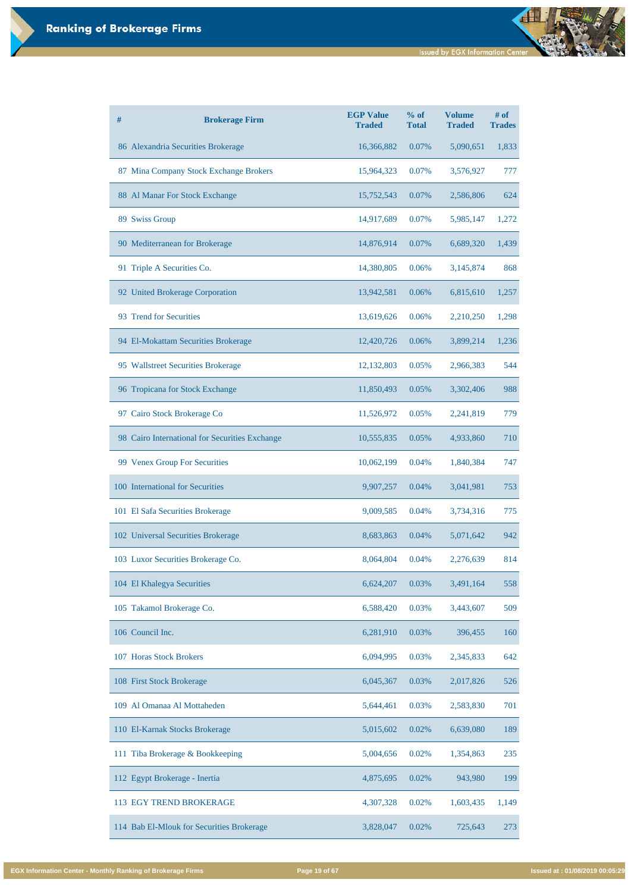| # | <b>Brokerage Firm</b>                          | <b>EGP Value</b><br><b>Traded</b> | % of<br><b>Total</b> | <b>Volume</b><br><b>Traded</b> | # of<br><b>Trades</b> |
|---|------------------------------------------------|-----------------------------------|----------------------|--------------------------------|-----------------------|
|   | 86 Alexandria Securities Brokerage             | 16,366,882                        | 0.07%                | 5,090,651                      | 1,833                 |
|   | 87 Mina Company Stock Exchange Brokers         | 15,964,323                        | 0.07%                | 3,576,927                      | 777                   |
|   | 88 Al Manar For Stock Exchange                 | 15,752,543                        | 0.07%                | 2,586,806                      | 624                   |
|   | 89 Swiss Group                                 | 14,917,689                        | 0.07%                | 5,985,147                      | 1,272                 |
|   | 90 Mediterranean for Brokerage                 | 14,876,914                        | 0.07%                | 6,689,320                      | 1,439                 |
|   | 91 Triple A Securities Co.                     | 14,380,805                        | 0.06%                | 3,145,874                      | 868                   |
|   | 92 United Brokerage Corporation                | 13,942,581                        | 0.06%                | 6,815,610                      | 1,257                 |
|   | 93 Trend for Securities                        | 13,619,626                        | 0.06%                | 2,210,250                      | 1,298                 |
|   | 94 El-Mokattam Securities Brokerage            | 12,420,726                        | 0.06%                | 3,899,214                      | 1,236                 |
|   | 95 Wallstreet Securities Brokerage             | 12,132,803                        | 0.05%                | 2,966,383                      | 544                   |
|   | 96 Tropicana for Stock Exchange                | 11,850,493                        | 0.05%                | 3,302,406                      | 988                   |
|   | 97 Cairo Stock Brokerage Co                    | 11,526,972                        | 0.05%                | 2,241,819                      | 779                   |
|   | 98 Cairo International for Securities Exchange | 10,555,835                        | 0.05%                | 4,933,860                      | 710                   |
|   | 99 Venex Group For Securities                  | 10,062,199                        | 0.04%                | 1,840,384                      | 747                   |
|   | 100 International for Securities               | 9,907,257                         | 0.04%                | 3,041,981                      | 753                   |
|   | 101 El Safa Securities Brokerage               | 9,009,585                         | 0.04%                | 3,734,316                      | 775                   |
|   | 102 Universal Securities Brokerage             | 8,683,863                         | 0.04%                | 5,071,642                      | 942                   |
|   | 103 Luxor Securities Brokerage Co.             | 8,064,804                         | 0.04%                | 2,276,639                      | 814                   |
|   | 104 El Khalegya Securities                     | 6,624,207                         | 0.03%                | 3,491,164                      | 558                   |
|   | 105 Takamol Brokerage Co.                      | 6,588,420                         | 0.03%                | 3,443,607                      | 509                   |
|   | 106 Council Inc.                               | 6,281,910                         | 0.03%                | 396,455                        | 160                   |

| 107 Horas Stock Brokers                   | 6,094,995 | 0.03% | 2,345,833 | 642   |
|-------------------------------------------|-----------|-------|-----------|-------|
| 108 First Stock Brokerage                 | 6,045,367 | 0.03% | 2,017,826 | 526   |
| 109 Al Omanaa Al Mottaheden               | 5,644,461 | 0.03% | 2,583,830 | 701   |
| 110 El-Karnak Stocks Brokerage            | 5,015,602 | 0.02% | 6,639,080 | 189   |
| 111 Tiba Brokerage & Bookkeeping          | 5,004,656 | 0.02% | 1,354,863 | 235   |
| 112 Egypt Brokerage - Inertia             | 4,875,695 | 0.02% | 943,980   | 199   |
| <b>113 EGY TREND BROKERAGE</b>            | 4,307,328 | 0.02% | 1,603,435 | 1,149 |
| 114 Bab El-Mlouk for Securities Brokerage | 3,828,047 | 0.02% | 725,643   | 273   |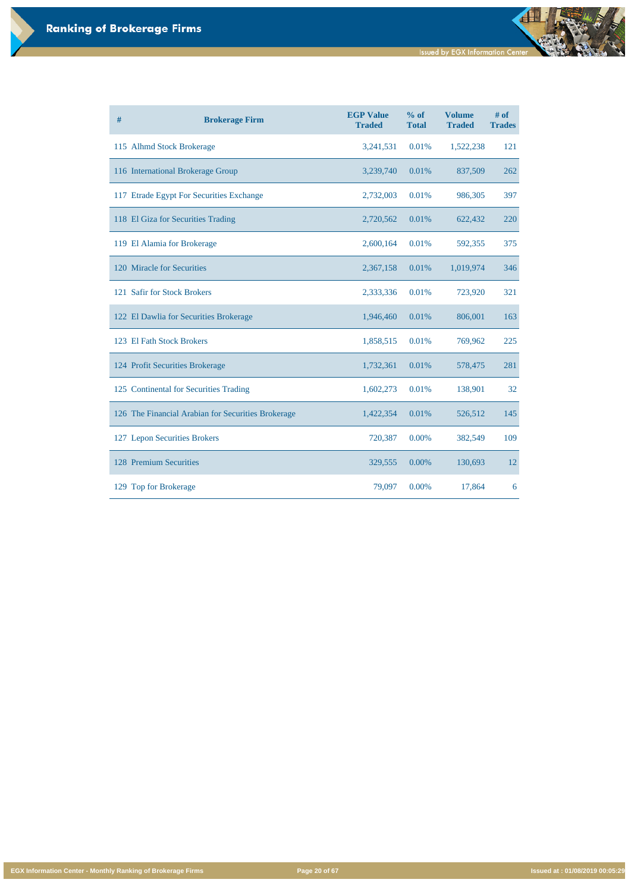đ

**EGX Information Center - Monthly Ranking of Brokerage Firms Page 20 of 67 Issued at : 01/08/2019 00:05:29**

| $\#$ | <b>Brokerage Firm</b>                              | <b>EGP Value</b><br><b>Traded</b> | $%$ of<br><b>Total</b> | <b>Volume</b><br><b>Traded</b> | # of<br><b>Trades</b> |
|------|----------------------------------------------------|-----------------------------------|------------------------|--------------------------------|-----------------------|
|      | 115 Alhmd Stock Brokerage                          | 3,241,531                         | 0.01%                  | 1,522,238                      | 121                   |
|      | 116 International Brokerage Group                  | 3,239,740                         | 0.01%                  | 837,509                        | 262                   |
|      | 117 Etrade Egypt For Securities Exchange           | 2,732,003                         | 0.01%                  | 986,305                        | 397                   |
|      | 118 El Giza for Securities Trading                 | 2,720,562                         | 0.01%                  | 622,432                        | 220                   |
|      | 119 El Alamia for Brokerage                        | 2,600,164                         | 0.01%                  | 592,355                        | 375                   |
|      | 120 Miracle for Securities                         | 2,367,158                         | 0.01%                  | 1,019,974                      | 346                   |
|      | 121 Safir for Stock Brokers                        | 2,333,336                         | 0.01%                  | 723,920                        | 321                   |
|      | 122 El Dawlia for Securities Brokerage             | 1,946,460                         | 0.01%                  | 806,001                        | 163                   |
|      | 123 El Fath Stock Brokers                          | 1,858,515                         | 0.01%                  | 769,962                        | 225                   |
|      | 124 Profit Securities Brokerage                    | 1,732,361                         | 0.01%                  | 578,475                        | 281                   |
|      | 125 Continental for Securities Trading             | 1,602,273                         | 0.01%                  | 138,901                        | 32                    |
|      | 126 The Financial Arabian for Securities Brokerage | 1,422,354                         | 0.01%                  | 526,512                        | 145                   |
|      | 127 Lepon Securities Brokers                       | 720,387                           | 0.00%                  | 382,549                        | 109                   |
|      | 128 Premium Securities                             | 329,555                           | 0.00%                  | 130,693                        | 12                    |
|      | 129 Top for Brokerage                              | 79,097                            | 0.00%                  | 17,864                         | 6                     |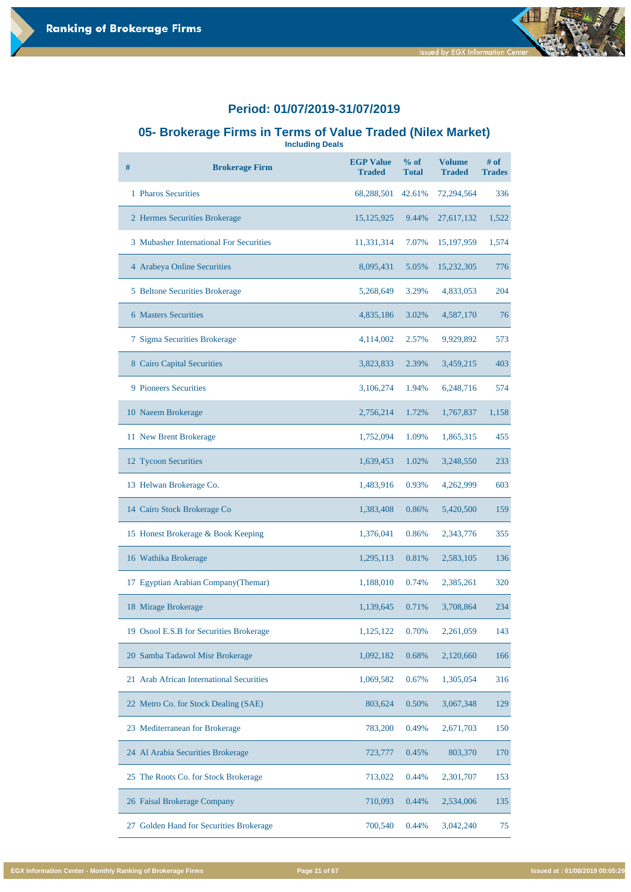### **05- Brokerage Firms in Terms of Value Traded (Nilex Market)**

**Including Deals**

| $\#$ | <b>Brokerage Firm</b>                   | <b>EGP Value</b><br><b>Traded</b> | $%$ of<br><b>Total</b> | <b>Volume</b><br><b>Traded</b> | $#$ of<br><b>Trades</b> |
|------|-----------------------------------------|-----------------------------------|------------------------|--------------------------------|-------------------------|
|      | 1 Pharos Securities                     | 68,288,501                        | 42.61%                 | 72,294,564                     | 336                     |
|      | 2 Hermes Securities Brokerage           | 15, 125, 925                      | 9.44%                  | 27,617,132                     | 1,522                   |
|      | 3 Mubasher International For Securities | 11,331,314                        | 7.07%                  | 15, 197, 959                   | 1,574                   |
|      | 4 Arabeya Online Securities             | 8,095,431                         | 5.05%                  | 15,232,305                     | 776                     |
|      | 5 Beltone Securities Brokerage          | 5,268,649                         | 3.29%                  | 4,833,053                      | 204                     |
|      | <b>6 Masters Securities</b>             | 4,835,186                         | 3.02%                  | 4,587,170                      | 76                      |
|      | 7 Sigma Securities Brokerage            | 4,114,002                         | 2.57%                  | 9,929,892                      | 573                     |
|      | 8 Cairo Capital Securities              | 3,823,833                         | 2.39%                  | 3,459,215                      | 403                     |
|      | <b>9 Pioneers Securities</b>            | 3,106,274                         | 1.94%                  | 6,248,716                      | 574                     |
|      | 10 Naeem Brokerage                      | 2,756,214                         | 1.72%                  | 1,767,837                      | 1,158                   |
|      | 11 New Brent Brokerage                  | 1,752,094                         | 1.09%                  | 1,865,315                      | 455                     |
|      | 12 Tycoon Securities                    | 1,639,453                         | 1.02%                  | 3,248,550                      | 233                     |
|      | 13 Helwan Brokerage Co.                 | 1,483,916                         | 0.93%                  | 4,262,999                      | 603                     |
|      | 14 Cairo Stock Brokerage Co             | 1,383,408                         | 0.86%                  | 5,420,500                      | 159                     |
|      | 15 Honest Brokerage & Book Keeping      | 1,376,041                         | 0.86%                  | 2,343,776                      | 355                     |
|      | 16 Wathika Brokerage                    | 1,295,113                         | 0.81%                  | 2,583,105                      | 136                     |
|      | 17 Egyptian Arabian Company(Themar)     | 1,188,010                         | 0.74%                  | 2,385,261                      | 320                     |
|      | 18 Mirage Brokerage                     | 1,139,645                         | 0.71%                  | 3,708,864                      | 234                     |
|      | 19 Osool E.S.B for Securities Brokerage | 1,125,122                         | 0.70%                  | 2,261,059                      | 143                     |

| 20 Samba Tadawol Misr Brokerage                   | 1,092,182 | 0.68%    | 2,120,660 | 166 |
|---------------------------------------------------|-----------|----------|-----------|-----|
| 21 Arab African International Securities          | 1,069,582 | $0.67\%$ | 1,305,054 | 316 |
| 22 Metro Co. for Stock Dealing (SAE)              | 803,624   | 0.50%    | 3,067,348 | 129 |
| 23 Mediterranean for Brokerage                    | 783,200   | 0.49%    | 2,671,703 | 150 |
| 24 Al Arabia Securities Brokerage                 | 723,777   | 0.45%    | 803,370   | 170 |
| 25 The Roots Co. for Stock Brokerage              | 713,022   | $0.44\%$ | 2,301,707 | 153 |
| 26 Faisal Brokerage Company                       | 710,093   | 0.44%    | 2,534,006 | 135 |
| <b>Golden Hand for Securities Brokerage</b><br>27 | 700,540   | $0.44\%$ | 3,042,240 | 75  |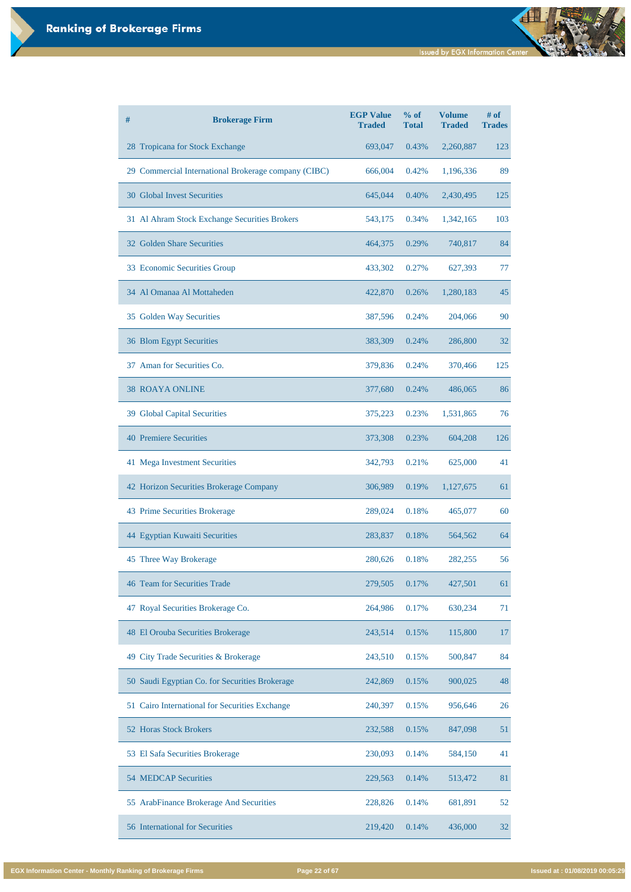**Issued by EGX Information Center** 

| # | <b>Brokerage Firm</b>                                | <b>EGP Value</b><br><b>Traded</b> | % of<br><b>Total</b> | <b>Volume</b><br><b>Traded</b> | # of<br><b>Trades</b> |
|---|------------------------------------------------------|-----------------------------------|----------------------|--------------------------------|-----------------------|
|   | 28 Tropicana for Stock Exchange                      | 693,047                           | 0.43%                | 2,260,887                      | 123                   |
|   | 29 Commercial International Brokerage company (CIBC) | 666,004                           | 0.42%                | 1,196,336                      | 89                    |
|   | <b>30 Global Invest Securities</b>                   | 645,044                           | 0.40%                | 2,430,495                      | 125                   |
|   | 31 Al Ahram Stock Exchange Securities Brokers        | 543,175                           | 0.34%                | 1,342,165                      | 103                   |
|   | 32 Golden Share Securities                           | 464,375                           | 0.29%                | 740,817                        | 84                    |
|   | 33 Economic Securities Group                         | 433,302                           | 0.27%                | 627,393                        | 77                    |
|   | 34 Al Omanaa Al Mottaheden                           | 422,870                           | 0.26%                | 1,280,183                      | 45                    |
|   | 35 Golden Way Securities                             | 387,596                           | 0.24%                | 204,066                        | 90                    |
|   | 36 Blom Egypt Securities                             | 383,309                           | 0.24%                | 286,800                        | 32                    |
|   | 37 Aman for Securities Co.                           | 379,836                           | 0.24%                | 370,466                        | 125                   |
|   | <b>38 ROAYA ONLINE</b>                               | 377,680                           | 0.24%                | 486,065                        | 86                    |
|   | 39 Global Capital Securities                         | 375,223                           | 0.23%                | 1,531,865                      | 76                    |
|   | <b>40 Premiere Securities</b>                        | 373,308                           | 0.23%                | 604,208                        | 126                   |
|   | 41 Mega Investment Securities                        | 342,793                           | 0.21%                | 625,000                        | 41                    |
|   | 42 Horizon Securities Brokerage Company              | 306,989                           | 0.19%                | 1,127,675                      | 61                    |
|   | 43 Prime Securities Brokerage                        | 289,024                           | 0.18%                | 465,077                        | 60                    |
|   | 44 Egyptian Kuwaiti Securities                       | 283,837                           | 0.18%                | 564,562                        | 64                    |
|   | 45 Three Way Brokerage                               | 280,626                           | 0.18%                | 282,255                        | 56                    |
|   | 46 Team for Securities Trade                         | 279,505                           | 0.17%                | 427,501                        | 61                    |
|   | 47 Royal Securities Brokerage Co.                    | 264,986                           | 0.17%                | 630,234                        | 71                    |
|   | 48 El Orouba Securities Brokerage                    | 243,514                           | 0.15%                | 115,800                        | 17                    |

| 49 City Trade Securities & Brokerage           | 243,510 | 0.15% | 500,847 | 84 |
|------------------------------------------------|---------|-------|---------|----|
| 50 Saudi Egyptian Co. for Securities Brokerage | 242,869 | 0.15% | 900,025 | 48 |
| 51 Cairo International for Securities Exchange | 240,397 | 0.15% | 956,646 | 26 |
| 52 Horas Stock Brokers                         | 232,588 | 0.15% | 847,098 | 51 |
| 53 El Safa Securities Brokerage                | 230,093 | 0.14% | 584,150 | 41 |
| <b>54 MEDCAP Securities</b>                    | 229,563 | 0.14% | 513,472 | 81 |
| 55 ArabFinance Brokerage And Securities        | 228,826 | 0.14% | 681,891 | 52 |
| 56 International for Securities                | 219,420 | 0.14% | 436,000 | 32 |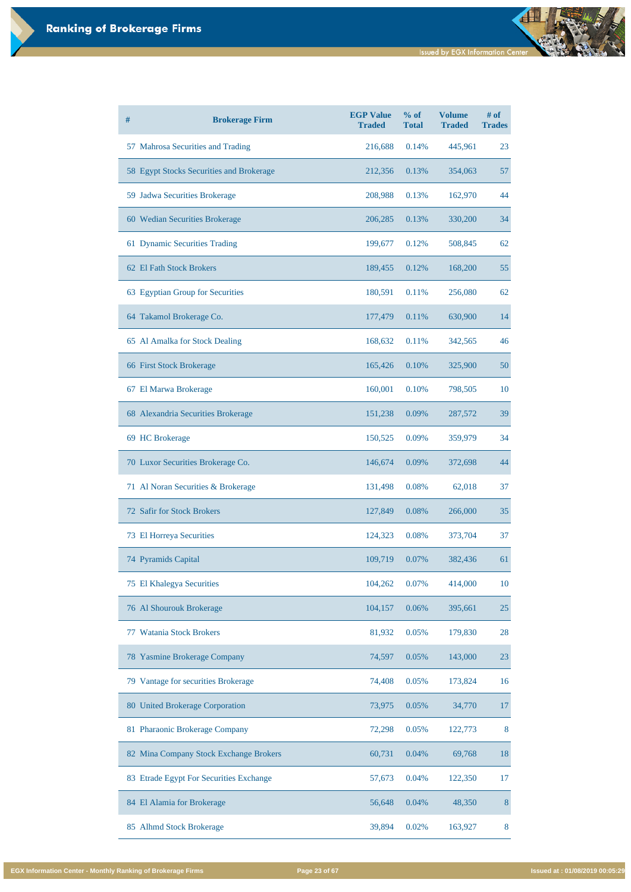| # | <b>Brokerage Firm</b>                    | <b>EGP Value</b><br><b>Traded</b> | % of<br><b>Total</b> | <b>Volume</b><br><b>Traded</b> | $#$ of<br><b>Trades</b> |
|---|------------------------------------------|-----------------------------------|----------------------|--------------------------------|-------------------------|
|   | 57 Mahrosa Securities and Trading        | 216,688                           | 0.14%                | 445,961                        | 23                      |
|   | 58 Egypt Stocks Securities and Brokerage | 212,356                           | 0.13%                | 354,063                        | 57                      |
|   | 59 Jadwa Securities Brokerage            | 208,988                           | 0.13%                | 162,970                        | 44                      |
|   | 60 Wedian Securities Brokerage           | 206,285                           | 0.13%                | 330,200                        | 34                      |
|   | 61 Dynamic Securities Trading            | 199,677                           | 0.12%                | 508,845                        | 62                      |
|   | 62 El Fath Stock Brokers                 | 189,455                           | 0.12%                | 168,200                        | 55                      |
|   | 63 Egyptian Group for Securities         | 180,591                           | 0.11%                | 256,080                        | 62                      |
|   | 64 Takamol Brokerage Co.                 | 177,479                           | 0.11%                | 630,900                        | 14                      |
|   | 65 Al Amalka for Stock Dealing           | 168,632                           | 0.11%                | 342,565                        | 46                      |
|   | 66 First Stock Brokerage                 | 165,426                           | 0.10%                | 325,900                        | 50                      |
|   | 67 El Marwa Brokerage                    | 160,001                           | 0.10%                | 798,505                        | 10                      |
|   | 68 Alexandria Securities Brokerage       | 151,238                           | 0.09%                | 287,572                        | 39                      |
|   | 69 HC Brokerage                          | 150,525                           | 0.09%                | 359,979                        | 34                      |
|   | 70 Luxor Securities Brokerage Co.        | 146,674                           | 0.09%                | 372,698                        | 44                      |
|   | 71 Al Noran Securities & Brokerage       | 131,498                           | 0.08%                | 62,018                         | 37                      |
|   | 72 Safir for Stock Brokers               | 127,849                           | 0.08%                | 266,000                        | 35                      |
|   | 73 El Horreya Securities                 | 124,323                           | 0.08%                | 373,704                        | 37                      |
|   | 74 Pyramids Capital                      | 109,719                           | 0.07%                | 382,436                        | 61                      |
|   | 75 El Khalegya Securities                | 104,262                           | 0.07%                | 414,000                        | 10                      |
|   | 76 Al Shourouk Brokerage                 | 104,157                           | 0.06%                | 395,661                        | 25                      |
|   | 77 Watania Stock Brokers                 | 81,932                            | 0.05%                | 179,830                        | 28                      |

| 78 Yasmine Brokerage Company            | 74,597 | 0.05% | 143,000 | 23 |
|-----------------------------------------|--------|-------|---------|----|
| 79 Vantage for securities Brokerage     | 74,408 | 0.05% | 173,824 | 16 |
| 80 United Brokerage Corporation         | 73,975 | 0.05% | 34,770  | 17 |
| 81 Pharaonic Brokerage Company          | 72,298 | 0.05% | 122,773 | 8  |
| 82 Mina Company Stock Exchange Brokers  | 60,731 | 0.04% | 69,768  | 18 |
| 83 Etrade Egypt For Securities Exchange | 57,673 | 0.04% | 122,350 | 17 |
| 84 El Alamia for Brokerage              | 56,648 | 0.04% | 48,350  | 8  |
| <b>Alhmd Stock Brokerage</b><br>85      | 39,894 | 0.02% | 163,927 | 8  |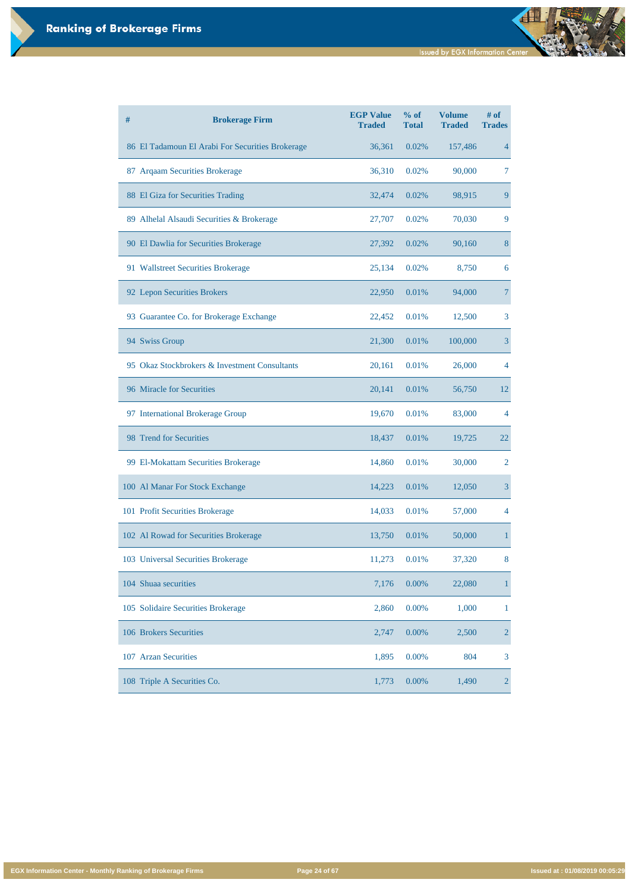| # | <b>Brokerage Firm</b>                            | <b>EGP Value</b><br><b>Traded</b> | % of<br><b>Total</b> | <b>Volume</b><br><b>Traded</b> | # of<br><b>Trades</b> |
|---|--------------------------------------------------|-----------------------------------|----------------------|--------------------------------|-----------------------|
|   | 86 El Tadamoun El Arabi For Securities Brokerage | 36,361                            | 0.02%                | 157,486                        | 4                     |
|   | 87 Arqaam Securities Brokerage                   | 36,310                            | 0.02%                | 90,000                         | 7                     |
|   | 88 El Giza for Securities Trading                | 32,474                            | 0.02%                | 98,915                         | 9                     |
|   | 89 Alhelal Alsaudi Securities & Brokerage        | 27,707                            | 0.02%                | 70,030                         | 9                     |
|   | 90 El Dawlia for Securities Brokerage            | 27,392                            | 0.02%                | 90,160                         | 8                     |
|   | 91 Wallstreet Securities Brokerage               | 25,134                            | 0.02%                | 8,750                          | 6                     |
|   | 92 Lepon Securities Brokers                      | 22,950                            | 0.01%                | 94,000                         |                       |
|   | 93 Guarantee Co. for Brokerage Exchange          | 22,452                            | 0.01%                | 12,500                         | 3                     |
|   | 94 Swiss Group                                   | 21,300                            | 0.01%                | 100,000                        | 3                     |
|   | 95 Okaz Stockbrokers & Investment Consultants    | 20,161                            | 0.01%                | 26,000                         | 4                     |
|   | 96 Miracle for Securities                        | 20,141                            | 0.01%                | 56,750                         | 12                    |
|   | 97 International Brokerage Group                 | 19,670                            | 0.01%                | 83,000                         | 4                     |
|   | 98 Trend for Securities                          | 18,437                            | 0.01%                | 19,725                         | 22                    |
|   | 99 El-Mokattam Securities Brokerage              | 14,860                            | 0.01%                | 30,000                         | 2                     |
|   | 100 Al Manar For Stock Exchange                  | 14,223                            | 0.01%                | 12,050                         | 3                     |
|   | 101 Profit Securities Brokerage                  | 14,033                            | 0.01%                | 57,000                         | 4                     |
|   | 102 Al Rowad for Securities Brokerage            | 13,750                            | 0.01%                | 50,000                         | T                     |
|   | 103 Universal Securities Brokerage               | 11,273                            | 0.01%                | 37,320                         | 8                     |
|   | 104 Shuaa securities                             | 7,176                             | 0.00%                | 22,080                         | 1                     |
|   | 105 Solidaire Securities Brokerage               | 2,860                             | 0.00%                | 1,000                          | 1                     |
|   | 106 Brokers Securities                           | 2,747                             | 0.00%                | 2,500                          | $\overline{2}$        |

| 107 Arzan Securities        | 1,895 | $0.00\%$      | 804   |  |
|-----------------------------|-------|---------------|-------|--|
| 108 Triple A Securities Co. |       | $1,773$ 0.00% | 1.490 |  |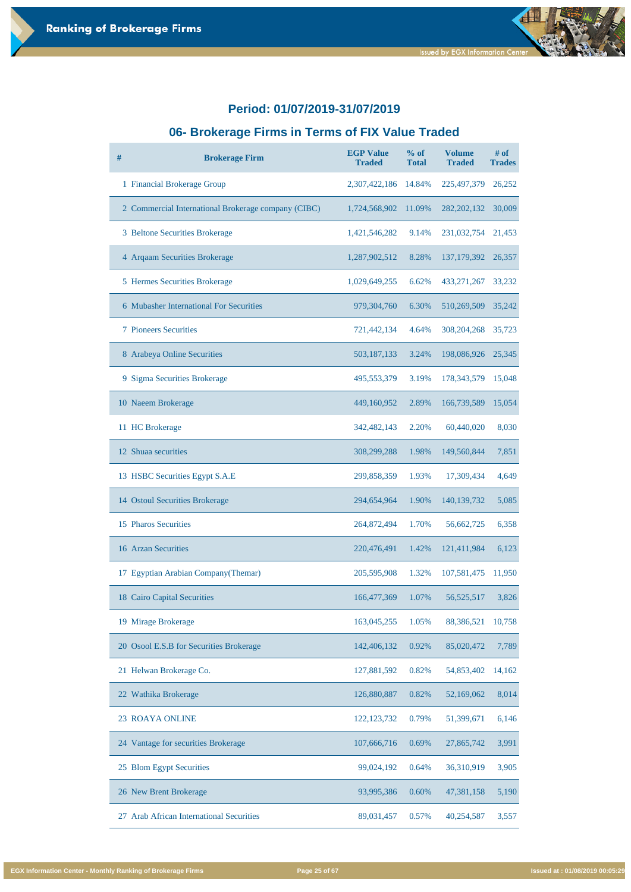### **06- Brokerage Firms in Terms of FIX Value Traded**

| # | <b>Brokerage Firm</b>                               | <b>EGP Value</b><br><b>Traded</b> | $%$ of<br><b>Total</b> | <b>Volume</b><br><b>Traded</b> | $#$ of<br><b>Trades</b> |
|---|-----------------------------------------------------|-----------------------------------|------------------------|--------------------------------|-------------------------|
|   | 1 Financial Brokerage Group                         | 2,307,422,186                     | 14.84%                 | 225,497,379                    | 26,252                  |
|   | 2 Commercial International Brokerage company (CIBC) | 1,724,568,902                     | 11.09%                 | 282, 202, 132                  | 30,009                  |
|   | 3 Beltone Securities Brokerage                      | 1,421,546,282                     | 9.14%                  | 231,032,754                    | 21,453                  |
|   | 4 Arqaam Securities Brokerage                       | 1,287,902,512                     | 8.28%                  | 137, 179, 392                  | 26,357                  |
|   | 5 Hermes Securities Brokerage                       | 1,029,649,255                     | 6.62%                  | 433, 271, 267                  | 33,232                  |
|   | 6 Mubasher International For Securities             | 979,304,760                       | 6.30%                  | 510,269,509                    | 35,242                  |
|   | <b>7 Pioneers Securities</b>                        | 721,442,134                       | 4.64%                  | 308, 204, 268                  | 35,723                  |
|   | 8 Arabeya Online Securities                         | 503,187,133                       | 3.24%                  | 198,086,926                    | 25,345                  |
|   | 9 Sigma Securities Brokerage                        | 495,553,379                       | 3.19%                  | 178, 343, 579                  | 15,048                  |
|   | 10 Naeem Brokerage                                  | 449,160,952                       | 2.89%                  | 166,739,589                    | 15,054                  |
|   | 11 HC Brokerage                                     | 342,482,143                       | 2.20%                  | 60,440,020                     | 8,030                   |
|   | 12 Shuaa securities                                 | 308,299,288                       | 1.98%                  | 149,560,844                    | 7,851                   |
|   | 13 HSBC Securities Egypt S.A.E                      | 299,858,359                       | 1.93%                  | 17,309,434                     | 4,649                   |
|   | 14 Ostoul Securities Brokerage                      | 294,654,964                       | 1.90%                  | 140,139,732                    | 5,085                   |
|   | 15 Pharos Securities                                | 264,872,494                       | 1.70%                  | 56,662,725                     | 6,358                   |
|   | 16 Arzan Securities                                 | 220,476,491                       | 1.42%                  | 121,411,984                    | 6,123                   |
|   | 17 Egyptian Arabian Company (Themar)                | 205,595,908                       | 1.32%                  | 107,581,475                    | 11,950                  |
|   | 18 Cairo Capital Securities                         | 166, 477, 369                     | 1.07%                  | 56, 525, 517                   | 3,826                   |
|   | 19 Mirage Brokerage                                 | 163,045,255                       | 1.05%                  | 88,386,521                     | 10,758                  |
|   | 20 Osool E.S.B for Securities Brokerage             | 142,406,132                       | 0.92%                  | 85,020,472                     | 7,789                   |
|   | 21 Helwan Brokerage Co.                             | 127,881,592                       | 0.82%                  | 54,853,402                     | 14,162                  |
|   | 22 Wathika Brokerage                                | 126,880,887                       | 0.82%                  | 52,169,062                     | 8,014                   |
|   | 23 ROAYA ONLINE                                     | 122, 123, 732                     | 0.79%                  | 51,399,671                     | 6,146                   |
|   | 24 Vantage for securities Brokerage                 | 107,666,716                       | 0.69%                  | 27,865,742                     | 3,991                   |
|   | 25 Blom Egypt Securities                            | 99,024,192                        | 0.64%                  | 36,310,919                     | 3,905                   |
|   | 26 New Brent Brokerage                              | 93,995,386                        | 0.60%                  | 47,381,158                     | 5,190                   |
|   | 27 Arab African International Securities            | 89,031,457                        | 0.57%                  | 40,254,587                     | 3,557                   |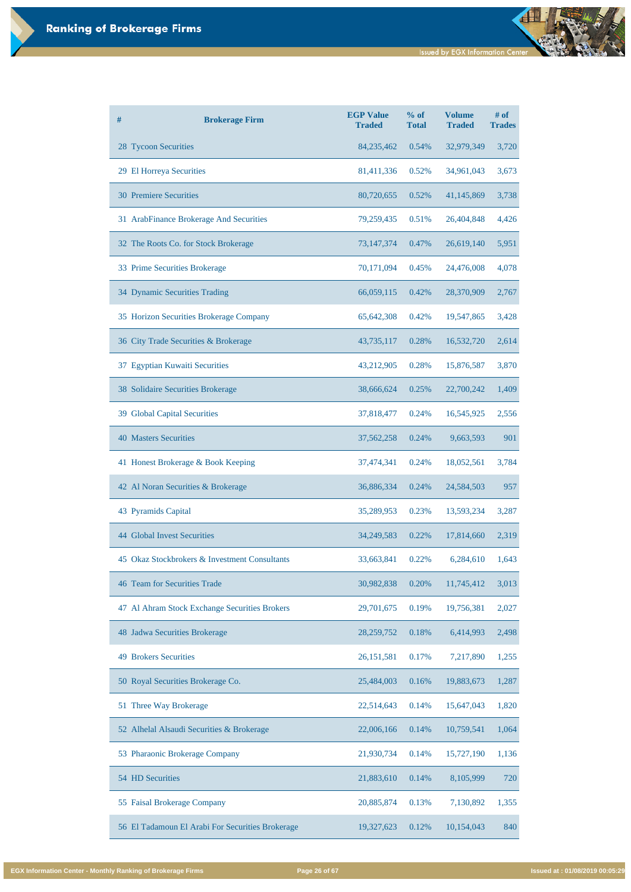| #<br><b>Brokerage Firm</b>                    | <b>EGP Value</b><br><b>Traded</b> | % of<br><b>Total</b> | <b>Volume</b><br><b>Traded</b> | # of<br><b>Trades</b> |
|-----------------------------------------------|-----------------------------------|----------------------|--------------------------------|-----------------------|
| 28 Tycoon Securities                          | 84,235,462                        | 0.54%                | 32,979,349                     | 3,720                 |
| 29 El Horreya Securities                      | 81,411,336                        | 0.52%                | 34,961,043                     | 3,673                 |
| <b>30 Premiere Securities</b>                 | 80,720,655                        | 0.52%                | 41,145,869                     | 3,738                 |
| 31 ArabFinance Brokerage And Securities       | 79,259,435                        | 0.51%                | 26,404,848                     | 4,426                 |
| 32 The Roots Co. for Stock Brokerage          | 73, 147, 374                      | 0.47%                | 26,619,140                     | 5,951                 |
| 33 Prime Securities Brokerage                 | 70,171,094                        | 0.45%                | 24,476,008                     | 4,078                 |
| 34 Dynamic Securities Trading                 | 66,059,115                        | 0.42%                | 28,370,909                     | 2,767                 |
| 35 Horizon Securities Brokerage Company       | 65,642,308                        | 0.42%                | 19,547,865                     | 3,428                 |
| 36 City Trade Securities & Brokerage          | 43,735,117                        | 0.28%                | 16,532,720                     | 2,614                 |
| 37 Egyptian Kuwaiti Securities                | 43,212,905                        | 0.28%                | 15,876,587                     | 3,870                 |
| 38 Solidaire Securities Brokerage             | 38,666,624                        | 0.25%                | 22,700,242                     | 1,409                 |
| 39 Global Capital Securities                  | 37,818,477                        | 0.24%                | 16,545,925                     | 2,556                 |
| <b>40 Masters Securities</b>                  | 37, 562, 258                      | 0.24%                | 9,663,593                      | 901                   |
| 41 Honest Brokerage & Book Keeping            | 37,474,341                        | 0.24%                | 18,052,561                     | 3,784                 |
| 42 Al Noran Securities & Brokerage            | 36,886,334                        | 0.24%                | 24,584,503                     | 957                   |
| 43 Pyramids Capital                           | 35,289,953                        | 0.23%                | 13,593,234                     | 3,287                 |
| <b>44 Global Invest Securities</b>            | 34, 249, 583                      | 0.22%                | 17,814,660                     | 2,319                 |
| 45 Okaz Stockbrokers & Investment Consultants | 33,663,841                        | 0.22%                | 6,284,610                      | 1,643                 |
| 46 Team for Securities Trade                  | 30,982,838                        | 0.20%                | 11,745,412                     | 3,013                 |
| 47 Al Ahram Stock Exchange Securities Brokers | 29,701,675                        | 0.19%                | 19,756,381                     | 2,027                 |
| 48 Jadwa Securities Brokerage                 | 28, 259, 752                      | 0.18%                | 6,414,993                      | 2,498                 |

| <b>49 Brokers Securities</b>                     | 26, 151, 581 | 0.17% | 7,217,890  | 1,255 |
|--------------------------------------------------|--------------|-------|------------|-------|
| 50 Royal Securities Brokerage Co.                | 25,484,003   | 0.16% | 19,883,673 | 1,287 |
| 51 Three Way Brokerage                           | 22,514,643   | 0.14% | 15,647,043 | 1,820 |
| 52 Alhelal Alsaudi Securities & Brokerage        | 22,006,166   | 0.14% | 10,759,541 | 1,064 |
| 53 Pharaonic Brokerage Company                   | 21,930,734   | 0.14% | 15,727,190 | 1,136 |
| 54 HD Securities                                 | 21,883,610   | 0.14% | 8,105,999  | 720   |
| 55 Faisal Brokerage Company                      | 20,885,874   | 0.13% | 7,130,892  | 1,355 |
| 56 El Tadamoun El Arabi For Securities Brokerage | 19,327,623   | 0.12% | 10,154,043 | 840   |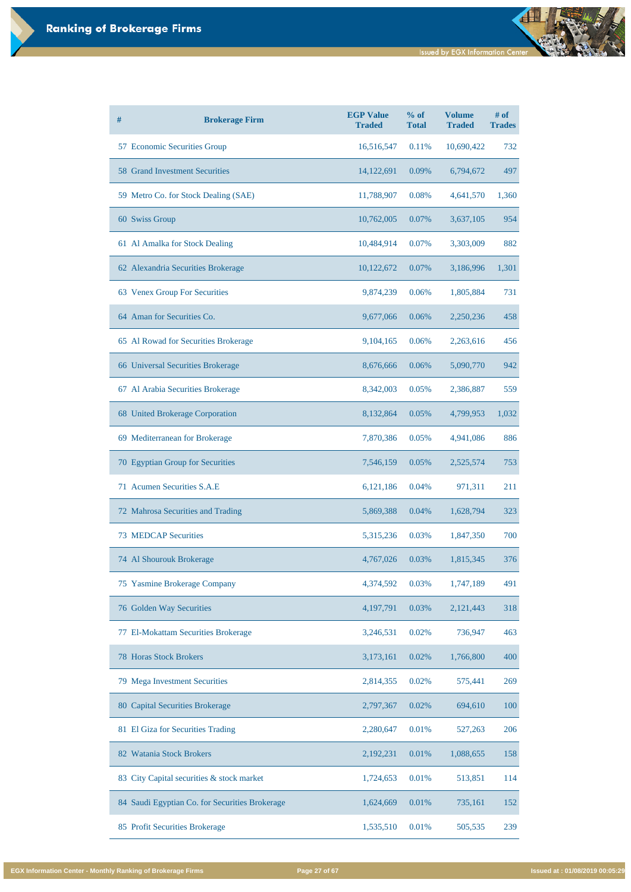| # | <b>Brokerage Firm</b>                 | <b>EGP Value</b><br><b>Traded</b> | % of<br><b>Total</b> | <b>Volume</b><br><b>Traded</b> | $#$ of<br><b>Trades</b> |
|---|---------------------------------------|-----------------------------------|----------------------|--------------------------------|-------------------------|
|   | 57 Economic Securities Group          | 16,516,547                        | 0.11%                | 10,690,422                     | 732                     |
|   | <b>58 Grand Investment Securities</b> | 14,122,691                        | 0.09%                | 6,794,672                      | 497                     |
|   | 59 Metro Co. for Stock Dealing (SAE)  | 11,788,907                        | 0.08%                | 4,641,570                      | 1,360                   |
|   | 60 Swiss Group                        | 10,762,005                        | 0.07%                | 3,637,105                      | 954                     |
|   | 61 Al Amalka for Stock Dealing        | 10,484,914                        | 0.07%                | 3,303,009                      | 882                     |
|   | 62 Alexandria Securities Brokerage    | 10,122,672                        | 0.07%                | 3,186,996                      | 1,301                   |
|   | 63 Venex Group For Securities         | 9,874,239                         | 0.06%                | 1,805,884                      | 731                     |
|   | 64 Aman for Securities Co.            | 9,677,066                         | 0.06%                | 2,250,236                      | 458                     |
|   | 65 Al Rowad for Securities Brokerage  | 9,104,165                         | 0.06%                | 2,263,616                      | 456                     |
|   | 66 Universal Securities Brokerage     | 8,676,666                         | 0.06%                | 5,090,770                      | 942                     |
|   | 67 Al Arabia Securities Brokerage     | 8,342,003                         | 0.05%                | 2,386,887                      | 559                     |
|   | 68 United Brokerage Corporation       | 8,132,864                         | 0.05%                | 4,799,953                      | 1,032                   |
|   | 69 Mediterranean for Brokerage        | 7,870,386                         | 0.05%                | 4,941,086                      | 886                     |
|   | 70 Egyptian Group for Securities      | 7,546,159                         | 0.05%                | 2,525,574                      | 753                     |
|   | 71 Acumen Securities S.A.E            | 6,121,186                         | 0.04%                | 971,311                        | 211                     |
|   | 72 Mahrosa Securities and Trading     | 5,869,388                         | 0.04%                | 1,628,794                      | 323                     |
|   | <b>73 MEDCAP Securities</b>           | 5,315,236                         | 0.03%                | 1,847,350                      | 700                     |
|   | 74 Al Shourouk Brokerage              | 4,767,026                         | 0.03%                | 1,815,345                      | 376                     |
|   | 75 Yasmine Brokerage Company          | 4,374,592                         | 0.03%                | 1,747,189                      | 491                     |
|   | 76 Golden Way Securities              | 4,197,791                         | 0.03%                | 2,121,443                      | 318                     |
|   | 77 El-Mokattam Securities Brokerage   | 3,246,531                         | 0.02%                | 736,947                        | 463                     |

| <b>78 Horas Stock Brokers</b>                  | 3,173,161 | 0.02% | 1,766,800 | 400 |
|------------------------------------------------|-----------|-------|-----------|-----|
| 79 Mega Investment Securities                  | 2,814,355 | 0.02% | 575,441   | 269 |
| 80 Capital Securities Brokerage                | 2,797,367 | 0.02% | 694,610   | 100 |
| 81 El Giza for Securities Trading              | 2,280,647 | 0.01% | 527,263   | 206 |
| 82 Watania Stock Brokers                       | 2,192,231 | 0.01% | 1,088,655 | 158 |
| 83 City Capital securities & stock market      | 1,724,653 | 0.01% | 513,851   | 114 |
| 84 Saudi Egyptian Co. for Securities Brokerage | 1,624,669 | 0.01% | 735,161   | 152 |
| 85 Profit Securities Brokerage                 | 1,535,510 | 0.01% | 505,535   | 239 |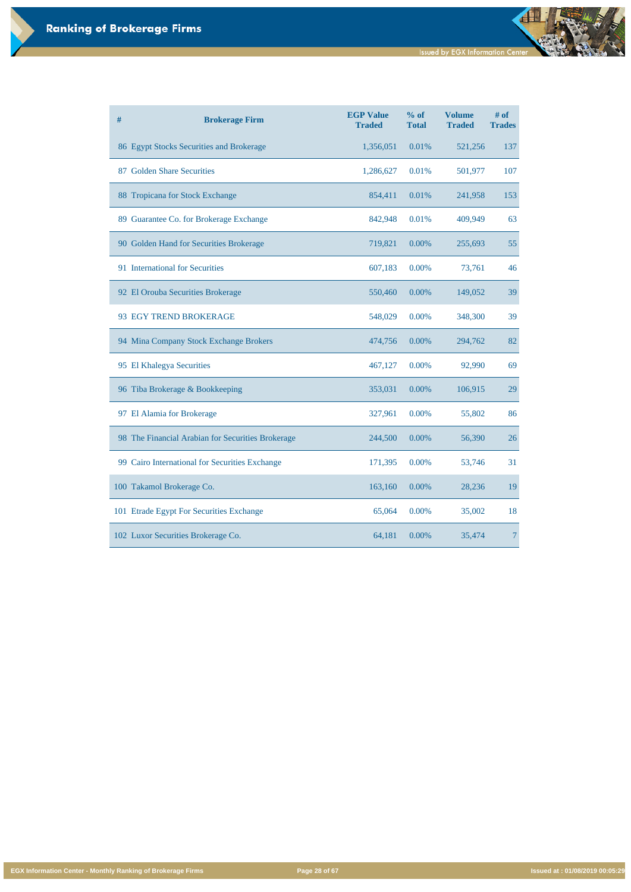đ

**EGX Information Center - Monthly Ranking of Brokerage Firms Page 28 of 67 Issued at : 01/08/2019 00:05:29**

| # | <b>Brokerage Firm</b>                             | <b>EGP Value</b><br><b>Traded</b> | $%$ of<br><b>Total</b> | <b>Volume</b><br><b>Traded</b> | # of<br><b>Trades</b> |
|---|---------------------------------------------------|-----------------------------------|------------------------|--------------------------------|-----------------------|
|   | 86 Egypt Stocks Securities and Brokerage          | 1,356,051                         | 0.01%                  | 521,256                        | 137                   |
|   | 87 Golden Share Securities                        | 1,286,627                         | 0.01%                  | 501,977                        | 107                   |
|   | 88 Tropicana for Stock Exchange                   | 854,411                           | 0.01%                  | 241,958                        | 153                   |
|   | 89 Guarantee Co. for Brokerage Exchange           | 842,948                           | 0.01%                  | 409,949                        | 63                    |
|   | 90 Golden Hand for Securities Brokerage           | 719,821                           | 0.00%                  | 255,693                        | 55                    |
|   | 91 International for Securities                   | 607,183                           | 0.00%                  | 73,761                         | 46                    |
|   | 92 El Orouba Securities Brokerage                 | 550,460                           | 0.00%                  | 149,052                        | 39                    |
|   | 93 EGY TREND BROKERAGE                            | 548,029                           | 0.00%                  | 348,300                        | 39                    |
|   | 94 Mina Company Stock Exchange Brokers            | 474,756                           | 0.00%                  | 294,762                        | 82                    |
|   | 95 El Khalegya Securities                         | 467,127                           | 0.00%                  | 92,990                         | 69                    |
|   | 96 Tiba Brokerage & Bookkeeping                   | 353,031                           | 0.00%                  | 106,915                        | 29                    |
|   | 97 El Alamia for Brokerage                        | 327,961                           | 0.00%                  | 55,802                         | 86                    |
|   | 98 The Financial Arabian for Securities Brokerage | 244,500                           | 0.00%                  | 56,390                         | 26                    |
|   | 99 Cairo International for Securities Exchange    | 171,395                           | 0.00%                  | 53,746                         | 31                    |
|   | 100 Takamol Brokerage Co.                         | 163,160                           | 0.00%                  | 28,236                         | 19                    |
|   | 101 Etrade Egypt For Securities Exchange          | 65,064                            | 0.00%                  | 35,002                         | 18                    |
|   | 102 Luxor Securities Brokerage Co.                | 64,181                            | 0.00%                  | 35,474                         | $\overline{7}$        |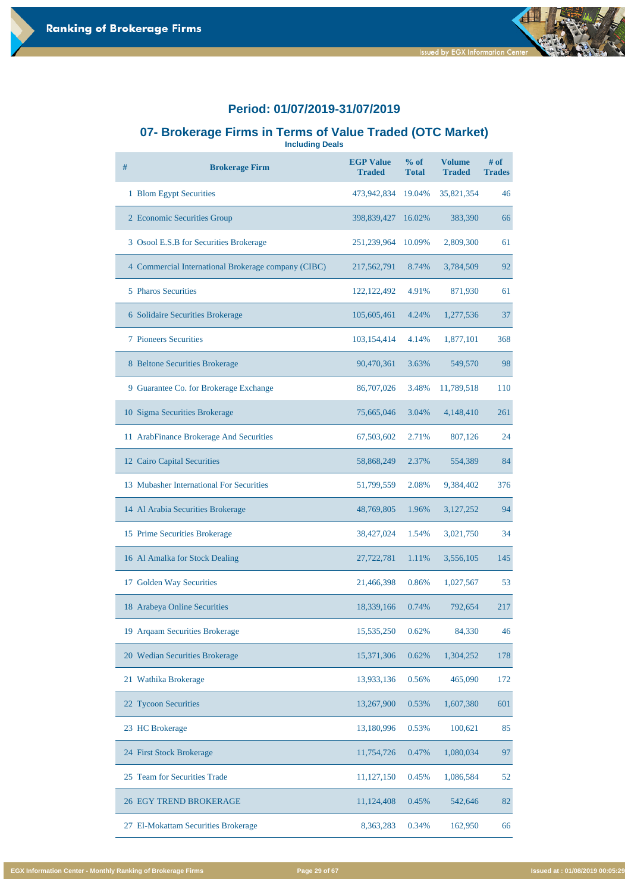# **07- Brokerage Firms in Terms of Value Traded (OTC Market)**

**Including Deals**

| # | <b>Brokerage Firm</b>                               | <b>EGP Value</b><br><b>Traded</b> | % of<br><b>Total</b> | <b>Volume</b><br><b>Traded</b> | $#$ of<br><b>Trades</b> |
|---|-----------------------------------------------------|-----------------------------------|----------------------|--------------------------------|-------------------------|
|   | 1 Blom Egypt Securities                             | 473,942,834                       | 19.04%               | 35,821,354                     | 46                      |
|   | 2 Economic Securities Group                         | 398,839,427                       | 16.02%               | 383,390                        | 66                      |
|   | 3 Osool E.S.B for Securities Brokerage              | 251,239,964                       | 10.09%               | 2,809,300                      | 61                      |
|   | 4 Commercial International Brokerage company (CIBC) | 217,562,791                       | 8.74%                | 3,784,509                      | 92                      |
|   | <b>5 Pharos Securities</b>                          | 122, 122, 492                     | 4.91%                | 871,930                        | 61                      |
|   | 6 Solidaire Securities Brokerage                    | 105,605,461                       | 4.24%                | 1,277,536                      | 37                      |
|   | <b>7 Pioneers Securities</b>                        | 103,154,414                       | 4.14%                | 1,877,101                      | 368                     |
|   | 8 Beltone Securities Brokerage                      | 90,470,361                        | 3.63%                | 549,570                        | 98                      |
|   | 9 Guarantee Co. for Brokerage Exchange              | 86,707,026                        | 3.48%                | 11,789,518                     | 110                     |
|   | 10 Sigma Securities Brokerage                       | 75,665,046                        | 3.04%                | 4,148,410                      | 261                     |
|   | 11 ArabFinance Brokerage And Securities             | 67,503,602                        | 2.71%                | 807,126                        | 24                      |
|   | 12 Cairo Capital Securities                         | 58,868,249                        | 2.37%                | 554,389                        | 84                      |
|   | 13 Mubasher International For Securities            | 51,799,559                        | 2.08%                | 9,384,402                      | 376                     |
|   | 14 Al Arabia Securities Brokerage                   | 48,769,805                        | 1.96%                | 3,127,252                      | 94                      |
|   | 15 Prime Securities Brokerage                       | 38,427,024                        | 1.54%                | 3,021,750                      | 34                      |
|   | 16 Al Amalka for Stock Dealing                      | 27,722,781                        | 1.11%                | 3,556,105                      | 145                     |
|   | 17 Golden Way Securities                            | 21,466,398                        | 0.86%                | 1,027,567                      | 53                      |
|   | 18 Arabeya Online Securities                        | 18,339,166                        | 0.74%                | 792,654                        | 217                     |
|   | 19 Arqaam Securities Brokerage                      | 15,535,250                        | 0.62%                | 84,330                         | 46                      |

| 20 Wedian Securities Brokerage      | 15,371,306 | 0.62% | 1,304,252 | 178 |
|-------------------------------------|------------|-------|-----------|-----|
| 21 Wathika Brokerage                | 13,933,136 | 0.56% | 465,090   | 172 |
| 22 Tycoon Securities                | 13,267,900 | 0.53% | 1,607,380 | 601 |
| 23 HC Brokerage                     | 13,180,996 | 0.53% | 100,621   | 85  |
| 24 First Stock Brokerage            | 11,754,726 | 0.47% | 1,080,034 | 97  |
| 25 Team for Securities Trade        | 11,127,150 | 0.45% | 1,086,584 | 52  |
| <b>EGY TREND BROKERAGE</b><br>26    | 11,124,408 | 0.45% | 542,646   | 82  |
| 27 El-Mokattam Securities Brokerage | 8,363,283  | 0.34% | 162,950   | 66  |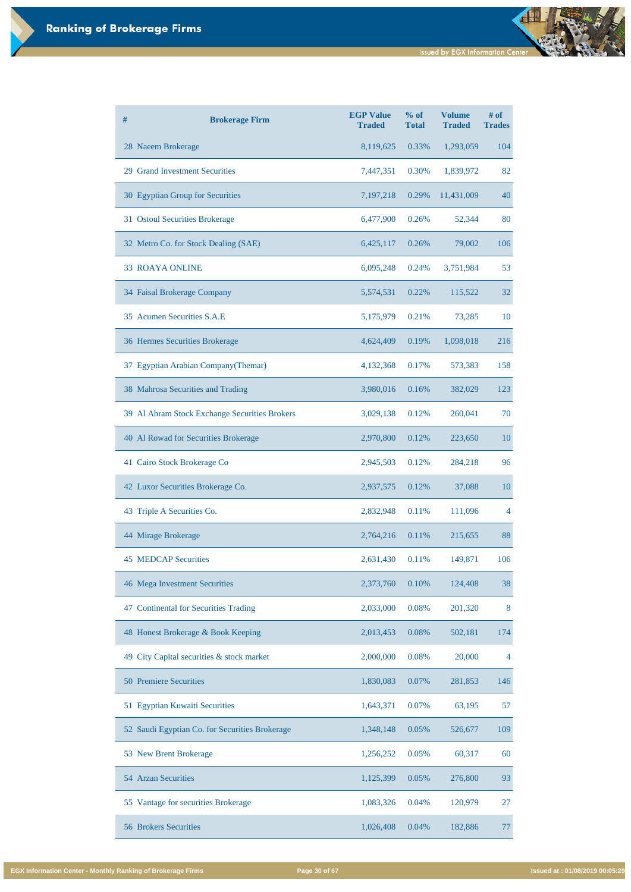đ

| #  | <b>Brokerage Firm</b>                         | <b>EGP Value</b><br><b>Traded</b> | % of<br><b>Total</b> | <b>Volume</b><br><b>Traded</b> | $#$ of<br><b>Trades</b> |
|----|-----------------------------------------------|-----------------------------------|----------------------|--------------------------------|-------------------------|
|    | 28 Naeem Brokerage                            | 8,119,625                         | 0.33%                | 1,293,059                      | 104                     |
|    | 29 Grand Investment Securities                | 7,447,351                         | 0.30%                | 1,839,972                      | 82                      |
|    | 30 Egyptian Group for Securities              | 7,197,218                         | 0.29%                | 11,431,009                     | 40                      |
|    | 31 Ostoul Securities Brokerage                | 6,477,900                         | 0.26%                | 52,344                         | 80                      |
|    | 32 Metro Co. for Stock Dealing (SAE)          | 6,425,117                         | 0.26%                | 79,002                         | 106                     |
|    | <b>33 ROAYA ONLINE</b>                        | 6,095,248                         | 0.24%                | 3,751,984                      | 53                      |
|    | 34 Faisal Brokerage Company                   | 5,574,531                         | 0.22%                | 115,522                        | 32                      |
|    | 35 Acumen Securities S.A.E                    | 5,175,979                         | 0.21%                | 73,285                         | 10                      |
|    | 36 Hermes Securities Brokerage                | 4,624,409                         | 0.19%                | 1,098,018                      | 216                     |
|    | 37 Egyptian Arabian Company (Themar)          | 4,132,368                         | 0.17%                | 573,383                        | 158                     |
|    | 38 Mahrosa Securities and Trading             | 3,980,016                         | 0.16%                | 382,029                        | 123                     |
|    | 39 Al Ahram Stock Exchange Securities Brokers | 3,029,138                         | 0.12%                | 260,041                        | 70                      |
|    | 40 Al Rowad for Securities Brokerage          | 2,970,800                         | 0.12%                | 223,650                        | 10                      |
|    | 41 Cairo Stock Brokerage Co                   | 2,945,503                         | 0.12%                | 284,218                        | 96                      |
|    | 42 Luxor Securities Brokerage Co.             | 2,937,575                         | 0.12%                | 37,088                         | 10                      |
|    | 43 Triple A Securities Co.                    | 2,832,948                         | 0.11%                | 111,096                        | 4                       |
|    | 44 Mirage Brokerage                           | 2,764,216                         | 0.11%                | 215,655                        | 88                      |
|    | <b>45 MEDCAP Securities</b>                   | 2,631,430                         | 0.11%                | 149,871                        | 106                     |
|    | 46 Mega Investment Securities                 | 2,373,760                         | 0.10%                | 124,408                        | 38                      |
| 47 | <b>Continental for Securities Trading</b>     | 2,033,000                         | 0.08%                | 201,320                        | 8                       |
|    | 48 Honest Brokerage & Book Keeping            | 2,013,453                         | 0.08%                | 502,181                        | 174                     |

| City Capital securities & stock market<br>49   | 2,000,000 | 0.08% | 20,000  | 4   |
|------------------------------------------------|-----------|-------|---------|-----|
| <b>50 Premiere Securities</b>                  | 1,830,083 | 0.07% | 281,853 | 146 |
| 51 Egyptian Kuwaiti Securities                 | 1,643,371 | 0.07% | 63,195  | 57  |
| 52 Saudi Egyptian Co. for Securities Brokerage | 1,348,148 | 0.05% | 526,677 | 109 |
| 53 New Brent Brokerage                         | 1,256,252 | 0.05% | 60,317  | 60  |
| 54 Arzan Securities                            | 1,125,399 | 0.05% | 276,800 | 93  |
| 55 Vantage for securities Brokerage            | 1,083,326 | 0.04% | 120,979 | 27  |
| <b>56 Brokers Securities</b>                   | 1,026,408 | 0.04% | 182,886 | 77  |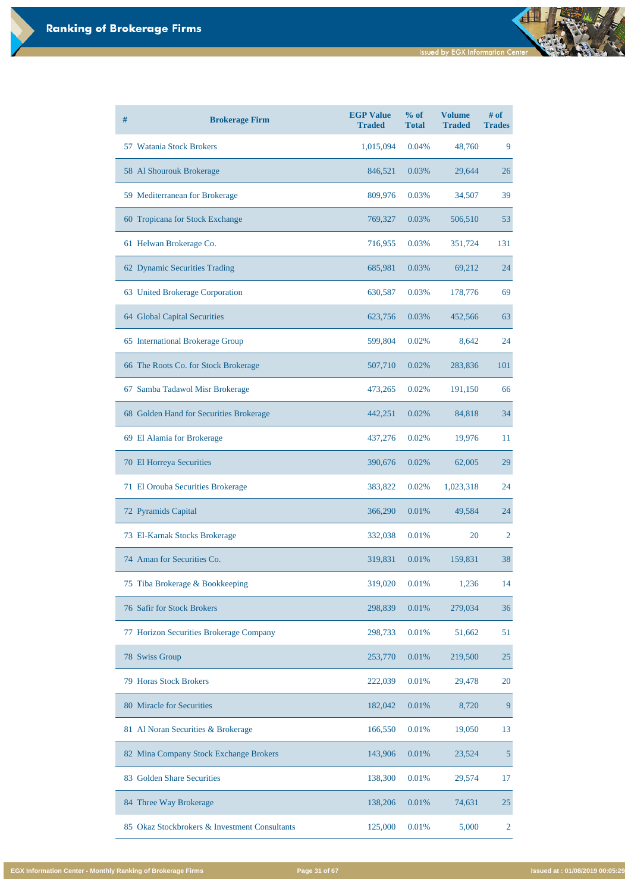| # | <b>Brokerage Firm</b>                   | <b>EGP Value</b><br><b>Traded</b> | % of<br><b>Total</b> | <b>Volume</b><br><b>Traded</b> | # of<br><b>Trades</b> |
|---|-----------------------------------------|-----------------------------------|----------------------|--------------------------------|-----------------------|
|   | 57 Watania Stock Brokers                | 1,015,094                         | 0.04%                | 48,760                         | 9                     |
|   | 58 Al Shourouk Brokerage                | 846,521                           | 0.03%                | 29,644                         | 26                    |
|   | 59 Mediterranean for Brokerage          | 809,976                           | 0.03%                | 34,507                         | 39                    |
|   | 60 Tropicana for Stock Exchange         | 769,327                           | 0.03%                | 506,510                        | 53                    |
|   | 61 Helwan Brokerage Co.                 | 716,955                           | 0.03%                | 351,724                        | 131                   |
|   | 62 Dynamic Securities Trading           | 685,981                           | 0.03%                | 69,212                         | 24                    |
|   | 63 United Brokerage Corporation         | 630,587                           | 0.03%                | 178,776                        | 69                    |
|   | 64 Global Capital Securities            | 623,756                           | 0.03%                | 452,566                        | 63                    |
|   | 65 International Brokerage Group        | 599,804                           | 0.02%                | 8,642                          | 24                    |
|   | 66 The Roots Co. for Stock Brokerage    | 507,710                           | 0.02%                | 283,836                        | 101                   |
|   | 67 Samba Tadawol Misr Brokerage         | 473,265                           | 0.02%                | 191,150                        | 66                    |
|   | 68 Golden Hand for Securities Brokerage | 442,251                           | 0.02%                | 84,818                         | 34                    |
|   | 69 El Alamia for Brokerage              | 437,276                           | 0.02%                | 19,976                         | 11                    |
|   | 70 El Horreya Securities                | 390,676                           | 0.02%                | 62,005                         | 29                    |
|   | 71 El Orouba Securities Brokerage       | 383,822                           | 0.02%                | 1,023,318                      | 24                    |
|   | 72 Pyramids Capital                     | 366,290                           | 0.01%                | 49,584                         | 24                    |
|   | 73 El-Karnak Stocks Brokerage           | 332,038                           | 0.01%                | 20                             | $\overline{2}$        |
|   | 74 Aman for Securities Co.              | 319,831                           | 0.01%                | 159,831                        | 38                    |
|   | 75 Tiba Brokerage & Bookkeeping         | 319,020                           | 0.01%                | 1,236                          | 14                    |
|   | <b>76 Safir for Stock Brokers</b>       | 298,839                           | 0.01%                | 279,034                        | 36                    |
|   | 77 Horizon Securities Brokerage Company | 298,733                           | 0.01%                | 51,662                         | 51                    |

| <b>78 Swiss Group</b>                                       | 253,770 | 0.01% | 219,500 | 25           |
|-------------------------------------------------------------|---------|-------|---------|--------------|
| 79 Horas Stock Brokers                                      | 222,039 | 0.01% | 29,478  | 20           |
| 80 Miracle for Securities                                   | 182,042 | 0.01% | 8,720   | 9            |
| 81 Al Noran Securities & Brokerage                          | 166,550 | 0.01% | 19,050  | 13           |
| 82 Mina Company Stock Exchange Brokers                      | 143,906 | 0.01% | 23,524  | 5            |
| 83 Golden Share Securities                                  | 138,300 | 0.01% | 29,574  | 17           |
| 84 Three Way Brokerage                                      | 138,206 | 0.01% | 74,631  | 25           |
| <b>Okaz Stockbrokers &amp; Investment Consultants</b><br>85 | 125,000 | 0.01% | 5,000   | $\mathbf{2}$ |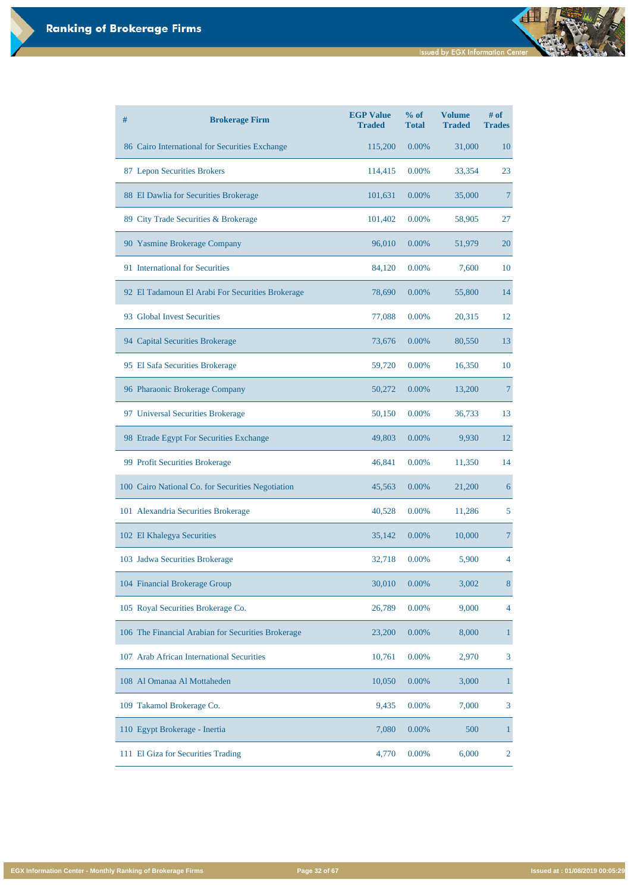| # | <b>Brokerage Firm</b>                              | <b>EGP Value</b><br><b>Traded</b> | % of<br><b>Total</b> | <b>Volume</b><br><b>Traded</b> | $#$ of<br><b>Trades</b> |
|---|----------------------------------------------------|-----------------------------------|----------------------|--------------------------------|-------------------------|
|   | 86 Cairo International for Securities Exchange     | 115,200                           | 0.00%                | 31,000                         | <b>10</b>               |
|   | 87 Lepon Securities Brokers                        | 114,415                           | 0.00%                | 33,354                         | 23                      |
|   | 88 El Dawlia for Securities Brokerage              | 101,631                           | 0.00%                | 35,000                         | 7                       |
|   | 89 City Trade Securities & Brokerage               | 101,402                           | 0.00%                | 58,905                         | 27                      |
|   | 90 Yasmine Brokerage Company                       | 96,010                            | 0.00%                | 51,979                         | 20                      |
|   | 91 International for Securities                    | 84,120                            | 0.00%                | 7,600                          | 10                      |
|   | 92 El Tadamoun El Arabi For Securities Brokerage   | 78,690                            | 0.00%                | 55,800                         | 14                      |
|   | 93 Global Invest Securities                        | 77,088                            | 0.00%                | 20,315                         | 12                      |
|   | 94 Capital Securities Brokerage                    | 73,676                            | 0.00%                | 80,550                         | 13                      |
|   | 95 El Safa Securities Brokerage                    | 59,720                            | 0.00%                | 16,350                         | 10                      |
|   | 96 Pharaonic Brokerage Company                     | 50,272                            | 0.00%                | 13,200                         | 7                       |
|   | 97 Universal Securities Brokerage                  | 50,150                            | 0.00%                | 36,733                         | 13                      |
|   | 98 Etrade Egypt For Securities Exchange            | 49,803                            | 0.00%                | 9,930                          | 12                      |
|   | 99 Profit Securities Brokerage                     | 46,841                            | 0.00%                | 11,350                         | 14                      |
|   | 100 Cairo National Co. for Securities Negotiation  | 45,563                            | 0.00%                | 21,200                         | 6                       |
|   | 101 Alexandria Securities Brokerage                | 40,528                            | 0.00%                | 11,286                         | 5                       |
|   | 102 El Khalegya Securities                         | 35,142                            | 0.00%                | 10,000                         |                         |
|   | 103 Jadwa Securities Brokerage                     | 32,718                            | 0.00%                | 5,900                          | 4                       |
|   | 104 Financial Brokerage Group                      | 30,010                            | 0.00%                | 3,002                          | 8                       |
|   | 105 Royal Securities Brokerage Co.                 | 26,789                            | 0.00%                | 9,000                          | 4                       |
|   | 106 The Financial Arabian for Securities Brokerage | 23,200                            | 0.00%                | 8,000                          |                         |

| 107 Arab African International Securities | 10,761 | $0.00\%$ | 2,970 | 3                     |
|-------------------------------------------|--------|----------|-------|-----------------------|
| 108 Al Omanaa Al Mottaheden               | 10,050 | $0.00\%$ | 3,000 |                       |
| 109 Takamol Brokerage Co.                 | 9,435  | $0.00\%$ | 7,000 | 3                     |
| 110 Egypt Brokerage - Inertia             | 7,080  | $0.00\%$ | 500   |                       |
| 111 El Giza for Securities Trading        | 4,770  | $0.00\%$ | 6,000 | $\mathcal{D}_{\cdot}$ |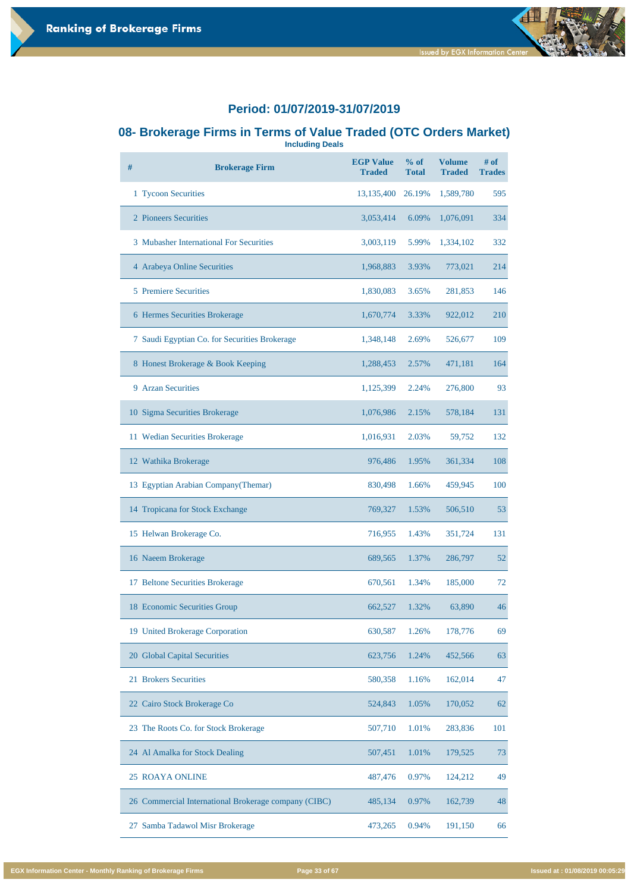#### **08- Brokerage Firms in Terms of Value Traded (OTC Orders Market) Including Deals**

**# Brokerage Firm EGP Value Traded % of Total Volume Traded # of Trades** 1 Tycoon Securities 13,135,400 26.19% 1,589,780 595 2 Pioneers Securities 3,053,414 6.09% 1,076,091 334 3 Mubasher International For Securities 3,003,119 5.99% 1,334,102 332 4 Arabeya Online Securities 1,968,883 3.93% 773,021 214 5 Premiere Securities 1,830,083 3.65% 281,853 146 6 Hermes Securities Brokerage 1,670,774 3.33% 922,012 210 7 Saudi Egyptian Co. for Securities Brokerage 1,348,148 2.69% 526,677 109 8 Honest Brokerage & Book Keeping 1,288,453 2.57% 471,181 164 9 Arzan Securities 1,125,399 2.24% 276,800 93 10 Sigma Securities Brokerage 1,076,986 2.15% 578,184 131 11 Wedian Securities Brokerage 1,016,931 2.03% 59,752 132 12 Wathika Brokerage 976,486 1.95% 361,334 108 13 Egyptian Arabian Company(Themar) 830,498 1.66% 459,945 100 14 Tropicana for Stock Exchange 769,327 1.53% 506,510 53 15 Helwan Brokerage Co. 716,955 1.43% 351,724 131 16 Naeem Brokerage 689,565 1.37% 286,797 52 17 Beltone Securities Brokerage 670,561 1.34% 185,000 72 18 Economic Securities Group 662,527 1.32% 63,890 46 19 United Brokerage Corporation 630,587 1.26% 178,776 69

| 20 Global Capital Securities                         | 623,756 | 1.24% | 452,566 | 63  |
|------------------------------------------------------|---------|-------|---------|-----|
| 21 Brokers Securities                                | 580,358 | 1.16% | 162,014 | 47  |
| 22 Cairo Stock Brokerage Co                          | 524,843 | 1.05% | 170,052 | 62  |
| 23 The Roots Co. for Stock Brokerage                 | 507,710 | 1.01% | 283,836 | 101 |
| 24 Al Amalka for Stock Dealing                       | 507,451 | 1.01% | 179,525 | 73  |
| <b>25 ROAYA ONLINE</b>                               | 487,476 | 0.97% | 124,212 | 49  |
| 26 Commercial International Brokerage company (CIBC) | 485,134 | 0.97% | 162,739 | 48  |
| 27 Samba Tadawol Misr Brokerage                      | 473,265 | 0.94% | 191,150 | 66  |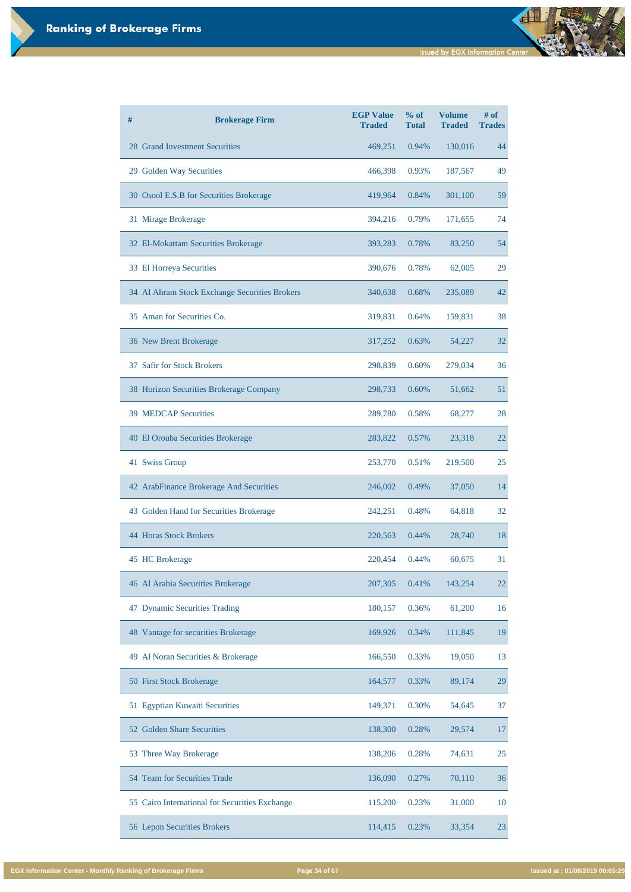đ

| # | <b>Brokerage Firm</b>                         | <b>EGP Value</b><br><b>Traded</b> | % of<br><b>Total</b> | <b>Volume</b><br><b>Traded</b> | # of<br><b>Trades</b> |
|---|-----------------------------------------------|-----------------------------------|----------------------|--------------------------------|-----------------------|
|   | <b>28 Grand Investment Securities</b>         | 469,251                           | 0.94%                | 130,016                        | 44                    |
|   | 29 Golden Way Securities                      | 466,398                           | 0.93%                | 187,567                        | 49                    |
|   | 30 Osool E.S.B for Securities Brokerage       | 419,964                           | 0.84%                | 301,100                        | 59                    |
|   | 31 Mirage Brokerage                           | 394,216                           | 0.79%                | 171,655                        | 74                    |
|   | 32 El-Mokattam Securities Brokerage           | 393,283                           | 0.78%                | 83,250                         | 54                    |
|   | 33 El Horreya Securities                      | 390,676                           | 0.78%                | 62,005                         | 29                    |
|   | 34 Al Ahram Stock Exchange Securities Brokers | 340,638                           | 0.68%                | 235,089                        | 42                    |
|   | 35 Aman for Securities Co.                    | 319,831                           | 0.64%                | 159,831                        | 38                    |
|   | 36 New Brent Brokerage                        | 317,252                           | 0.63%                | 54,227                         | 32                    |
|   | 37 Safir for Stock Brokers                    | 298,839                           | 0.60%                | 279,034                        | 36                    |
|   | 38 Horizon Securities Brokerage Company       | 298,733                           | 0.60%                | 51,662                         | 51                    |
|   | <b>39 MEDCAP Securities</b>                   | 289,780                           | 0.58%                | 68,277                         | 28                    |
|   | 40 El Orouba Securities Brokerage             | 283,822                           | 0.57%                | 23,318                         | 22                    |
|   | 41 Swiss Group                                | 253,770                           | 0.51%                | 219,500                        | 25                    |
|   | 42 ArabFinance Brokerage And Securities       | 246,002                           | 0.49%                | 37,050                         | 14                    |
|   | 43 Golden Hand for Securities Brokerage       | 242,251                           | 0.48%                | 64,818                         | 32                    |
|   | <b>44 Horas Stock Brokers</b>                 | 220,563                           | 0.44%                | 28,740                         | 18                    |
|   | 45 HC Brokerage                               | 220,454                           | 0.44%                | 60,675                         | 31                    |
|   | 46 Al Arabia Securities Brokerage             | 207,305                           | 0.41%                | 143,254                        | 22                    |
|   | 47 Dynamic Securities Trading                 | 180,157                           | 0.36%                | 61,200                         | 16                    |
|   | 48 Vantage for securities Brokerage           | 169,926                           | 0.34%                | 111,845                        | 19                    |

| 49 Al Noran Securities & Brokerage             | 166,550 | 0.33% | 19,050 | 13 |
|------------------------------------------------|---------|-------|--------|----|
| 50 First Stock Brokerage                       | 164,577 | 0.33% | 89,174 | 29 |
| 51 Egyptian Kuwaiti Securities                 | 149,371 | 0.30% | 54,645 | 37 |
| 52 Golden Share Securities                     | 138,300 | 0.28% | 29,574 | 17 |
| 53 Three Way Brokerage                         | 138,206 | 0.28% | 74,631 | 25 |
| 54 Team for Securities Trade                   | 136,090 | 0.27% | 70,110 | 36 |
| 55 Cairo International for Securities Exchange | 115,200 | 0.23% | 31,000 | 10 |
| <b>56 Lepon Securities Brokers</b>             | 114,415 | 0.23% | 33,354 | 23 |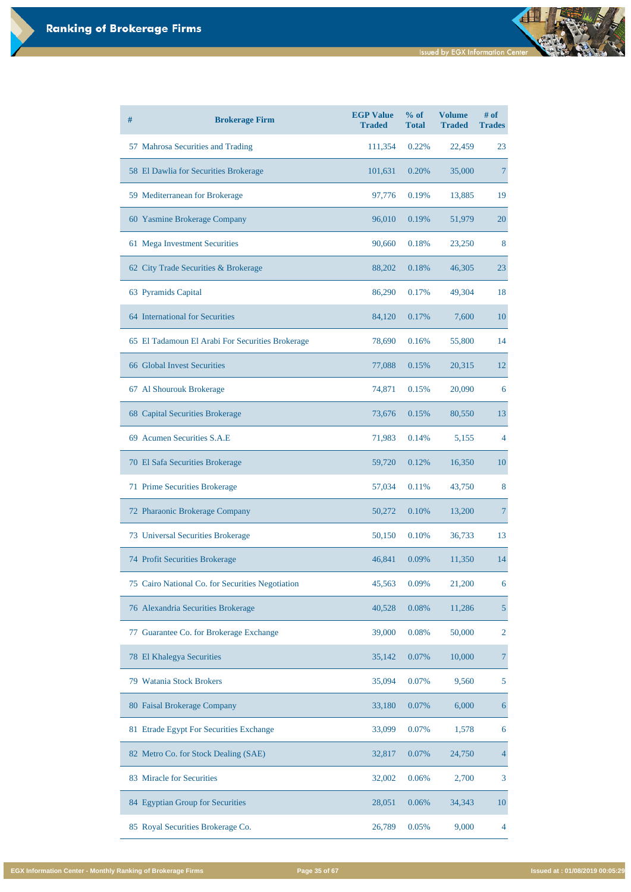| #  | <b>Brokerage Firm</b>                            | <b>EGP Value</b><br><b>Traded</b> | % of<br><b>Total</b> | <b>Volume</b><br><b>Traded</b> | $#$ of<br><b>Trades</b> |
|----|--------------------------------------------------|-----------------------------------|----------------------|--------------------------------|-------------------------|
|    | 57 Mahrosa Securities and Trading                | 111,354                           | 0.22%                | 22,459                         | 23                      |
|    | 58 El Dawlia for Securities Brokerage            | 101,631                           | 0.20%                | 35,000                         | 7                       |
|    | 59 Mediterranean for Brokerage                   | 97,776                            | 0.19%                | 13,885                         | 19                      |
|    | 60 Yasmine Brokerage Company                     | 96,010                            | 0.19%                | 51,979                         | <b>20</b>               |
|    | 61 Mega Investment Securities                    | 90,660                            | 0.18%                | 23,250                         | 8                       |
|    | 62 City Trade Securities & Brokerage             | 88,202                            | 0.18%                | 46,305                         | 23                      |
|    | 63 Pyramids Capital                              | 86,290                            | 0.17%                | 49,304                         | 18                      |
|    | 64 International for Securities                  | 84,120                            | 0.17%                | 7,600                          | 10                      |
|    | 65 El Tadamoun El Arabi For Securities Brokerage | 78,690                            | 0.16%                | 55,800                         | 14                      |
|    | <b>66 Global Invest Securities</b>               | 77,088                            | 0.15%                | 20,315                         | 12                      |
|    | 67 Al Shourouk Brokerage                         | 74,871                            | 0.15%                | 20,090                         | 6                       |
|    | 68 Capital Securities Brokerage                  | 73,676                            | 0.15%                | 80,550                         | 13                      |
|    | 69 Acumen Securities S.A.E                       | 71,983                            | 0.14%                | 5,155                          | 4                       |
|    | 70 El Safa Securities Brokerage                  | 59,720                            | 0.12%                | 16,350                         | 10                      |
|    | 71 Prime Securities Brokerage                    | 57,034                            | 0.11%                | 43,750                         | 8                       |
|    | 72 Pharaonic Brokerage Company                   | 50,272                            | 0.10%                | 13,200                         | 7                       |
|    | 73 Universal Securities Brokerage                | 50,150                            | 0.10%                | 36,733                         | 13                      |
|    | 74 Profit Securities Brokerage                   | 46,841                            | 0.09%                | 11,350                         | 14                      |
|    | 75 Cairo National Co. for Securities Negotiation | 45,563                            | 0.09%                | 21,200                         | 6                       |
|    | 76 Alexandria Securities Brokerage               | 40,528                            | 0.08%                | 11,286                         | 5                       |
| 77 | Guarantee Co. for Brokerage Exchange             | 39,000                            | 0.08%                | 50,000                         | $\overline{2}$          |

| 78 El Khalegya Securities               | 35,142 | 0.07%    | 10,000 |                |
|-----------------------------------------|--------|----------|--------|----------------|
| 79 Watania Stock Brokers                | 35,094 | $0.07\%$ | 9,560  | 5              |
| 80 Faisal Brokerage Company             | 33,180 | 0.07%    | 6,000  | 6              |
| 81 Etrade Egypt For Securities Exchange | 33,099 | $0.07\%$ | 1,578  | 6              |
| 82 Metro Co. for Stock Dealing (SAE)    | 32,817 | 0.07%    | 24,750 | $\overline{4}$ |
| 83 Miracle for Securities               | 32,002 | 0.06%    | 2,700  | 3              |
| 84 Egyptian Group for Securities        | 28,051 | 0.06%    | 34,343 | 10             |
| 85 Royal Securities Brokerage Co.       | 26,789 | 0.05%    | 9,000  | $\overline{4}$ |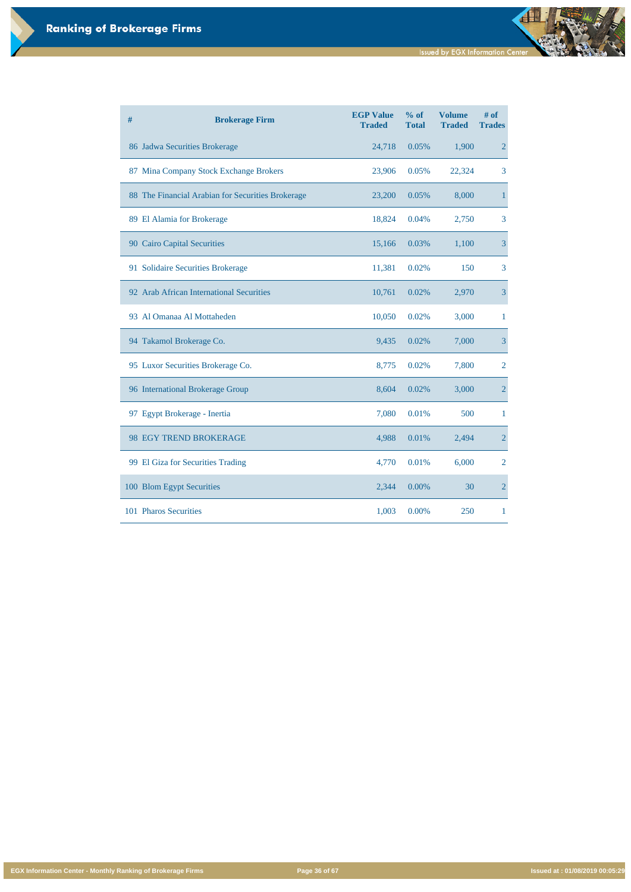**Issued by EGX Information Center** 

d

**EGX Information Center - Monthly Ranking of Brokerage Firms Page 36 of 67 Issued at : 01/08/2019 00:05:29**

| # | <b>Brokerage Firm</b>                             | <b>EGP Value</b><br><b>Traded</b> | % of<br><b>Total</b> | <b>Volume</b><br><b>Traded</b> | # of<br><b>Trades</b> |
|---|---------------------------------------------------|-----------------------------------|----------------------|--------------------------------|-----------------------|
|   | 86 Jadwa Securities Brokerage                     | 24,718                            | 0.05%                | 1,900                          | $\overline{2}$        |
|   | 87 Mina Company Stock Exchange Brokers            | 23,906                            | 0.05%                | 22,324                         | 3                     |
|   | 88 The Financial Arabian for Securities Brokerage | 23,200                            | 0.05%                | 8,000                          | $\mathbf{1}$          |
|   | 89 El Alamia for Brokerage                        | 18,824                            | 0.04%                | 2,750                          | 3                     |
|   | 90 Cairo Capital Securities                       | 15,166                            | 0.03%                | 1,100                          | $\mathfrak{Z}$        |
|   | 91 Solidaire Securities Brokerage                 | 11,381                            | 0.02%                | 150                            | 3                     |
|   | 92 Arab African International Securities          | 10,761                            | 0.02%                | 2,970                          | $\overline{3}$        |
|   | 93 Al Omanaa Al Mottaheden                        | 10,050                            | 0.02%                | 3,000                          | $\mathbf{1}$          |
|   | 94 Takamol Brokerage Co.                          | 9,435                             | 0.02%                | 7,000                          | 3                     |
|   | 95 Luxor Securities Brokerage Co.                 | 8,775                             | 0.02%                | 7,800                          | $\overline{2}$        |
|   | 96 International Brokerage Group                  | 8,604                             | 0.02%                | 3,000                          | $\overline{2}$        |
|   | 97 Egypt Brokerage - Inertia                      | 7,080                             | 0.01%                | 500                            | $\mathbf{1}$          |
|   | 98 EGY TREND BROKERAGE                            | 4,988                             | 0.01%                | 2,494                          | $\overline{2}$        |
|   | 99 El Giza for Securities Trading                 | 4,770                             | 0.01%                | 6,000                          | $\overline{2}$        |
|   | 100 Blom Egypt Securities                         | 2,344                             | 0.00%                | 30                             | $\overline{2}$        |
|   | 101 Pharos Securities                             | 1,003                             | 0.00%                | 250                            | $\mathbf{1}$          |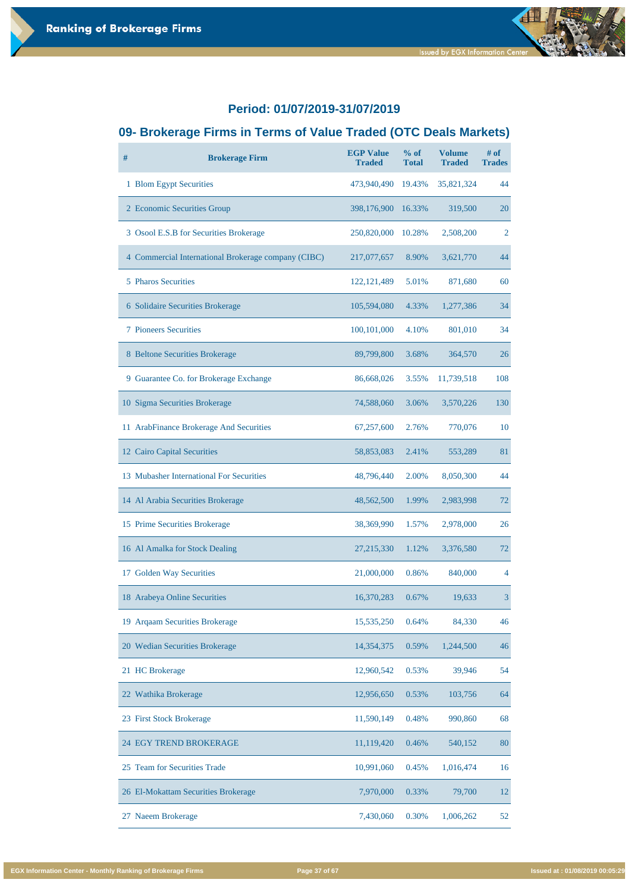# **09- Brokerage Firms in Terms of Value Traded (OTC Deals Markets)**

| # | <b>Brokerage Firm</b>                               | <b>EGP Value</b><br><b>Traded</b> | % of<br><b>Total</b> | <b>Volume</b><br><b>Traded</b> | $#$ of<br><b>Trades</b> |
|---|-----------------------------------------------------|-----------------------------------|----------------------|--------------------------------|-------------------------|
|   | 1 Blom Egypt Securities                             | 473,940,490                       | 19.43%               | 35,821,324                     | 44                      |
|   | 2 Economic Securities Group                         | 398,176,900                       | 16.33%               | 319,500                        | 20                      |
|   | 3 Osool E.S.B for Securities Brokerage              | 250,820,000                       | 10.28%               | 2,508,200                      | $\overline{2}$          |
|   | 4 Commercial International Brokerage company (CIBC) | 217,077,657                       | 8.90%                | 3,621,770                      | 44                      |
|   | <b>5 Pharos Securities</b>                          | 122, 121, 489                     | 5.01%                | 871,680                        | 60                      |
|   | 6 Solidaire Securities Brokerage                    | 105,594,080                       | 4.33%                | 1,277,386                      | 34                      |
|   | <b>7 Pioneers Securities</b>                        | 100,101,000                       | 4.10%                | 801,010                        | 34                      |
|   | 8 Beltone Securities Brokerage                      | 89,799,800                        | 3.68%                | 364,570                        | 26                      |
|   | 9 Guarantee Co. for Brokerage Exchange              | 86,668,026                        | 3.55%                | 11,739,518                     | 108                     |
|   | 10 Sigma Securities Brokerage                       | 74,588,060                        | 3.06%                | 3,570,226                      | 130                     |
|   | 11 ArabFinance Brokerage And Securities             | 67,257,600                        | 2.76%                | 770,076                        | 10                      |
|   | 12 Cairo Capital Securities                         | 58,853,083                        | 2.41%                | 553,289                        | 81                      |
|   | 13 Mubasher International For Securities            | 48,796,440                        | 2.00%                | 8,050,300                      | 44                      |
|   | 14 Al Arabia Securities Brokerage                   | 48,562,500                        | 1.99%                | 2,983,998                      | 72                      |
|   | 15 Prime Securities Brokerage                       | 38,369,990                        | 1.57%                | 2,978,000                      | 26                      |
|   | 16 Al Amalka for Stock Dealing                      | 27,215,330                        | 1.12%                | 3,376,580                      | 72                      |
|   | 17 Golden Way Securities                            | 21,000,000                        | 0.86%                | 840,000                        | 4                       |
|   | 18 Arabeya Online Securities                        | 16,370,283                        | 0.67%                | 19,633                         | $\mathfrak{Z}$          |
|   | 19 Arqaam Securities Brokerage                      | 15,535,250                        | 0.64%                | 84,330                         | 46                      |
|   | 20 Wedian Securities Brokerage                      | 14,354,375                        | 0.59%                | 1,244,500                      | 46                      |
|   | 21 HC Brokerage                                     | 12,960,542                        | 0.53%                | 39,946                         | 54                      |
|   | 22 Wathika Brokerage                                | 12,956,650                        | 0.53%                | 103,756                        | 64                      |
|   | 23 First Stock Brokerage                            | 11,590,149                        | 0.48%                | 990,860                        | 68                      |
|   | <b>24 EGY TREND BROKERAGE</b>                       | 11,119,420                        | 0.46%                | 540,152                        | 80                      |
|   | 25 Team for Securities Trade                        | 10,991,060                        | 0.45%                | 1,016,474                      | 16                      |
|   | 26 El-Mokattam Securities Brokerage                 | 7,970,000                         | 0.33%                | 79,700                         | 12                      |
|   | 27 Naeem Brokerage                                  | 7,430,060                         | 0.30%                | 1,006,262                      | 52                      |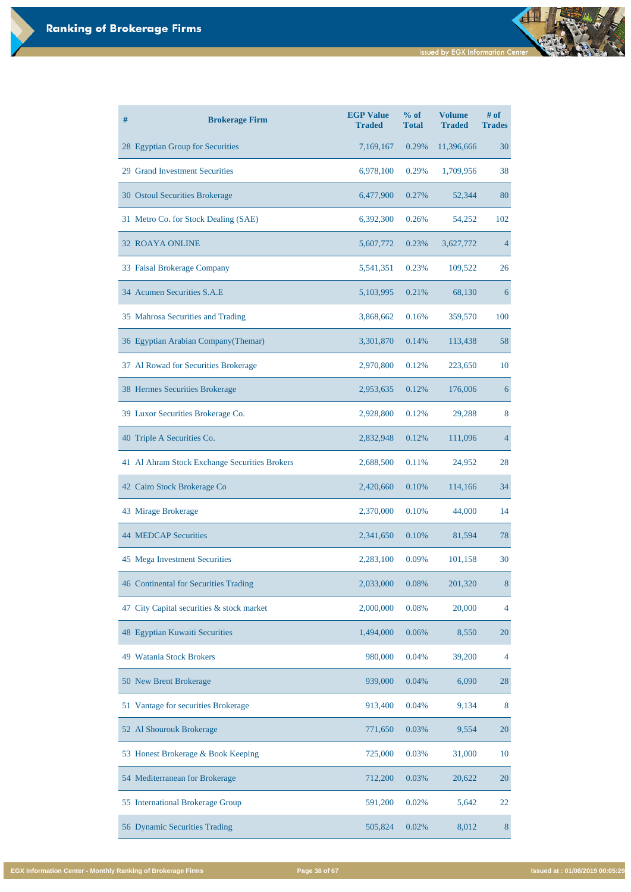| #<br><b>Brokerage Firm</b>                    | <b>EGP Value</b><br><b>Traded</b> | % of<br><b>Total</b> | <b>Volume</b><br><b>Traded</b> | # of<br><b>Trades</b> |
|-----------------------------------------------|-----------------------------------|----------------------|--------------------------------|-----------------------|
| 28 Egyptian Group for Securities              | 7,169,167                         | 0.29%                | 11,396,666                     | 30                    |
| 29 Grand Investment Securities                | 6,978,100                         | 0.29%                | 1,709,956                      | 38                    |
| 30 Ostoul Securities Brokerage                | 6,477,900                         | 0.27%                | 52,344                         | 80                    |
| 31 Metro Co. for Stock Dealing (SAE)          | 6,392,300                         | 0.26%                | 54,252                         | 102                   |
| <b>32 ROAYA ONLINE</b>                        | 5,607,772                         | 0.23%                | 3,627,772                      | 4                     |
| 33 Faisal Brokerage Company                   | 5,541,351                         | 0.23%                | 109,522                        | 26                    |
| 34 Acumen Securities S.A.E                    | 5,103,995                         | 0.21%                | 68,130                         | 6                     |
| 35 Mahrosa Securities and Trading             | 3,868,662                         | 0.16%                | 359,570                        | 100                   |
| 36 Egyptian Arabian Company (Themar)          | 3,301,870                         | 0.14%                | 113,438                        | 58                    |
| 37 Al Rowad for Securities Brokerage          | 2,970,800                         | 0.12%                | 223,650                        | 10                    |
| 38 Hermes Securities Brokerage                | 2,953,635                         | 0.12%                | 176,006                        | 6                     |
| 39 Luxor Securities Brokerage Co.             | 2,928,800                         | 0.12%                | 29,288                         | 8                     |
| 40 Triple A Securities Co.                    | 2,832,948                         | 0.12%                | 111,096                        | $\overline{4}$        |
| 41 Al Ahram Stock Exchange Securities Brokers | 2,688,500                         | 0.11%                | 24,952                         | 28                    |
| 42 Cairo Stock Brokerage Co                   | 2,420,660                         | 0.10%                | 114,166                        | 34                    |
| 43 Mirage Brokerage                           | 2,370,000                         | 0.10%                | 44,000                         | 14                    |
| <b>44 MEDCAP Securities</b>                   | 2,341,650                         | 0.10%                | 81,594                         | 78                    |
| 45 Mega Investment Securities                 | 2,283,100                         | 0.09%                | 101,158                        | 30                    |
| 46 Continental for Securities Trading         | 2,033,000                         | 0.08%                | 201,320                        | 8                     |
| City Capital securities & stock market<br>47  | 2,000,000                         | 0.08%                | 20,000                         | 4                     |
| 48 Egyptian Kuwaiti Securities                | 1,494,000                         | 0.06%                | 8,550                          | 20                    |

| 49 Watania Stock Brokers            | 980,000 | 0.04% | 39,200 | 4  |
|-------------------------------------|---------|-------|--------|----|
| 50 New Brent Brokerage              | 939,000 | 0.04% | 6,090  | 28 |
| 51 Vantage for securities Brokerage | 913,400 | 0.04% | 9,134  | 8  |
| 52 Al Shourouk Brokerage            | 771,650 | 0.03% | 9,554  | 20 |
| 53 Honest Brokerage & Book Keeping  | 725,000 | 0.03% | 31,000 | 10 |
| 54 Mediterranean for Brokerage      | 712,200 | 0.03% | 20,622 | 20 |
| 55 International Brokerage Group    | 591,200 | 0.02% | 5,642  | 22 |
| 56 Dynamic Securities Trading       | 505,824 | 0.02% | 8,012  | 8  |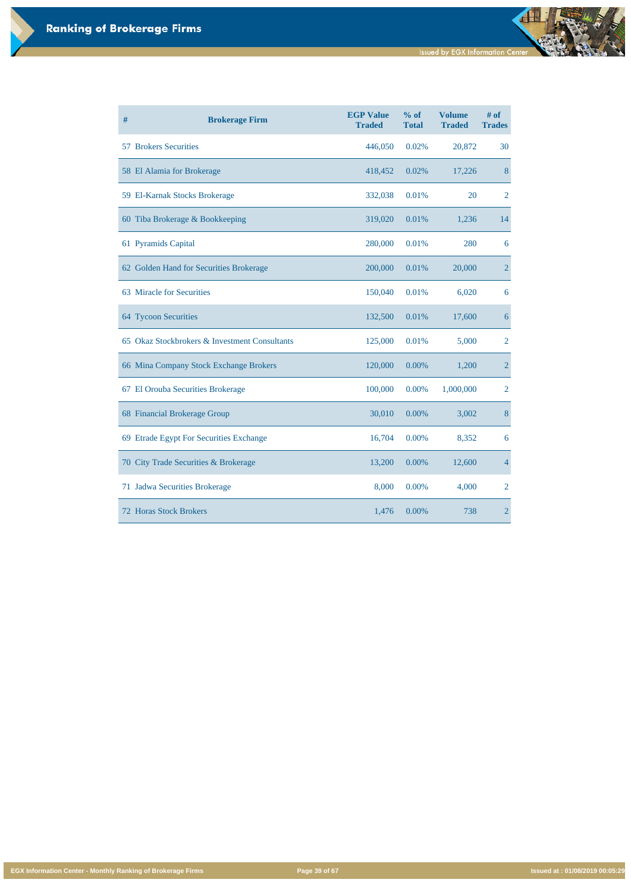**EGX Information Center - Monthly Ranking of Brokerage Firms Page 39 of 67 Issued at : 01/08/2019 00:05:29**

| <b>Brokerage Firm</b><br>#                    | <b>EGP Value</b><br><b>Traded</b> | % of<br><b>Total</b> | <b>Volume</b><br><b>Traded</b> | # of<br><b>Trades</b> |
|-----------------------------------------------|-----------------------------------|----------------------|--------------------------------|-----------------------|
| <b>57 Brokers Securities</b>                  | 446,050                           | 0.02%                | 20,872                         | 30                    |
| 58 El Alamia for Brokerage                    | 418,452                           | 0.02%                | 17,226                         | 8                     |
| 59 El-Karnak Stocks Brokerage                 | 332,038                           | 0.01%                | 20                             | $\overline{2}$        |
| 60 Tiba Brokerage & Bookkeeping               | 319,020                           | 0.01%                | 1,236                          | 14                    |
| 61 Pyramids Capital                           | 280,000                           | 0.01%                | 280                            | 6                     |
| 62 Golden Hand for Securities Brokerage       | 200,000                           | 0.01%                | 20,000                         | $\overline{2}$        |
| 63 Miracle for Securities                     | 150,040                           | 0.01%                | 6,020                          | 6                     |
| 64 Tycoon Securities                          | 132,500                           | 0.01%                | 17,600                         | 6                     |
| 65 Okaz Stockbrokers & Investment Consultants | 125,000                           | 0.01%                | 5,000                          | $\overline{2}$        |
| 66 Mina Company Stock Exchange Brokers        | 120,000                           | 0.00%                | 1,200                          | $\overline{2}$        |
| 67 El Orouba Securities Brokerage             | 100,000                           | 0.00%                | 1,000,000                      | $\overline{2}$        |
| 68 Financial Brokerage Group                  | 30,010                            | 0.00%                | 3,002                          | 8                     |
| 69 Etrade Egypt For Securities Exchange       | 16,704                            | 0.00%                | 8,352                          | 6                     |
| 70 City Trade Securities & Brokerage          | 13,200                            | 0.00%                | 12,600                         | $\overline{4}$        |
| 71 Jadwa Securities Brokerage                 | 8,000                             | 0.00%                | 4,000                          | $\overline{2}$        |
| <b>72 Horas Stock Brokers</b>                 | 1,476                             | 0.00%                | 738                            | $\overline{2}$        |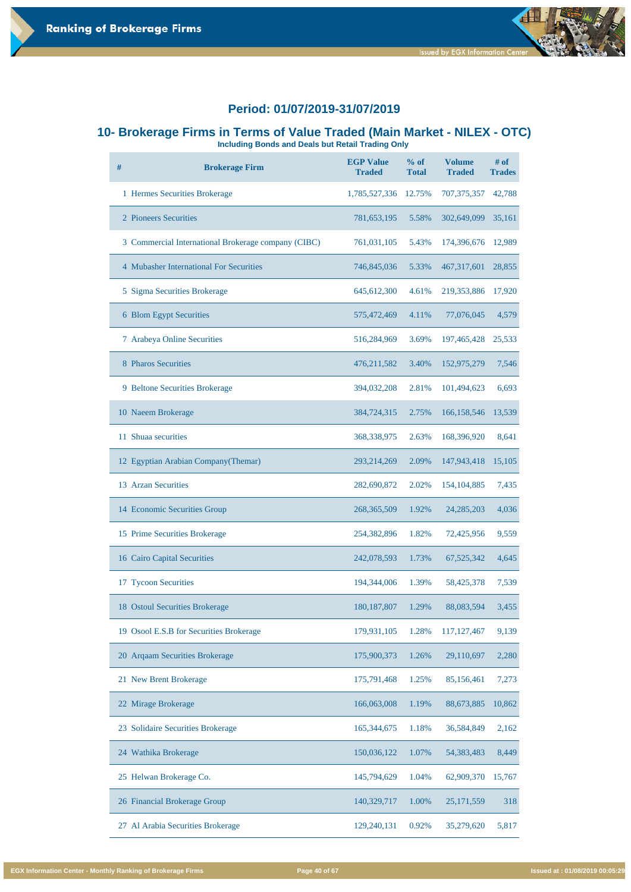# **10- Brokerage Firms in Terms of Value Traded (Main Market - NILEX - OTC)**

**Including Bonds and Deals but Retail Trading Only** 

| # | <b>Brokerage Firm</b>                               | <b>EGP Value</b><br><b>Traded</b> | $%$ of<br><b>Total</b> | <b>Volume</b><br><b>Traded</b> | # of<br><b>Trades</b> |
|---|-----------------------------------------------------|-----------------------------------|------------------------|--------------------------------|-----------------------|
|   | 1 Hermes Securities Brokerage                       | 1,785,527,336                     | 12.75%                 | 707, 375, 357                  | 42,788                |
|   | 2 Pioneers Securities                               | 781,653,195                       | 5.58%                  | 302,649,099                    | 35,161                |
|   | 3 Commercial International Brokerage company (CIBC) | 761,031,105                       | 5.43%                  | 174,396,676                    | 12,989                |
|   | <b>4 Mubasher International For Securities</b>      | 746,845,036                       | 5.33%                  | 467,317,601                    | 28,855                |
|   | 5 Sigma Securities Brokerage                        | 645, 612, 300                     | 4.61%                  | 219,353,886                    | 17,920                |
|   | 6 Blom Egypt Securities                             | 575,472,469                       | 4.11%                  | 77,076,045                     | 4,579                 |
|   | 7 Arabeya Online Securities                         | 516,284,969                       | 3.69%                  | 197,465,428                    | 25,533                |
|   | 8 Pharos Securities                                 | 476, 211, 582                     | 3.40%                  | 152,975,279                    | 7,546                 |
|   | 9 Beltone Securities Brokerage                      | 394,032,208                       | 2.81%                  | 101,494,623                    | 6,693                 |
|   | 10 Naeem Brokerage                                  | 384,724,315                       | 2.75%                  | 166, 158, 546                  | 13,539                |
|   | 11 Shuaa securities                                 | 368, 338, 975                     | 2.63%                  | 168,396,920                    | 8,641                 |
|   | 12 Egyptian Arabian Company (Themar)                | 293, 214, 269                     | 2.09%                  | 147,943,418                    | 15,105                |
|   | 13 Arzan Securities                                 | 282,690,872                       | 2.02%                  | 154, 104, 885                  | 7,435                 |
|   | 14 Economic Securities Group                        | 268, 365, 509                     | 1.92%                  | 24, 285, 203                   | 4,036                 |
|   | 15 Prime Securities Brokerage                       | 254,382,896                       | 1.82%                  | 72,425,956                     | 9,559                 |
|   | 16 Cairo Capital Securities                         | 242,078,593                       | 1.73%                  | 67,525,342                     | 4,645                 |
|   | 17 Tycoon Securities                                | 194,344,006                       | 1.39%                  | 58,425,378                     | 7,539                 |
|   | 18 Ostoul Securities Brokerage                      | 180, 187, 807                     | 1.29%                  | 88,083,594                     | 3,455                 |
|   | 19 Osool E.S.B for Securities Brokerage             | 179,931,105                       | 1.28%                  | 117, 127, 467                  | 9,139                 |

| 20 Argaam Securities Brokerage    | 175,900,373   | 1.26% | 29,110,697   | 2,280  |
|-----------------------------------|---------------|-------|--------------|--------|
| 21 New Brent Brokerage            | 175,791,468   | 1.25% | 85,156,461   | 7,273  |
| 22 Mirage Brokerage               | 166,063,008   | 1.19% | 88,673,885   | 10,862 |
| 23 Solidaire Securities Brokerage | 165, 344, 675 | 1.18% | 36,584,849   | 2,162  |
| 24 Wathika Brokerage              | 150,036,122   | 1.07% | 54, 383, 483 | 8,449  |
| 25 Helwan Brokerage Co.           | 145,794,629   | 1.04% | 62,909,370   | 15,767 |
| 26 Financial Brokerage Group      | 140,329,717   | 1.00% | 25, 171, 559 | 318    |
| 27 Al Arabia Securities Brokerage | 129,240,131   | 0.92% | 35,279,620   | 5,817  |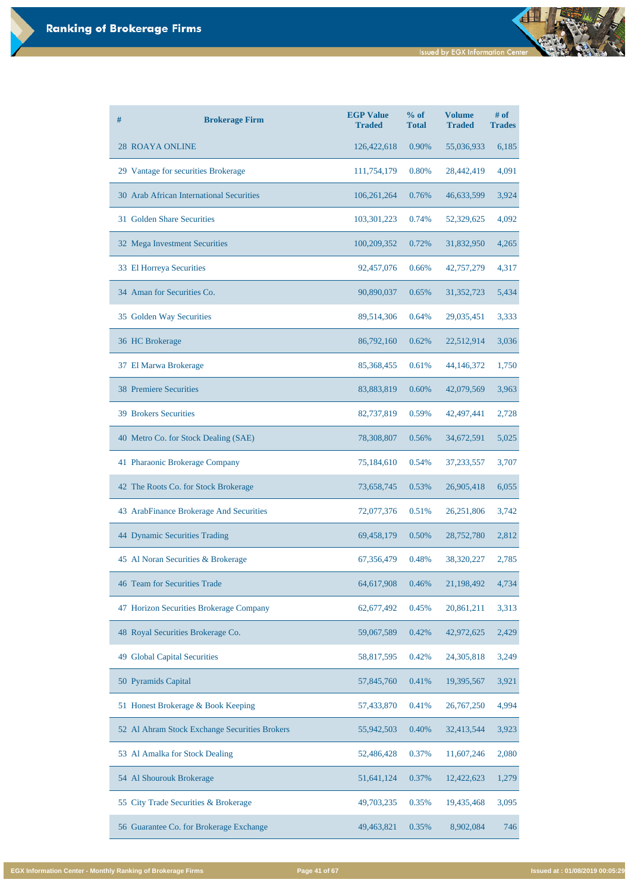| #                                   | <b>Brokerage Firm</b>                    | <b>EGP Value</b><br><b>Traded</b> | % of<br><b>Total</b> | <b>Volume</b><br><b>Traded</b> | # of<br><b>Trades</b> |
|-------------------------------------|------------------------------------------|-----------------------------------|----------------------|--------------------------------|-----------------------|
| <b>28 ROAYA ONLINE</b>              |                                          | 126, 422, 618                     | 0.90%                | 55,036,933                     | 6,185                 |
| 29 Vantage for securities Brokerage |                                          | 111,754,179                       | 0.80%                | 28,442,419                     | 4,091                 |
|                                     | 30 Arab African International Securities | 106,261,264                       | 0.76%                | 46,633,599                     | 3,924                 |
| 31 Golden Share Securities          |                                          | 103,301,223                       | 0.74%                | 52,329,625                     | 4,092                 |
| 32 Mega Investment Securities       |                                          | 100,209,352                       | 0.72%                | 31,832,950                     | 4,265                 |
| 33 El Horreya Securities            |                                          | 92,457,076                        | 0.66%                | 42,757,279                     | 4,317                 |
| 34 Aman for Securities Co.          |                                          | 90,890,037                        | 0.65%                | 31, 352, 723                   | 5,434                 |
| 35 Golden Way Securities            |                                          | 89,514,306                        | 0.64%                | 29,035,451                     | 3,333                 |
| 36 HC Brokerage                     |                                          | 86,792,160                        | 0.62%                | 22,512,914                     | 3,036                 |
| 37 El Marwa Brokerage               |                                          | 85,368,455                        | 0.61%                | 44,146,372                     | 1,750                 |
| <b>38 Premiere Securities</b>       |                                          | 83,883,819                        | 0.60%                | 42,079,569                     | 3,963                 |
| <b>39 Brokers Securities</b>        |                                          | 82,737,819                        | 0.59%                | 42,497,441                     | 2,728                 |
|                                     | 40 Metro Co. for Stock Dealing (SAE)     | 78,308,807                        | 0.56%                | 34,672,591                     | 5,025                 |
| 41 Pharaonic Brokerage Company      |                                          | 75,184,610                        | 0.54%                | 37, 233, 557                   | 3,707                 |
|                                     | 42 The Roots Co. for Stock Brokerage     | 73,658,745                        | 0.53%                | 26,905,418                     | 6,055                 |
|                                     | 43 ArabFinance Brokerage And Securities  | 72,077,376                        | 0.51%                | 26,251,806                     | 3,742                 |
| 44 Dynamic Securities Trading       |                                          | 69,458,179                        | 0.50%                | 28,752,780                     | 2,812                 |
| 45 Al Noran Securities & Brokerage  |                                          | 67,356,479                        | 0.48%                | 38,320,227                     | 2,785                 |
| 46 Team for Securities Trade        |                                          | 64,617,908                        | 0.46%                | 21,198,492                     | 4,734                 |
|                                     | 47 Horizon Securities Brokerage Company  | 62,677,492                        | 0.45%                | 20,861,211                     | 3,313                 |
| 48 Royal Securities Brokerage Co.   |                                          | 59,067,589                        | 0.42%                | 42,972,625                     | 2,429                 |

| <b>Global Capital Securities</b><br>49        | 58,817,595 | 0.42% | 24,305,818 | 3,249 |
|-----------------------------------------------|------------|-------|------------|-------|
| 50 Pyramids Capital                           | 57,845,760 | 0.41% | 19,395,567 | 3,921 |
| 51 Honest Brokerage & Book Keeping            | 57,433,870 | 0.41% | 26,767,250 | 4,994 |
| 52 Al Ahram Stock Exchange Securities Brokers | 55,942,503 | 0.40% | 32,413,544 | 3,923 |
| 53 Al Amalka for Stock Dealing                | 52,486,428 | 0.37% | 11,607,246 | 2,080 |
| 54 Al Shourouk Brokerage                      | 51,641,124 | 0.37% | 12,422,623 | 1,279 |
| 55 City Trade Securities & Brokerage          | 49,703,235 | 0.35% | 19,435,468 | 3,095 |
| 56 Guarantee Co. for Brokerage Exchange       | 49,463,821 | 0.35% | 8,902,084  | 746   |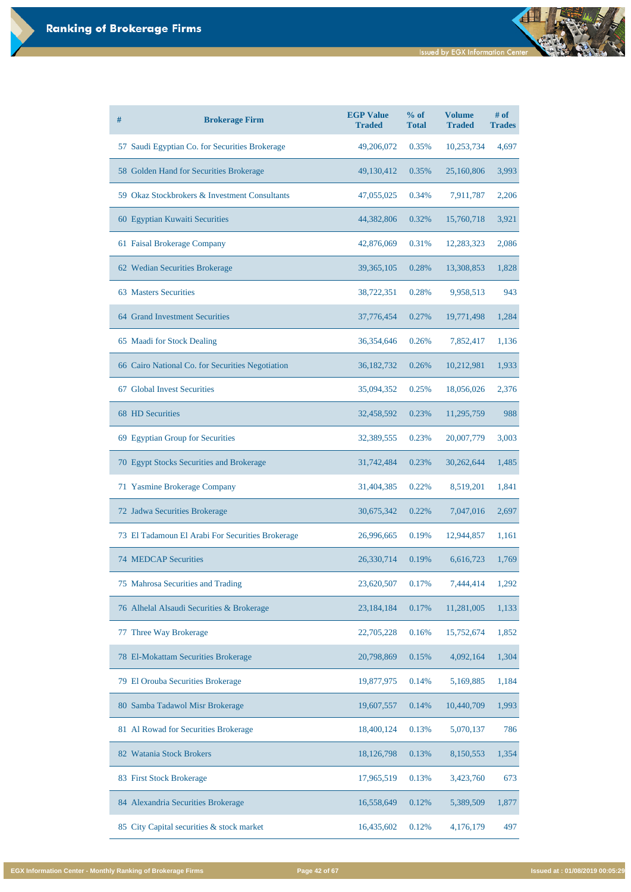| # | <b>Brokerage Firm</b>                            | <b>EGP Value</b><br><b>Traded</b> | $%$ of<br><b>Total</b> | <b>Volume</b><br><b>Traded</b> | # of<br><b>Trades</b> |
|---|--------------------------------------------------|-----------------------------------|------------------------|--------------------------------|-----------------------|
|   | 57 Saudi Egyptian Co. for Securities Brokerage   | 49,206,072                        | 0.35%                  | 10,253,734                     | 4,697                 |
|   | 58 Golden Hand for Securities Brokerage          | 49,130,412                        | 0.35%                  | 25,160,806                     | 3,993                 |
|   | 59 Okaz Stockbrokers & Investment Consultants    | 47,055,025                        | 0.34%                  | 7,911,787                      | 2,206                 |
|   | 60 Egyptian Kuwaiti Securities                   | 44,382,806                        | 0.32%                  | 15,760,718                     | 3,921                 |
|   | 61 Faisal Brokerage Company                      | 42,876,069                        | 0.31%                  | 12,283,323                     | 2,086                 |
|   | 62 Wedian Securities Brokerage                   | 39, 365, 105                      | 0.28%                  | 13,308,853                     | 1,828                 |
|   | <b>63 Masters Securities</b>                     | 38,722,351                        | 0.28%                  | 9,958,513                      | 943                   |
|   | <b>64 Grand Investment Securities</b>            | 37,776,454                        | 0.27%                  | 19,771,498                     | 1,284                 |
|   | 65 Maadi for Stock Dealing                       | 36,354,646                        | 0.26%                  | 7,852,417                      | 1,136                 |
|   | 66 Cairo National Co. for Securities Negotiation | 36, 182, 732                      | 0.26%                  | 10,212,981                     | 1,933                 |
|   | 67 Global Invest Securities                      | 35,094,352                        | 0.25%                  | 18,056,026                     | 2,376                 |
|   | <b>68 HD Securities</b>                          | 32,458,592                        | 0.23%                  | 11,295,759                     | 988                   |
|   | 69 Egyptian Group for Securities                 | 32,389,555                        | 0.23%                  | 20,007,779                     | 3,003                 |
|   | 70 Egypt Stocks Securities and Brokerage         | 31,742,484                        | 0.23%                  | 30,262,644                     | 1,485                 |
|   | 71 Yasmine Brokerage Company                     | 31,404,385                        | 0.22%                  | 8,519,201                      | 1,841                 |
|   | 72 Jadwa Securities Brokerage                    | 30,675,342                        | 0.22%                  | 7,047,016                      | 2,697                 |
|   | 73 El Tadamoun El Arabi For Securities Brokerage | 26,996,665                        | 0.19%                  | 12,944,857                     | 1,161                 |
|   | <b>74 MEDCAP Securities</b>                      | 26,330,714                        | 0.19%                  | 6,616,723                      | 1,769                 |
|   | 75 Mahrosa Securities and Trading                | 23,620,507                        | 0.17%                  | 7,444,414                      | 1,292                 |
|   | 76 Alhelal Alsaudi Securities & Brokerage        | 23, 184, 184                      | 0.17%                  | 11,281,005                     | 1,133                 |
|   | 77 Three Way Brokerage                           | 22,705,228                        | 0.16%                  | 15,752,674                     | 1,852                 |

| 78 El-Mokattam Securities Brokerage       | 20,798,869 | 0.15% | 4,092,164  | 1,304 |
|-------------------------------------------|------------|-------|------------|-------|
| 79 El Orouba Securities Brokerage         | 19,877,975 | 0.14% | 5,169,885  | 1,184 |
| 80 Samba Tadawol Misr Brokerage           | 19,607,557 | 0.14% | 10,440,709 | 1,993 |
| 81 Al Rowad for Securities Brokerage      | 18,400,124 | 0.13% | 5,070,137  | 786   |
| 82 Watania Stock Brokers                  | 18,126,798 | 0.13% | 8,150,553  | 1,354 |
| 83 First Stock Brokerage                  | 17,965,519 | 0.13% | 3,423,760  | 673   |
| 84 Alexandria Securities Brokerage        | 16,558,649 | 0.12% | 5,389,509  | 1,877 |
| 85 City Capital securities & stock market | 16,435,602 | 0.12% | 4,176,179  | 497   |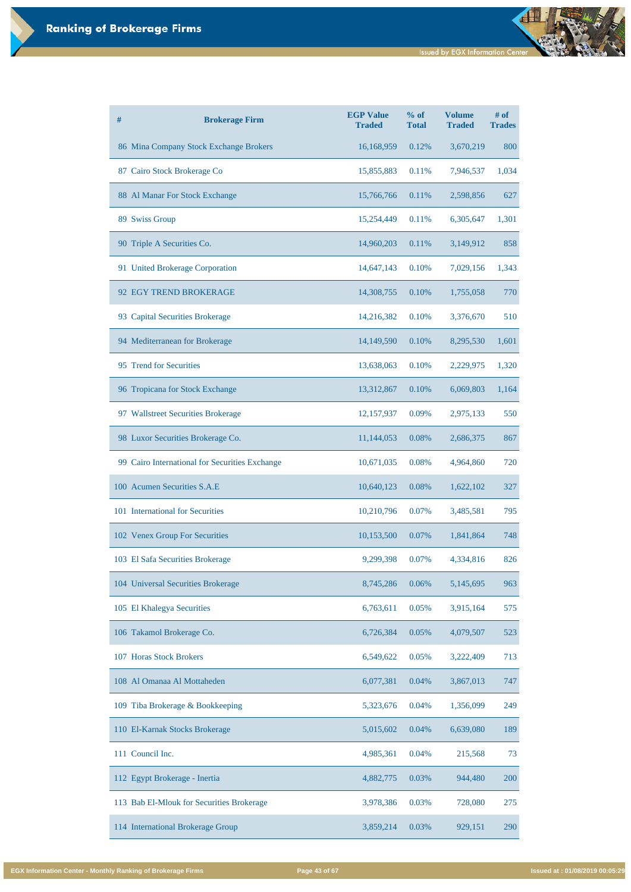| # | <b>Brokerage Firm</b>                          | <b>EGP Value</b><br><b>Traded</b> | % of<br><b>Total</b> | <b>Volume</b><br><b>Traded</b> | # of<br><b>Trades</b> |
|---|------------------------------------------------|-----------------------------------|----------------------|--------------------------------|-----------------------|
|   | 86 Mina Company Stock Exchange Brokers         | 16,168,959                        | 0.12%                | 3,670,219                      | 800                   |
|   | 87 Cairo Stock Brokerage Co                    | 15,855,883                        | 0.11%                | 7,946,537                      | 1,034                 |
|   | 88 Al Manar For Stock Exchange                 | 15,766,766                        | 0.11%                | 2,598,856                      | 627                   |
|   | 89 Swiss Group                                 | 15,254,449                        | 0.11%                | 6,305,647                      | 1,301                 |
|   | 90 Triple A Securities Co.                     | 14,960,203                        | 0.11%                | 3,149,912                      | 858                   |
|   | 91 United Brokerage Corporation                | 14,647,143                        | 0.10%                | 7,029,156                      | 1,343                 |
|   | 92 EGY TREND BROKERAGE                         | 14,308,755                        | 0.10%                | 1,755,058                      | 770                   |
|   | 93 Capital Securities Brokerage                | 14,216,382                        | 0.10%                | 3,376,670                      | 510                   |
|   | 94 Mediterranean for Brokerage                 | 14, 149, 590                      | 0.10%                | 8,295,530                      | 1,601                 |
|   | 95 Trend for Securities                        | 13,638,063                        | 0.10%                | 2,229,975                      | 1,320                 |
|   | 96 Tropicana for Stock Exchange                | 13,312,867                        | 0.10%                | 6,069,803                      | 1,164                 |
|   | 97 Wallstreet Securities Brokerage             | 12,157,937                        | 0.09%                | 2,975,133                      | 550                   |
|   | 98 Luxor Securities Brokerage Co.              | 11,144,053                        | 0.08%                | 2,686,375                      | 867                   |
|   | 99 Cairo International for Securities Exchange | 10,671,035                        | 0.08%                | 4,964,860                      | 720                   |
|   | 100 Acumen Securities S.A.E                    | 10,640,123                        | 0.08%                | 1,622,102                      | 327                   |
|   | 101 International for Securities               | 10,210,796                        | 0.07%                | 3,485,581                      | 795                   |
|   | 102 Venex Group For Securities                 | 10,153,500                        | 0.07%                | 1,841,864                      | 748                   |
|   | 103 El Safa Securities Brokerage               | 9,299,398                         | 0.07%                | 4,334,816                      | 826                   |
|   | 104 Universal Securities Brokerage             | 8,745,286                         | 0.06%                | 5,145,695                      | 963                   |
|   | 105 El Khalegya Securities                     | 6,763,611                         | 0.05%                | 3,915,164                      | 575                   |
|   | 106 Takamol Brokerage Co.                      | 6,726,384                         | 0.05%                | 4,079,507                      | 523                   |

| 107 Horas Stock Brokers                   | 6,549,622 | 0.05% | 3,222,409 | 713 |
|-------------------------------------------|-----------|-------|-----------|-----|
| 108 Al Omanaa Al Mottaheden               | 6,077,381 | 0.04% | 3,867,013 | 747 |
| 109 Tiba Brokerage & Bookkeeping          | 5,323,676 | 0.04% | 1,356,099 | 249 |
| 110 El-Karnak Stocks Brokerage            | 5,015,602 | 0.04% | 6,639,080 | 189 |
| 111 Council Inc.                          | 4,985,361 | 0.04% | 215,568   | 73  |
| 112 Egypt Brokerage - Inertia             | 4,882,775 | 0.03% | 944,480   | 200 |
| 113 Bab El-Mlouk for Securities Brokerage | 3,978,386 | 0.03% | 728,080   | 275 |
| 114 International Brokerage Group         | 3,859,214 | 0.03% | 929,151   | 290 |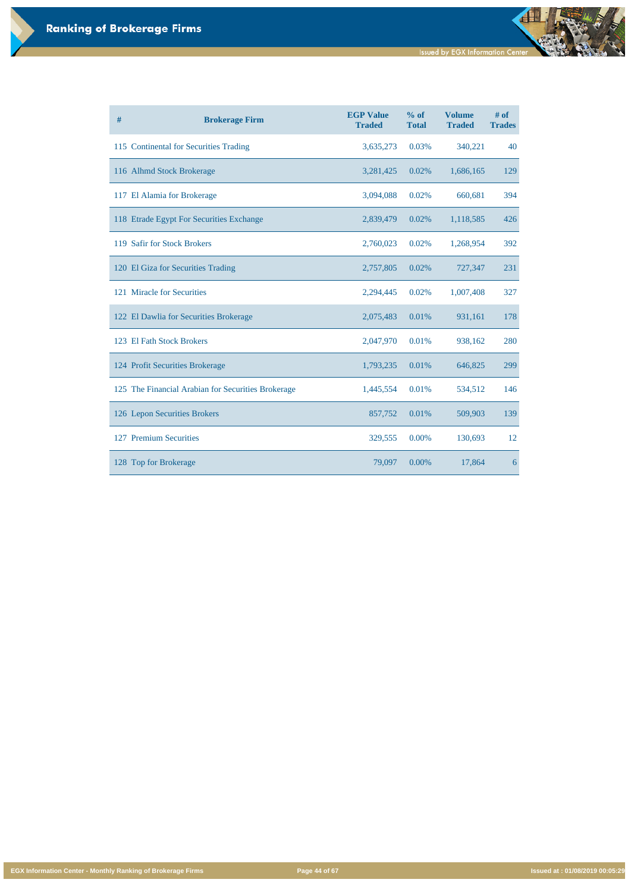đ

**EGX Information Center - Monthly Ranking of Brokerage Firms Page 44 of 67 Issued at : 01/08/2019 00:05:29**

| # | <b>Brokerage Firm</b>                              | <b>EGP Value</b><br><b>Traded</b> | % of<br><b>Total</b> | <b>Volume</b><br><b>Traded</b> | $#$ of<br><b>Trades</b> |
|---|----------------------------------------------------|-----------------------------------|----------------------|--------------------------------|-------------------------|
|   | 115 Continental for Securities Trading             | 3,635,273                         | 0.03%                | 340,221                        | 40                      |
|   | 116 Alhmd Stock Brokerage                          | 3,281,425                         | 0.02%                | 1,686,165                      | 129                     |
|   | 117 El Alamia for Brokerage                        | 3,094,088                         | 0.02%                | 660,681                        | 394                     |
|   | 118 Etrade Egypt For Securities Exchange           | 2,839,479                         | 0.02%                | 1,118,585                      | 426                     |
|   | 119 Safir for Stock Brokers                        | 2,760,023                         | 0.02%                | 1,268,954                      | 392                     |
|   | 120 El Giza for Securities Trading                 | 2,757,805                         | 0.02%                | 727,347                        | 231                     |
|   | 121 Miracle for Securities                         | 2,294,445                         | 0.02%                | 1,007,408                      | 327                     |
|   | 122 El Dawlia for Securities Brokerage             | 2,075,483                         | 0.01%                | 931,161                        | 178                     |
|   | 123 El Fath Stock Brokers                          | 2,047,970                         | 0.01%                | 938,162                        | 280                     |
|   | 124 Profit Securities Brokerage                    | 1,793,235                         | 0.01%                | 646,825                        | 299                     |
|   | 125 The Financial Arabian for Securities Brokerage | 1,445,554                         | 0.01%                | 534,512                        | 146                     |
|   | 126 Lepon Securities Brokers                       | 857,752                           | 0.01%                | 509,903                        | 139                     |
|   | 127 Premium Securities                             | 329,555                           | 0.00%                | 130,693                        | 12                      |
|   | 128 Top for Brokerage                              | 79,097                            | 0.00%                | 17,864                         | 6                       |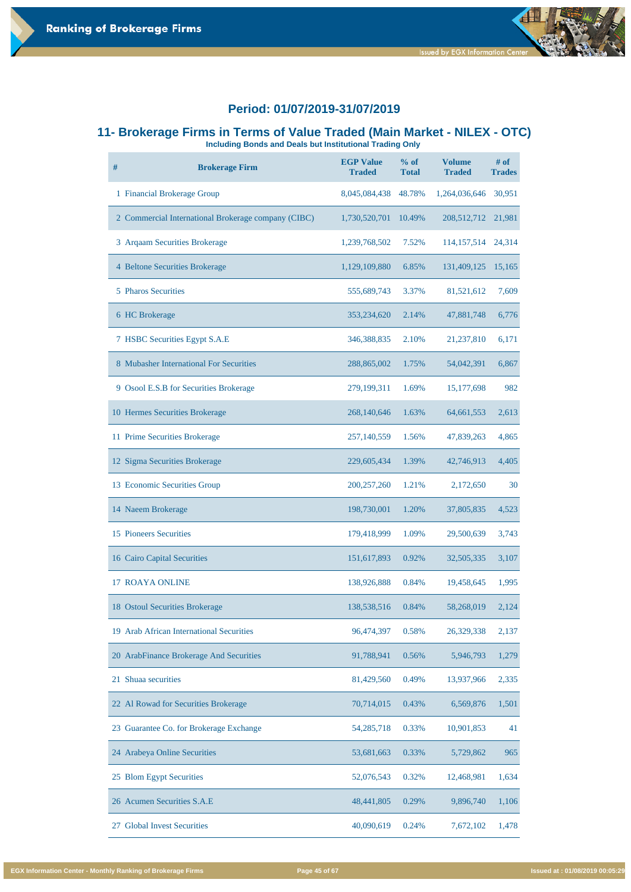#### **11- Brokerage Firms in Terms of Value Traded (Main Market - NILEX - OTC)**

**Including Bonds and Deals but Institutional Trading Only** 

| #  | <b>Brokerage Firm</b>                               | <b>EGP Value</b><br><b>Traded</b> | % of<br><b>Total</b> | <b>Volume</b><br><b>Traded</b> | # of<br><b>Trades</b> |
|----|-----------------------------------------------------|-----------------------------------|----------------------|--------------------------------|-----------------------|
|    | 1 Financial Brokerage Group                         | 8,045,084,438                     | 48.78%               | 1,264,036,646                  | 30,951                |
|    | 2 Commercial International Brokerage company (CIBC) | 1,730,520,701                     | 10.49%               | 208, 512, 712                  | 21,981                |
|    | 3 Argaam Securities Brokerage                       | 1,239,768,502                     | 7.52%                | 114, 157, 514                  | 24,314                |
|    | 4 Beltone Securities Brokerage                      | 1,129,109,880                     | 6.85%                | 131,409,125                    | 15,165                |
|    | 5 Pharos Securities                                 | 555,689,743                       | 3.37%                | 81,521,612                     | 7,609                 |
|    | 6 HC Brokerage                                      | 353,234,620                       | 2.14%                | 47,881,748                     | 6,776                 |
|    | 7 HSBC Securities Egypt S.A.E                       | 346,388,835                       | 2.10%                | 21,237,810                     | 6,171                 |
|    | 8 Mubasher International For Securities             | 288,865,002                       | 1.75%                | 54,042,391                     | 6,867                 |
|    | 9 Osool E.S.B for Securities Brokerage              | 279,199,311                       | 1.69%                | 15, 177, 698                   | 982                   |
|    | 10 Hermes Securities Brokerage                      | 268,140,646                       | 1.63%                | 64,661,553                     | 2,613                 |
|    | 11 Prime Securities Brokerage                       | 257,140,559                       | 1.56%                | 47,839,263                     | 4,865                 |
| 12 | <b>Sigma Securities Brokerage</b>                   | 229,605,434                       | 1.39%                | 42,746,913                     | 4,405                 |
|    | 13 Economic Securities Group                        | 200,257,260                       | 1.21%                | 2,172,650                      | 30                    |
|    | 14 Naeem Brokerage                                  | 198,730,001                       | 1.20%                | 37,805,835                     | 4,523                 |
|    | 15 Pioneers Securities                              | 179,418,999                       | 1.09%                | 29,500,639                     | 3,743                 |
|    | 16 Cairo Capital Securities                         | 151,617,893                       | 0.92%                | 32,505,335                     | 3,107                 |
|    | <b>17 ROAYA ONLINE</b>                              | 138,926,888                       | 0.84%                | 19,458,645                     | 1,995                 |
| 18 | <b>Ostoul Securities Brokerage</b>                  | 138,538,516                       | 0.84%                | 58,268,019                     | 2,124                 |
|    | 19 Arab African International Securities            | 96,474,397                        | 0.58%                | 26,329,338                     | 2,137                 |

| 20 ArabFinance Brokerage And Securities | 91,788,941   | 0.56% | 5,946,793  | 1,279 |
|-----------------------------------------|--------------|-------|------------|-------|
| <b>Shuaa</b> securities<br>21           | 81,429,560   | 0.49% | 13,937,966 | 2,335 |
| 22 Al Rowad for Securities Brokerage    | 70,714,015   | 0.43% | 6,569,876  | 1,501 |
| 23 Guarantee Co. for Brokerage Exchange | 54, 285, 718 | 0.33% | 10,901,853 | 41    |
| 24 Arabeya Online Securities            | 53,681,663   | 0.33% | 5,729,862  | 965   |
| 25 Blom Egypt Securities                | 52,076,543   | 0.32% | 12,468,981 | 1,634 |
| 26 Acumen Securities S.A.E              | 48,441,805   | 0.29% | 9,896,740  | 1,106 |
| <b>Global Invest Securities</b><br>27   | 40,090,619   | 0.24% | 7,672,102  | 1,478 |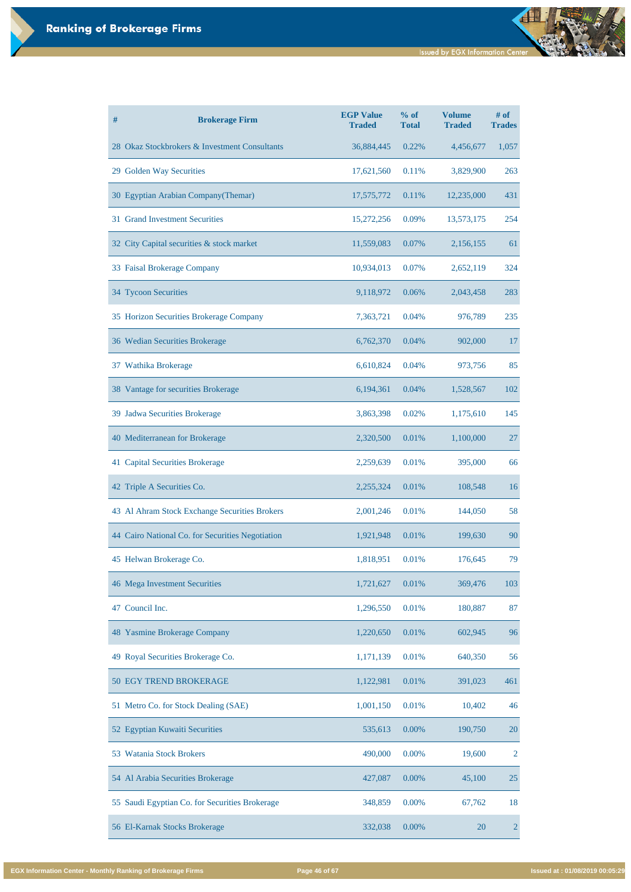**Issued by EGX Information Center** 

| #  | <b>Brokerage Firm</b>                            | <b>EGP Value</b><br><b>Traded</b> | % of<br><b>Total</b> | <b>Volume</b><br><b>Traded</b> | $#$ of<br><b>Trades</b> |
|----|--------------------------------------------------|-----------------------------------|----------------------|--------------------------------|-------------------------|
|    | 28 Okaz Stockbrokers & Investment Consultants    | 36,884,445                        | 0.22%                | 4,456,677                      | 1,057                   |
|    | 29 Golden Way Securities                         | 17,621,560                        | 0.11%                | 3,829,900                      | 263                     |
|    | 30 Egyptian Arabian Company (Themar)             | 17,575,772                        | 0.11%                | 12,235,000                     | 431                     |
|    | 31 Grand Investment Securities                   | 15,272,256                        | 0.09%                | 13,573,175                     | 254                     |
|    | 32 City Capital securities & stock market        | 11,559,083                        | 0.07%                | 2,156,155                      | 61                      |
|    | 33 Faisal Brokerage Company                      | 10,934,013                        | 0.07%                | 2,652,119                      | 324                     |
|    | 34 Tycoon Securities                             | 9,118,972                         | 0.06%                | 2,043,458                      | 283                     |
|    | 35 Horizon Securities Brokerage Company          | 7,363,721                         | 0.04%                | 976,789                        | 235                     |
|    | 36 Wedian Securities Brokerage                   | 6,762,370                         | 0.04%                | 902,000                        | 17                      |
|    | 37 Wathika Brokerage                             | 6,610,824                         | 0.04%                | 973,756                        | 85                      |
|    | 38 Vantage for securities Brokerage              | 6,194,361                         | 0.04%                | 1,528,567                      | 102                     |
|    | 39 Jadwa Securities Brokerage                    | 3,863,398                         | 0.02%                | 1,175,610                      | 145                     |
|    | 40 Mediterranean for Brokerage                   | 2,320,500                         | 0.01%                | 1,100,000                      | 27                      |
| 41 | <b>Capital Securities Brokerage</b>              | 2,259,639                         | 0.01%                | 395,000                        | 66                      |
|    | 42 Triple A Securities Co.                       | 2,255,324                         | 0.01%                | 108,548                        | 16                      |
|    | 43 Al Ahram Stock Exchange Securities Brokers    | 2,001,246                         | 0.01%                | 144,050                        | 58                      |
|    | 44 Cairo National Co. for Securities Negotiation | 1,921,948                         | 0.01%                | 199,630                        | 90                      |
|    | 45 Helwan Brokerage Co.                          | 1,818,951                         | 0.01%                | 176,645                        | 79                      |
|    | 46 Mega Investment Securities                    | 1,721,627                         | 0.01%                | 369,476                        | 103                     |
| 47 | Council Inc.                                     | 1,296,550                         | 0.01%                | 180,887                        | 87                      |
|    | 48 Yasmine Brokerage Company                     | 1,220,650                         | 0.01%                | 602,945                        | 96                      |

| 49 Royal Securities Brokerage Co.              | 1,171,139 | 0.01%    | 640,350 | 56             |
|------------------------------------------------|-----------|----------|---------|----------------|
| <b>50 EGY TREND BROKERAGE</b>                  | 1,122,981 | 0.01%    | 391,023 | 461            |
| 51 Metro Co. for Stock Dealing (SAE)           | 1,001,150 | 0.01%    | 10,402  | 46             |
| 52 Egyptian Kuwaiti Securities                 | 535,613   | $0.00\%$ | 190,750 | 20             |
| 53 Watania Stock Brokers                       | 490,000   | $0.00\%$ | 19,600  | $\overline{2}$ |
| 54 Al Arabia Securities Brokerage              | 427,087   | $0.00\%$ | 45,100  | 25             |
| 55 Saudi Egyptian Co. for Securities Brokerage | 348,859   | $0.00\%$ | 67,762  | 18             |
| 56 El-Karnak Stocks Brokerage                  | 332,038   | $0.00\%$ | 20      | $\overline{2}$ |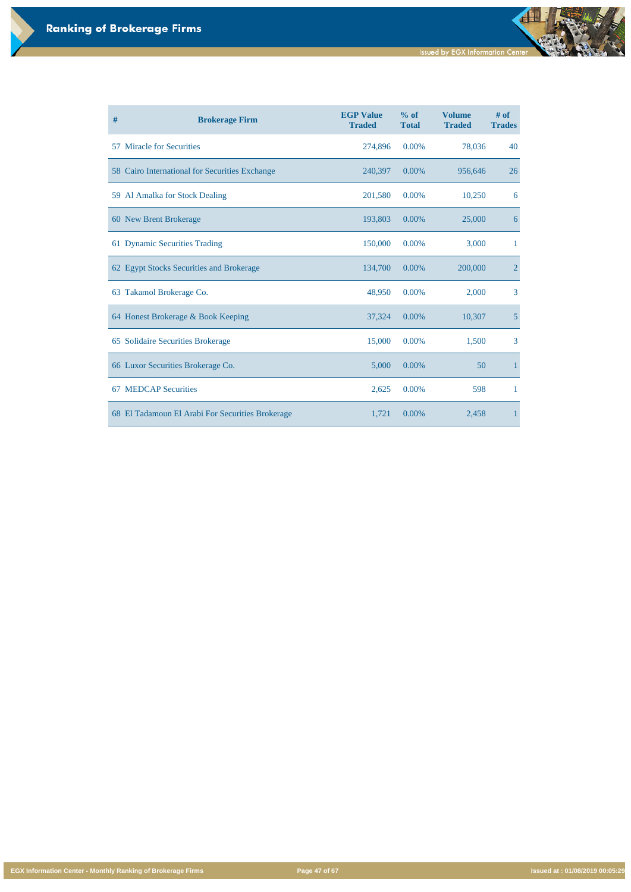đ

**EGX Information Center - Monthly Ranking of Brokerage Firms Page 47 of 67 Issued at : 01/08/2019 00:05:29**

| $\#$ | <b>Brokerage Firm</b>                            | <b>EGP Value</b><br><b>Traded</b> | % of<br><b>Total</b> | <b>Volume</b><br><b>Traded</b> | # of<br><b>Trades</b> |
|------|--------------------------------------------------|-----------------------------------|----------------------|--------------------------------|-----------------------|
|      | 57 Miracle for Securities                        | 274,896                           | 0.00%                | 78,036                         | 40                    |
|      | 58 Cairo International for Securities Exchange   | 240,397                           | 0.00%                | 956,646                        | 26                    |
|      | 59 Al Amalka for Stock Dealing                   | 201,580                           | 0.00%                | 10,250                         | 6                     |
|      | 60 New Brent Brokerage                           | 193,803                           | 0.00%                | 25,000                         | 6                     |
|      | 61 Dynamic Securities Trading                    | 150,000                           | 0.00%                | 3,000                          | $\mathbf{1}$          |
|      | 62 Egypt Stocks Securities and Brokerage         | 134,700                           | 0.00%                | 200,000                        | $\overline{2}$        |
|      | 63 Takamol Brokerage Co.                         | 48,950                            | 0.00%                | 2,000                          | $\overline{3}$        |
|      | 64 Honest Brokerage & Book Keeping               | 37,324                            | $0.00\%$             | 10,307                         | $\overline{5}$        |
|      | 65 Solidaire Securities Brokerage                | 15,000                            | 0.00%                | 1,500                          | 3                     |
|      | 66 Luxor Securities Brokerage Co.                | 5,000                             | 0.00%                | 50                             | $\mathbf{1}$          |
|      | <b>67 MEDCAP Securities</b>                      | 2,625                             | 0.00%                | 598                            | 1                     |
|      | 68 El Tadamoun El Arabi For Securities Brokerage | 1,721                             | 0.00%                | 2,458                          | $\mathbf{1}$          |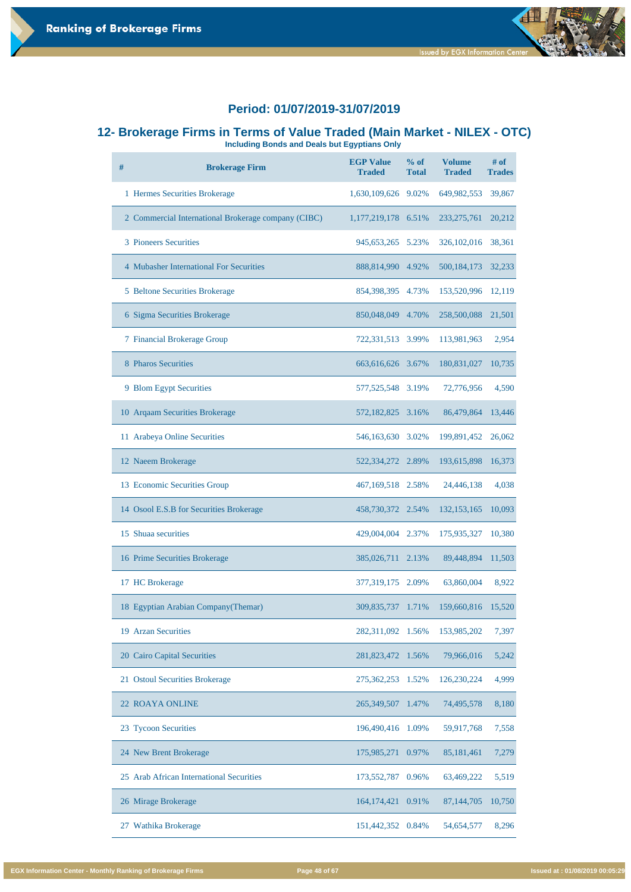### **12- Brokerage Firms in Terms of Value Traded (Main Market - NILEX - OTC)**

**Including Bonds and Deals but Egyptians Only** 

| # | <b>Brokerage Firm</b>                               | <b>EGP Value</b><br><b>Traded</b> | $%$ of<br><b>Total</b> | <b>Volume</b><br><b>Traded</b> | # of<br><b>Trades</b> |
|---|-----------------------------------------------------|-----------------------------------|------------------------|--------------------------------|-----------------------|
|   | 1 Hermes Securities Brokerage                       | 1,630,109,626 9.02%               |                        | 649,982,553                    | 39,867                |
|   | 2 Commercial International Brokerage company (CIBC) | 1,177,219,178 6.51%               |                        | 233, 275, 761                  | 20,212                |
|   | 3 Pioneers Securities                               | 945,653,265 5.23%                 |                        | 326, 102, 016                  | 38,361                |
|   | <b>4 Mubasher International For Securities</b>      | 888,814,990                       | 4.92%                  | 500, 184, 173                  | 32,233                |
|   | 5 Beltone Securities Brokerage                      | 854, 398, 395 4. 73%              |                        | 153,520,996                    | 12,119                |
|   | 6 Sigma Securities Brokerage                        | 850,048,049 4.70%                 |                        | 258,500,088                    | 21,501                |
|   | 7 Financial Brokerage Group                         | 722,331,513 3.99%                 |                        | 113,981,963                    | 2,954                 |
|   | 8 Pharos Securities                                 | 663,616,626 3.67%                 |                        | 180,831,027                    | 10,735                |
|   | 9 Blom Egypt Securities                             | 577, 525, 548 3.19%               |                        | 72,776,956                     | 4,590                 |
|   | 10 Arqaam Securities Brokerage                      | 572, 182, 825                     | 3.16%                  | 86,479,864                     | 13,446                |
|   | 11 Arabeya Online Securities                        | 546,163,630                       | 3.02%                  | 199,891,452                    | 26,062                |
|   | 12 Naeem Brokerage                                  | 522,334,272                       | 2.89%                  | 193,615,898                    | 16,373                |
|   | 13 Economic Securities Group                        | 467,169,518 2.58%                 |                        | 24,446,138                     | 4,038                 |
|   | 14 Osool E.S.B for Securities Brokerage             | 458,730,372                       | 2.54%                  | 132, 153, 165                  | 10,093                |
|   | 15 Shuaa securities                                 | 429,004,004                       | 2.37%                  | 175,935,327                    | 10,380                |
|   | 16 Prime Securities Brokerage                       | 385,026,711                       | 2.13%                  | 89,448,894                     | 11,503                |
|   | 17 HC Brokerage                                     | 377, 319, 175                     | 2.09%                  | 63,860,004                     | 8,922                 |
|   | 18 Egyptian Arabian Company (Themar)                | 309,835,737                       | 1.71%                  | 159,660,816                    | 15,520                |
|   | 19 Arzan Securities                                 | 282,311,092                       | 1.56%                  | 153,985,202                    | 7,397                 |

| 20 Cairo Capital Securities                        | 281,823,472 1.56%   |       | 79,966,016   | 5,242  |
|----------------------------------------------------|---------------------|-------|--------------|--------|
| 21 Ostoul Securities Brokerage                     | 275, 362, 253 1.52% |       | 126,230,224  | 4,999  |
| <b>22 ROAYA ONLINE</b>                             | 265, 349, 507       | 1.47% | 74,495,578   | 8,180  |
| 23 Tycoon Securities                               | 196,490,416 1.09%   |       | 59,917,768   | 7,558  |
| 24 New Brent Brokerage                             | 175,985,271         | 0.97% | 85,181,461   | 7,279  |
| <b>Arab African International Securities</b><br>25 | 173,552,787         | 0.96% | 63,469,222   | 5,519  |
| 26 Mirage Brokerage                                | 164, 174, 421       | 0.91% | 87, 144, 705 | 10,750 |
| Wathika Brokerage<br>27                            | 151,442,352         | 0.84% | 54,654,577   | 8,296  |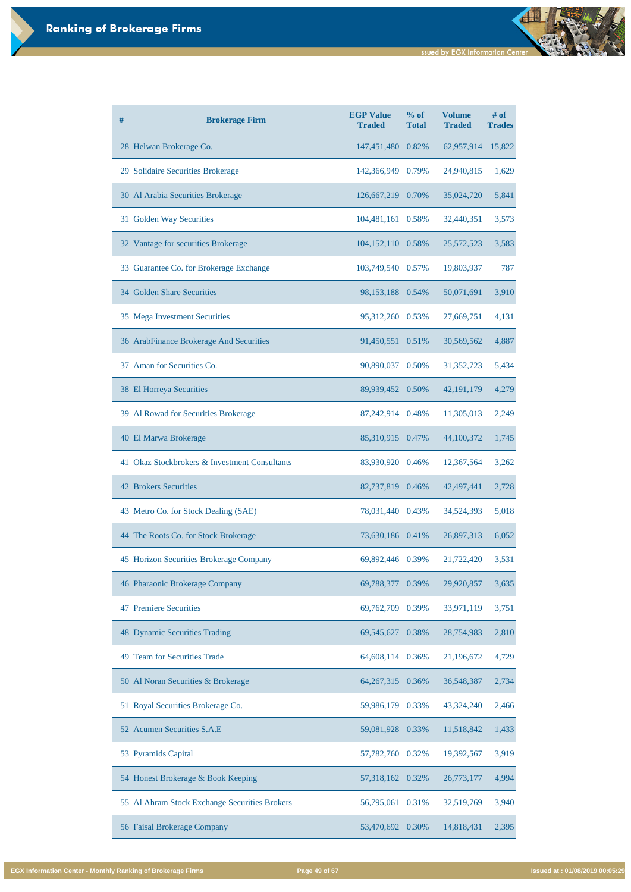| # | <b>Brokerage Firm</b>                         | <b>EGP Value</b><br><b>Traded</b> | % of<br><b>Total</b> | <b>Volume</b><br><b>Traded</b> | # of<br><b>Trades</b> |
|---|-----------------------------------------------|-----------------------------------|----------------------|--------------------------------|-----------------------|
|   | 28 Helwan Brokerage Co.                       | 147,451,480                       | 0.82%                | 62,957,914                     | 15,822                |
|   | 29 Solidaire Securities Brokerage             | 142,366,949 0.79%                 |                      | 24,940,815                     | 1,629                 |
|   | 30 Al Arabia Securities Brokerage             | 126,667,219 0.70%                 |                      | 35,024,720                     | 5,841                 |
|   | 31 Golden Way Securities                      | 104,481,161 0.58%                 |                      | 32,440,351                     | 3,573                 |
|   | 32 Vantage for securities Brokerage           | 104,152,110 0.58%                 |                      | 25,572,523                     | 3,583                 |
|   | 33 Guarantee Co. for Brokerage Exchange       | 103,749,540 0.57%                 |                      | 19,803,937                     | 787                   |
|   | 34 Golden Share Securities                    | 98,153,188 0.54%                  |                      | 50,071,691                     | 3,910                 |
|   | 35 Mega Investment Securities                 | 95,312,260 0.53%                  |                      | 27,669,751                     | 4,131                 |
|   | 36 ArabFinance Brokerage And Securities       | 91,450,551 0.51%                  |                      | 30,569,562                     | 4,887                 |
|   | 37 Aman for Securities Co.                    | 90,890,037                        | 0.50%                | 31, 352, 723                   | 5,434                 |
|   | 38 El Horreya Securities                      | 89,939,452                        | 0.50%                | 42, 191, 179                   | 4,279                 |
|   | 39 Al Rowad for Securities Brokerage          | 87,242,914                        | 0.48%                | 11,305,013                     | 2,249                 |
|   | 40 El Marwa Brokerage                         | 85,310,915 0.47%                  |                      | 44,100,372                     | 1,745                 |
|   | 41 Okaz Stockbrokers & Investment Consultants | 83,930,920 0.46%                  |                      | 12,367,564                     | 3,262                 |
|   | <b>42 Brokers Securities</b>                  | 82,737,819 0.46%                  |                      | 42,497,441                     | 2,728                 |
|   | 43 Metro Co. for Stock Dealing (SAE)          | 78,031,440 0.43%                  |                      | 34,524,393                     | 5,018                 |
|   | 44 The Roots Co. for Stock Brokerage          | 73,630,186 0.41%                  |                      | 26,897,313                     | 6,052                 |
|   | 45 Horizon Securities Brokerage Company       | 69,892,446 0.39%                  |                      | 21,722,420                     | 3,531                 |
|   | 46 Pharaonic Brokerage Company                | 69,788,377                        | 0.39%                | 29,920,857                     | 3,635                 |
|   | <b>47 Premiere Securities</b>                 | 69,762,709                        | 0.39%                | 33,971,119                     | 3,751                 |
|   | <b>48 Dynamic Securities Trading</b>          | 69,545,627                        | 0.38%                | 28,754,983                     | 2,810                 |

| 49 Team for Securities Trade                  | 64,608,114 0.36%    | 21,196,672 | 4,729 |
|-----------------------------------------------|---------------------|------------|-------|
| 50 Al Noran Securities & Brokerage            | 64,267,315 0.36%    | 36,548,387 | 2,734 |
| 51 Royal Securities Brokerage Co.             | 59,986,179 0.33%    | 43,324,240 | 2,466 |
| 52 Acumen Securities S.A.E                    | 59,081,928 0.33%    | 11,518,842 | 1,433 |
| 53 Pyramids Capital                           | 57,782,760 0.32%    | 19,392,567 | 3,919 |
| 54 Honest Brokerage & Book Keeping            | 57,318,162 0.32%    | 26,773,177 | 4,994 |
| 55 Al Ahram Stock Exchange Securities Brokers | 56,795,061<br>0.31% | 32,519,769 | 3,940 |
| 56 Faisal Brokerage Company                   | 53,470,692<br>0.30% | 14,818,431 | 2,395 |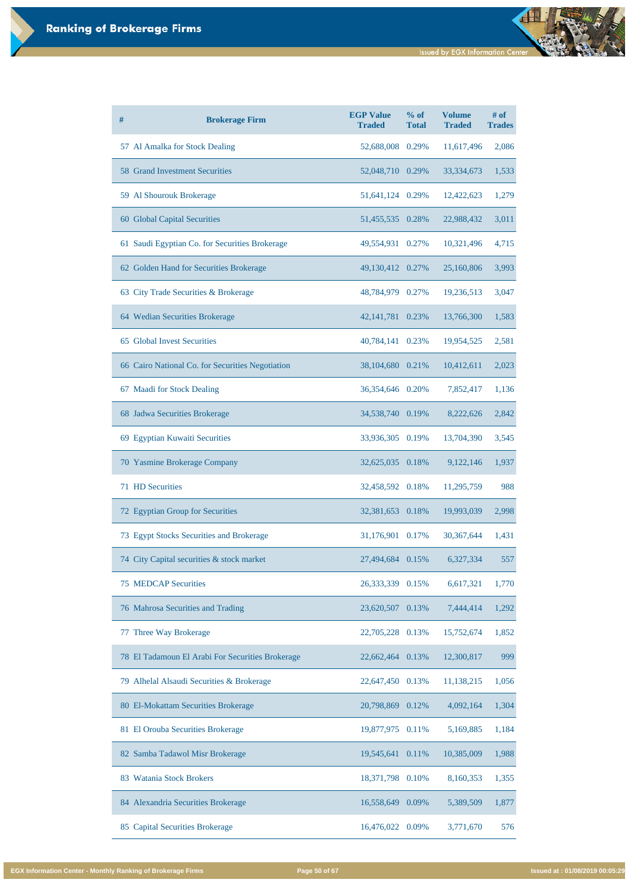| $\#$ | <b>Brokerage Firm</b>                            | <b>EGP Value</b><br><b>Traded</b> | % of<br><b>Total</b> | <b>Volume</b><br><b>Traded</b> | # of<br><b>Trades</b> |
|------|--------------------------------------------------|-----------------------------------|----------------------|--------------------------------|-----------------------|
|      | 57 Al Amalka for Stock Dealing                   | 52,688,008                        | 0.29%                | 11,617,496                     | 2,086                 |
|      | <b>58 Grand Investment Securities</b>            | 52,048,710 0.29%                  |                      | 33, 334, 673                   | 1,533                 |
|      | 59 Al Shourouk Brokerage                         | 51,641,124 0.29%                  |                      | 12,422,623                     | 1,279                 |
|      | 60 Global Capital Securities                     | 51,455,535 0.28%                  |                      | 22,988,432                     | 3,011                 |
|      | 61 Saudi Egyptian Co. for Securities Brokerage   | 49,554,931                        | 0.27%                | 10,321,496                     | 4,715                 |
|      | 62 Golden Hand for Securities Brokerage          | 49,130,412 0.27%                  |                      | 25,160,806                     | 3,993                 |
|      | 63 City Trade Securities & Brokerage             | 48,784,979 0.27%                  |                      | 19,236,513                     | 3,047                 |
|      | 64 Wedian Securities Brokerage                   | 42, 141, 781                      | 0.23%                | 13,766,300                     | 1,583                 |
|      | 65 Global Invest Securities                      | 40,784,141                        | 0.23%                | 19,954,525                     | 2,581                 |
|      | 66 Cairo National Co. for Securities Negotiation | 38,104,680 0.21%                  |                      | 10,412,611                     | 2,023                 |
|      | 67 Maadi for Stock Dealing                       | 36,354,646 0.20%                  |                      | 7,852,417                      | 1,136                 |
|      | 68 Jadwa Securities Brokerage                    | 34,538,740                        | 0.19%                | 8,222,626                      | 2,842                 |
|      | 69 Egyptian Kuwaiti Securities                   | 33,936,305 0.19%                  |                      | 13,704,390                     | 3,545                 |
|      | 70 Yasmine Brokerage Company                     | 32,625,035                        | 0.18%                | 9,122,146                      | 1,937                 |
|      | <b>71 HD Securities</b>                          | 32,458,592                        | 0.18%                | 11,295,759                     | 988                   |
|      | 72 Egyptian Group for Securities                 | 32,381,653                        | 0.18%                | 19,993,039                     | 2,998                 |
|      | 73 Egypt Stocks Securities and Brokerage         | 31,176,901                        | 0.17%                | 30,367,644                     | 1,431                 |
|      | 74 City Capital securities & stock market        | 27,494,684 0.15%                  |                      | 6,327,334                      | 557                   |
|      | <b>75 MEDCAP Securities</b>                      | 26, 333, 339                      | 0.15%                | 6,617,321                      | 1,770                 |
|      | 76 Mahrosa Securities and Trading                | 23,620,507                        | 0.13%                | 7,444,414                      | 1,292                 |
|      | 77 Three Way Brokerage                           | 22,705,228 0.13%                  |                      | 15,752,674                     | 1,852                 |

| 78 El Tadamoun El Arabi For Securities Brokerage | 22,662,464 0.13% |        | 12,300,817 | 999   |
|--------------------------------------------------|------------------|--------|------------|-------|
| 79 Alhelal Alsaudi Securities & Brokerage        | 22,647,450 0.13% |        | 11,138,215 | 1,056 |
| 80 El-Mokattam Securities Brokerage              | 20,798,869       | 0.12\% | 4,092,164  | 1,304 |
| 81 El Orouba Securities Brokerage                | 19,877,975 0.11% |        | 5,169,885  | 1,184 |
| 82 Samba Tadawol Misr Brokerage                  | 19,545,641       | 0.11\% | 10,385,009 | 1,988 |
| <b>Watania Stock Brokers</b><br>83.              | 18,371,798 0.10% |        | 8,160,353  | 1,355 |
| 84 Alexandria Securities Brokerage               | 16,558,649       | 0.09%  | 5,389,509  | 1,877 |
| 85 Capital Securities Brokerage                  | 16,476,022       | 0.09%  | 3,771,670  | 576   |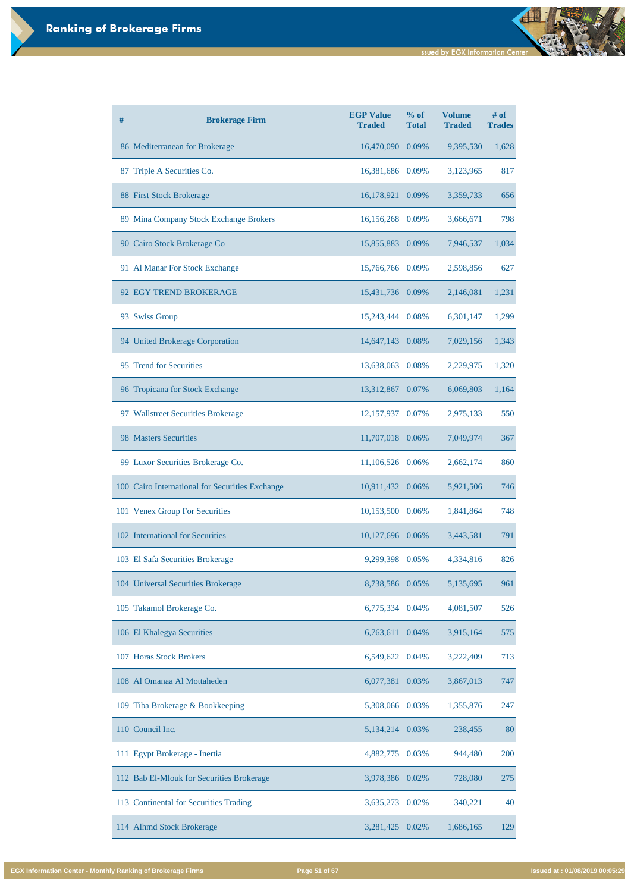| $\#$ | <b>Brokerage Firm</b>                           | <b>EGP Value</b><br><b>Traded</b> | $%$ of<br><b>Total</b> | <b>Volume</b><br><b>Traded</b> | # of<br><b>Trades</b> |
|------|-------------------------------------------------|-----------------------------------|------------------------|--------------------------------|-----------------------|
|      | 86 Mediterranean for Brokerage                  | 16,470,090                        | 0.09%                  | 9,395,530                      | 1,628                 |
|      | 87 Triple A Securities Co.                      | 16,381,686 0.09%                  |                        | 3,123,965                      | 817                   |
|      | <b>88 First Stock Brokerage</b>                 | 16,178,921                        | 0.09%                  | 3,359,733                      | 656                   |
|      | 89 Mina Company Stock Exchange Brokers          | 16,156,268 0.09%                  |                        | 3,666,671                      | 798                   |
|      | 90 Cairo Stock Brokerage Co                     | 15,855,883                        | 0.09%                  | 7,946,537                      | 1,034                 |
|      | 91 Al Manar For Stock Exchange                  | 15,766,766 0.09%                  |                        | 2,598,856                      | 627                   |
|      | 92 EGY TREND BROKERAGE                          | 15,431,736 0.09%                  |                        | 2,146,081                      | 1,231                 |
|      | 93 Swiss Group                                  | 15,243,444 0.08%                  |                        | 6,301,147                      | 1,299                 |
|      | 94 United Brokerage Corporation                 | 14,647,143 0.08%                  |                        | 7,029,156                      | 1,343                 |
|      | 95 Trend for Securities                         | 13,638,063                        | 0.08%                  | 2,229,975                      | 1,320                 |
|      | 96 Tropicana for Stock Exchange                 | 13,312,867                        | 0.07%                  | 6,069,803                      | 1,164                 |
|      | 97 Wallstreet Securities Brokerage              | 12,157,937                        | 0.07%                  | 2,975,133                      | 550                   |
|      | <b>98 Masters Securities</b>                    | 11,707,018 0.06%                  |                        | 7,049,974                      | 367                   |
|      | 99 Luxor Securities Brokerage Co.               | 11,106,526 0.06%                  |                        | 2,662,174                      | 860                   |
|      | 100 Cairo International for Securities Exchange | 10,911,432                        | 0.06%                  | 5,921,506                      | 746                   |
|      | 101 Venex Group For Securities                  | 10,153,500                        | 0.06%                  | 1,841,864                      | 748                   |
|      | 102 International for Securities                | 10,127,696 0.06%                  |                        | 3,443,581                      | 791                   |
|      | 103 El Safa Securities Brokerage                | 9,299,398                         | 0.05%                  | 4,334,816                      | 826                   |
|      | 104 Universal Securities Brokerage              | 8,738,586                         | 0.05%                  | 5,135,695                      | 961                   |
|      | 105 Takamol Brokerage Co.                       | 6,775,334                         | 0.04%                  | 4,081,507                      | 526                   |
|      | 106 El Khalegya Securities                      | 6,763,611                         | 0.04%                  | 3,915,164                      | 575                   |

| 107 Horas Stock Brokers                   | 6,549,622 0.04% |       | 3,222,409 | 713        |
|-------------------------------------------|-----------------|-------|-----------|------------|
| 108 Al Omanaa Al Mottaheden               | 6,077,381 0.03% |       | 3,867,013 | 747        |
| 109 Tiba Brokerage & Bookkeeping          | 5,308,066 0.03% |       | 1,355,876 | 247        |
| 110 Council Inc.                          | 5, 134, 214     | 0.03% | 238,455   | 80         |
| 111 Egypt Brokerage - Inertia             | 4,882,775 0.03% |       | 944,480   | <b>200</b> |
| 112 Bab El-Mlouk for Securities Brokerage | 3,978,386 0.02% |       | 728,080   | 275        |
| 113 Continental for Securities Trading    | 3,635,273 0.02% |       | 340,221   | 40         |
| 114 Alhmd Stock Brokerage                 | 3,281,425       | 0.02% | 1,686,165 | 129        |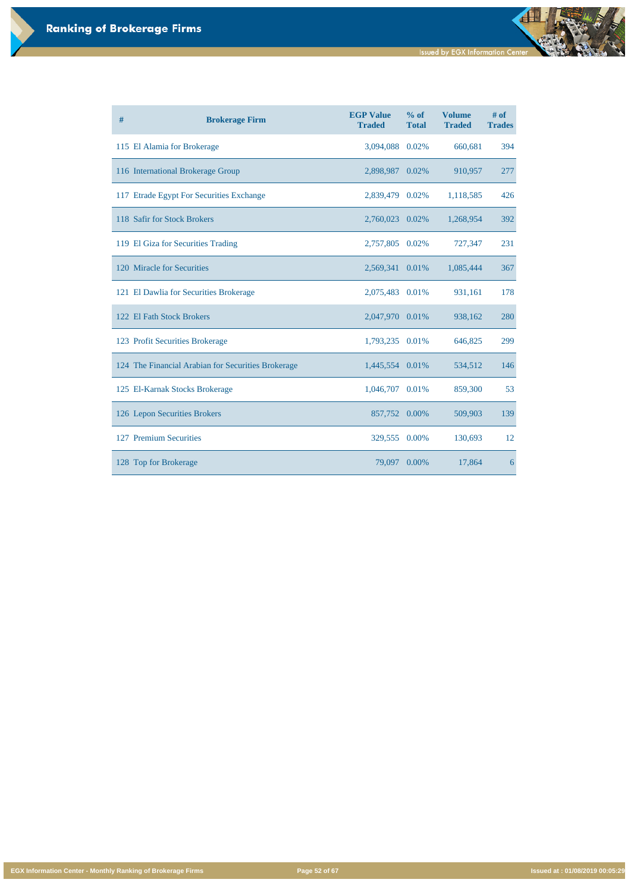đ

**EGX Information Center - Monthly Ranking of Brokerage Firms Page 52 of 67 Issued at : 01/08/2019 00:05:29**

| # | <b>Brokerage Firm</b>                              | <b>EGP Value</b><br><b>Traded</b> | % of<br><b>Total</b> | <b>Volume</b><br><b>Traded</b> | $#$ of<br><b>Trades</b> |
|---|----------------------------------------------------|-----------------------------------|----------------------|--------------------------------|-------------------------|
|   | 115 El Alamia for Brokerage                        | 3,094,088 0.02%                   |                      | 660,681                        | 394                     |
|   | 116 International Brokerage Group                  | 2,898,987 0.02%                   |                      | 910,957                        | 277                     |
|   | 117 Etrade Egypt For Securities Exchange           | 2,839,479 0.02%                   |                      | 1,118,585                      | 426                     |
|   | 118 Safir for Stock Brokers                        | 2,760,023 0.02%                   |                      | 1,268,954                      | 392                     |
|   | 119 El Giza for Securities Trading                 | 2,757,805 0.02%                   |                      | 727,347                        | 231                     |
|   | 120 Miracle for Securities                         | 2,569,341 0.01%                   |                      | 1,085,444                      | 367                     |
|   | 121 El Dawlia for Securities Brokerage             | 2,075,483 0.01%                   |                      | 931,161                        | 178                     |
|   | 122 El Fath Stock Brokers                          | 2,047,970 0.01%                   |                      | 938,162                        | 280                     |
|   | 123 Profit Securities Brokerage                    | 1,793,235 0.01%                   |                      | 646,825                        | 299                     |
|   | 124 The Financial Arabian for Securities Brokerage | 1,445,554 0.01%                   |                      | 534,512                        | 146                     |
|   | 125 El-Karnak Stocks Brokerage                     | 1,046,707 0.01%                   |                      | 859,300                        | 53                      |
|   | 126 Lepon Securities Brokers                       | 857,752 0.00%                     |                      | 509,903                        | 139                     |
|   | 127 Premium Securities                             | 329,555 0.00%                     |                      | 130,693                        | 12                      |
|   | 128 Top for Brokerage                              | 79,097 0.00%                      |                      | 17,864                         | 6                       |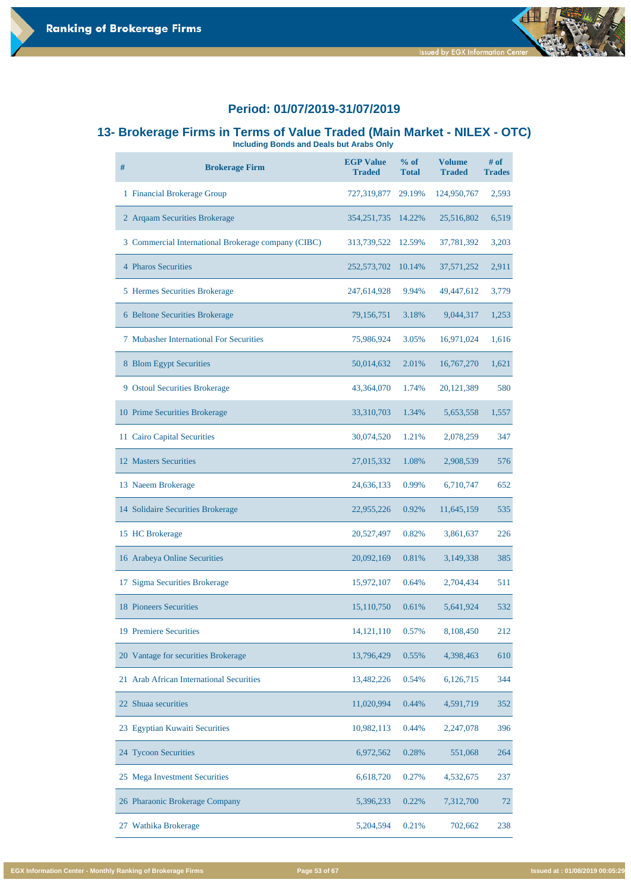# **13- Brokerage Firms in Terms of Value Traded (Main Market - NILEX - OTC)**

**Including Bonds and Deals but Arabs Only** 

| # | <b>Brokerage Firm</b>                               | <b>EGP Value</b><br><b>Traded</b> | $%$ of<br><b>Total</b> | <b>Volume</b><br><b>Traded</b> | # of<br><b>Trades</b> |
|---|-----------------------------------------------------|-----------------------------------|------------------------|--------------------------------|-----------------------|
|   | 1 Financial Brokerage Group                         | 727,319,877                       | 29.19%                 | 124,950,767                    | 2,593                 |
|   | 2 Arqaam Securities Brokerage                       | 354, 251, 735                     | 14.22%                 | 25,516,802                     | 6,519                 |
|   | 3 Commercial International Brokerage company (CIBC) | 313,739,522                       | 12.59%                 | 37,781,392                     | 3,203                 |
|   | 4 Pharos Securities                                 | 252,573,702                       | 10.14%                 | 37,571,252                     | 2,911                 |
|   | 5 Hermes Securities Brokerage                       | 247,614,928                       | 9.94%                  | 49,447,612                     | 3,779                 |
|   | 6 Beltone Securities Brokerage                      | 79,156,751                        | 3.18%                  | 9,044,317                      | 1,253                 |
|   | <b>7 Mubasher International For Securities</b>      | 75,986,924                        | 3.05%                  | 16,971,024                     | 1,616                 |
|   | 8 Blom Egypt Securities                             | 50,014,632                        | 2.01%                  | 16,767,270                     | 1,621                 |
|   | 9 Ostoul Securities Brokerage                       | 43,364,070                        | 1.74%                  | 20,121,389                     | 580                   |
|   | 10 Prime Securities Brokerage                       | 33,310,703                        | 1.34%                  | 5,653,558                      | 1,557                 |
|   | 11 Cairo Capital Securities                         | 30,074,520                        | 1.21%                  | 2,078,259                      | 347                   |
|   | 12 Masters Securities                               | 27,015,332                        | 1.08%                  | 2,908,539                      | 576                   |
|   | 13 Naeem Brokerage                                  | 24,636,133                        | 0.99%                  | 6,710,747                      | 652                   |
|   | 14 Solidaire Securities Brokerage                   | 22,955,226                        | 0.92%                  | 11,645,159                     | 535                   |
|   | 15 HC Brokerage                                     | 20,527,497                        | 0.82%                  | 3,861,637                      | 226                   |
|   | 16 Arabeya Online Securities                        | 20,092,169                        | 0.81%                  | 3,149,338                      | 385                   |
|   | 17 Sigma Securities Brokerage                       | 15,972,107                        | 0.64%                  | 2,704,434                      | 511                   |
|   | <b>18 Pioneers Securities</b>                       | 15,110,750                        | 0.61%                  | 5,641,924                      | 532                   |
|   | 19 Premiere Securities                              | 14, 121, 110                      | 0.57%                  | 8,108,450                      | 212                   |

| 20 Vantage for securities Brokerage                | 13,796,429 | 0.55% | 4,398,463 | 610 |
|----------------------------------------------------|------------|-------|-----------|-----|
| <b>Arab African International Securities</b><br>21 | 13,482,226 | 0.54% | 6,126,715 | 344 |
| 22 Shuaa securities                                | 11,020,994 | 0.44% | 4,591,719 | 352 |
| 23 Egyptian Kuwaiti Securities                     | 10,982,113 | 0.44% | 2,247,078 | 396 |
| 24 Tycoon Securities                               | 6,972,562  | 0.28% | 551,068   | 264 |
| 25 Mega Investment Securities                      | 6,618,720  | 0.27% | 4,532,675 | 237 |
| 26 Pharaonic Brokerage Company                     | 5,396,233  | 0.22% | 7,312,700 | 72  |
| Wathika Brokerage<br>27                            | 5,204,594  | 0.21% | 702,662   | 238 |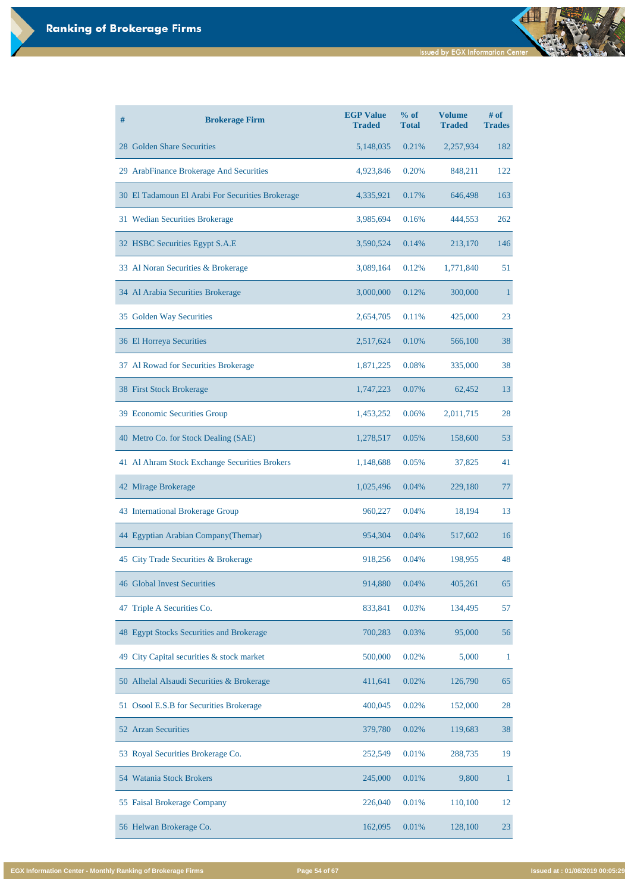| #  | <b>Brokerage Firm</b>                            | <b>EGP Value</b><br><b>Traded</b> | % of<br><b>Total</b> | <b>Volume</b><br><b>Traded</b> | # of<br><b>Trades</b> |
|----|--------------------------------------------------|-----------------------------------|----------------------|--------------------------------|-----------------------|
|    | 28 Golden Share Securities                       | 5,148,035                         | 0.21%                | 2,257,934                      | 182                   |
|    | 29 ArabFinance Brokerage And Securities          | 4,923,846                         | 0.20%                | 848,211                        | 122                   |
|    | 30 El Tadamoun El Arabi For Securities Brokerage | 4,335,921                         | 0.17%                | 646,498                        | 163                   |
|    | 31 Wedian Securities Brokerage                   | 3,985,694                         | 0.16%                | 444,553                        | 262                   |
|    | 32 HSBC Securities Egypt S.A.E                   | 3,590,524                         | 0.14%                | 213,170                        | 146                   |
|    | 33 Al Noran Securities & Brokerage               | 3,089,164                         | 0.12%                | 1,771,840                      | 51                    |
|    | 34 Al Arabia Securities Brokerage                | 3,000,000                         | 0.12%                | 300,000                        |                       |
|    | 35 Golden Way Securities                         | 2,654,705                         | 0.11%                | 425,000                        | 23                    |
|    | 36 El Horreya Securities                         | 2,517,624                         | 0.10%                | 566,100                        | 38                    |
|    | 37 Al Rowad for Securities Brokerage             | 1,871,225                         | 0.08%                | 335,000                        | 38                    |
|    | <b>38 First Stock Brokerage</b>                  | 1,747,223                         | 0.07%                | 62,452                         | 13                    |
|    | 39 Economic Securities Group                     | 1,453,252                         | 0.06%                | 2,011,715                      | 28                    |
|    | 40 Metro Co. for Stock Dealing (SAE)             | 1,278,517                         | 0.05%                | 158,600                        | 53                    |
|    | 41 Al Ahram Stock Exchange Securities Brokers    | 1,148,688                         | 0.05%                | 37,825                         | 41                    |
|    | 42 Mirage Brokerage                              | 1,025,496                         | 0.04%                | 229,180                        | 77                    |
|    | 43 International Brokerage Group                 | 960,227                           | 0.04%                | 18,194                         | 13                    |
|    | 44 Egyptian Arabian Company (Themar)             | 954,304                           | 0.04%                | 517,602                        | 16                    |
|    | 45 City Trade Securities & Brokerage             | 918,256                           | 0.04%                | 198,955                        | 48                    |
|    | <b>46 Global Invest Securities</b>               | 914,880                           | 0.04%                | 405,261                        | 65                    |
| 47 | Triple A Securities Co.                          | 833,841                           | 0.03%                | 134,495                        | 57                    |
|    | 48 Egypt Stocks Securities and Brokerage         | 700,283                           | 0.03%                | 95,000                         | 56                    |

| 49 City Capital securities & stock market | 500,000 | 0.02% | 5,000   |    |
|-------------------------------------------|---------|-------|---------|----|
| 50 Alhelal Alsaudi Securities & Brokerage | 411,641 | 0.02% | 126,790 | 65 |
| 51 Osool E.S.B for Securities Brokerage   | 400,045 | 0.02% | 152,000 | 28 |
| 52 Arzan Securities                       | 379,780 | 0.02% | 119,683 | 38 |
| 53 Royal Securities Brokerage Co.         | 252,549 | 0.01% | 288,735 | 19 |
| 54 Watania Stock Brokers                  | 245,000 | 0.01% | 9,800   |    |
| 55 Faisal Brokerage Company               | 226,040 | 0.01% | 110,100 | 12 |
| 56 Helwan Brokerage Co.                   | 162,095 | 0.01% | 128,100 | 23 |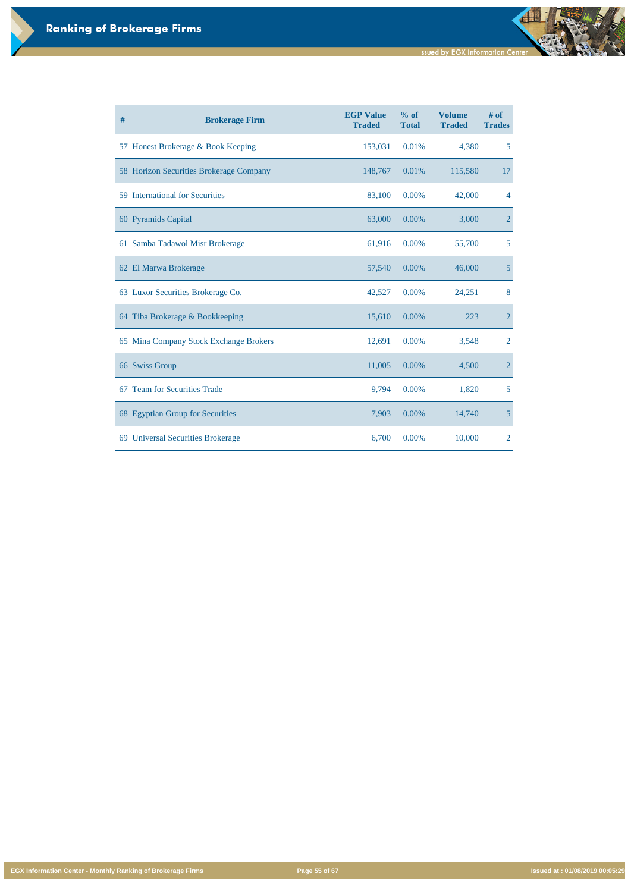đ

**EGX Information Center - Monthly Ranking of Brokerage Firms Page 55 of 67 Issued at : 01/08/2019 00:05:29**

| # | <b>Brokerage Firm</b>                   | <b>EGP Value</b><br><b>Traded</b> | % of<br><b>Total</b> | <b>Volume</b><br><b>Traded</b> | $#$ of<br><b>Trades</b> |
|---|-----------------------------------------|-----------------------------------|----------------------|--------------------------------|-------------------------|
|   | 57 Honest Brokerage & Book Keeping      | 153,031                           | 0.01%                | 4,380                          | 5                       |
|   | 58 Horizon Securities Brokerage Company | 148,767                           | 0.01%                | 115,580                        | 17                      |
|   | 59 International for Securities         | 83,100                            | 0.00%                | 42,000                         | $\overline{4}$          |
|   | 60 Pyramids Capital                     | 63,000                            | 0.00%                | 3,000                          | $\overline{2}$          |
|   | 61 Samba Tadawol Misr Brokerage         | 61,916                            | 0.00%                | 55,700                         | 5                       |
|   | 62 El Marwa Brokerage                   | 57,540                            | 0.00%                | 46,000                         | $5\overline{)}$         |
|   | 63 Luxor Securities Brokerage Co.       | 42,527                            | 0.00%                | 24,251                         | 8                       |
|   | 64 Tiba Brokerage & Bookkeeping         | 15,610                            | 0.00%                | 223                            | $\overline{2}$          |
|   | 65 Mina Company Stock Exchange Brokers  | 12,691                            | 0.00%                | 3,548                          | $\overline{2}$          |
|   | 66 Swiss Group                          | 11,005                            | 0.00%                | 4,500                          | $\overline{2}$          |
|   | 67 Team for Securities Trade            | 9,794                             | 0.00%                | 1,820                          | 5                       |
|   | 68 Egyptian Group for Securities        | 7,903                             | 0.00%                | 14,740                         | $\overline{5}$          |
|   | 69 Universal Securities Brokerage       | 6,700                             | 0.00%                | 10,000                         | $\overline{2}$          |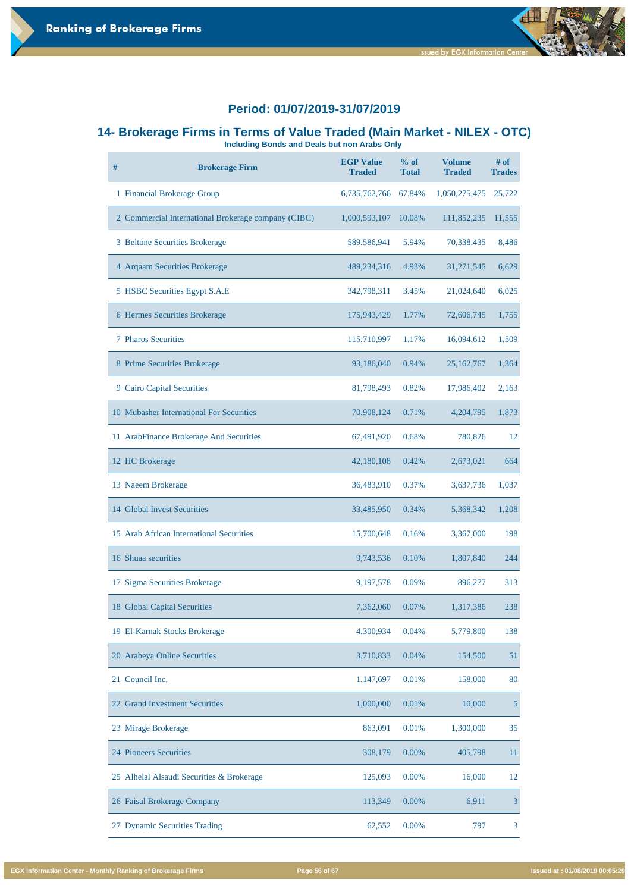### **14- Brokerage Firms in Terms of Value Traded (Main Market - NILEX - OTC)**

**Including Bonds and Deals but non Arabs Only** 

| #  | <b>Brokerage Firm</b>                               | <b>EGP Value</b><br><b>Traded</b> | $%$ of<br><b>Total</b> | <b>Volume</b><br><b>Traded</b> | # of<br><b>Trades</b> |
|----|-----------------------------------------------------|-----------------------------------|------------------------|--------------------------------|-----------------------|
|    | 1 Financial Brokerage Group                         | 6,735,762,766                     | 67.84%                 | 1,050,275,475                  | 25,722                |
|    | 2 Commercial International Brokerage company (CIBC) | 1,000,593,107                     | 10.08%                 | 111,852,235                    | 11,555                |
|    | 3 Beltone Securities Brokerage                      | 589,586,941                       | 5.94%                  | 70,338,435                     | 8,486                 |
|    | 4 Arqaam Securities Brokerage                       | 489,234,316                       | 4.93%                  | 31,271,545                     | 6,629                 |
|    | 5 HSBC Securities Egypt S.A.E                       | 342,798,311                       | 3.45%                  | 21,024,640                     | 6,025                 |
|    | 6 Hermes Securities Brokerage                       | 175,943,429                       | 1.77%                  | 72,606,745                     | 1,755                 |
|    | <b>7 Pharos Securities</b>                          | 115,710,997                       | 1.17%                  | 16,094,612                     | 1,509                 |
|    | 8 Prime Securities Brokerage                        | 93,186,040                        | 0.94%                  | 25,162,767                     | 1,364                 |
|    | 9 Cairo Capital Securities                          | 81,798,493                        | 0.82%                  | 17,986,402                     | 2,163                 |
|    | 10 Mubasher International For Securities            | 70,908,124                        | 0.71%                  | 4,204,795                      | 1,873                 |
|    | 11 ArabFinance Brokerage And Securities             | 67,491,920                        | 0.68%                  | 780,826                        | 12                    |
|    | 12 HC Brokerage                                     | 42,180,108                        | 0.42%                  | 2,673,021                      | 664                   |
|    | 13 Naeem Brokerage                                  | 36,483,910                        | 0.37%                  | 3,637,736                      | 1,037                 |
|    | 14 Global Invest Securities                         | 33,485,950                        | 0.34%                  | 5,368,342                      | 1,208                 |
|    | 15 Arab African International Securities            | 15,700,648                        | 0.16%                  | 3,367,000                      | 198                   |
|    | 16 Shuaa securities                                 | 9,743,536                         | 0.10%                  | 1,807,840                      | 244                   |
| 17 | <b>Sigma Securities Brokerage</b>                   | 9,197,578                         | 0.09%                  | 896,277                        | 313                   |
|    | 18 Global Capital Securities                        | 7,362,060                         | 0.07%                  | 1,317,386                      | 238                   |
|    | 19 El-Karnak Stocks Brokerage                       | 4,300,934                         | 0.04%                  | 5,779,800                      | 138                   |

| 20 Arabeya Online Securities              | 3,710,833 | 0.04%    | 154,500   | 51              |
|-------------------------------------------|-----------|----------|-----------|-----------------|
| 21 Council Inc.                           | 1,147,697 | 0.01%    | 158,000   | 80              |
| 22 Grand Investment Securities            | 1,000,000 | 0.01%    | 10,000    | $5\overline{)}$ |
| 23 Mirage Brokerage                       | 863,091   | 0.01%    | 1,300,000 | 35              |
| 24 Pioneers Securities                    | 308,179   | $0.00\%$ | 405,798   | 11              |
| 25 Alhelal Alsaudi Securities & Brokerage | 125,093   | $0.00\%$ | 16,000    | 12              |
| 26 Faisal Brokerage Company               | 113,349   | $0.00\%$ | 6,911     | $\overline{3}$  |
| 27 Dynamic Securities Trading             | 62,552    | $0.00\%$ | 797       | 3               |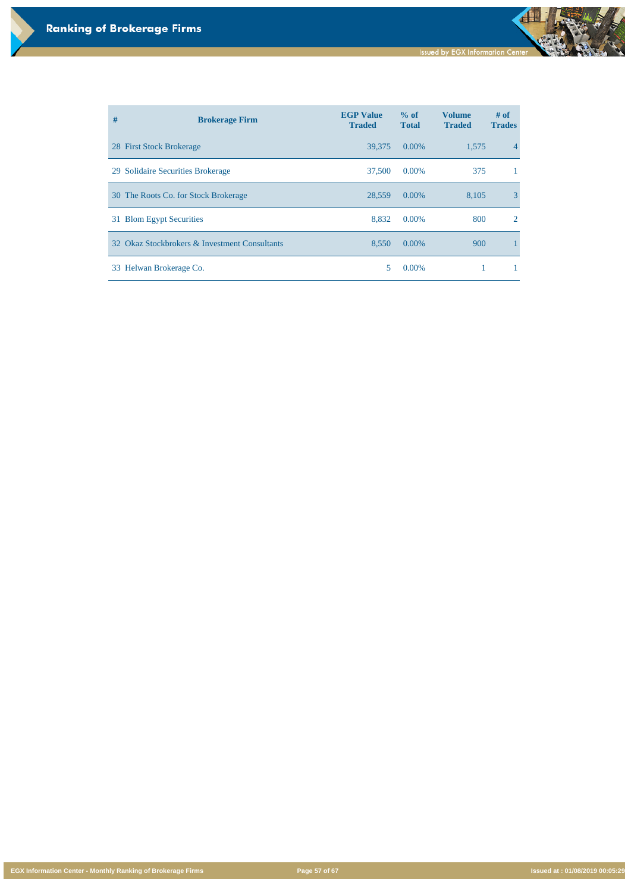đ

**EGX Information Center - Monthly Ranking of Brokerage Firms Page 57 of 67 Issued at : 01/08/2019 00:05:29**

| # | <b>Brokerage Firm</b>                         | <b>EGP Value</b><br><b>Traded</b> | % of<br><b>Total</b> | <b>Volume</b><br><b>Traded</b> | # of<br><b>Trades</b> |
|---|-----------------------------------------------|-----------------------------------|----------------------|--------------------------------|-----------------------|
|   | 28 First Stock Brokerage                      | 39,375                            | $0.00\%$             | 1,575                          |                       |
|   | 29 Solidaire Securities Brokerage             | 37,500                            | 0.00%                | 375                            |                       |
|   | 30 The Roots Co. for Stock Brokerage          | 28,559                            | $0.00\%$             | 8,105                          | 3                     |
|   | 31 Blom Egypt Securities                      | 8,832                             | $0.00\%$             | 800                            | 2                     |
|   | 32 Okaz Stockbrokers & Investment Consultants | 8,550                             | $0.00\%$             | 900                            |                       |
|   | 33 Helwan Brokerage Co.                       |                                   | $0.00\%$             |                                |                       |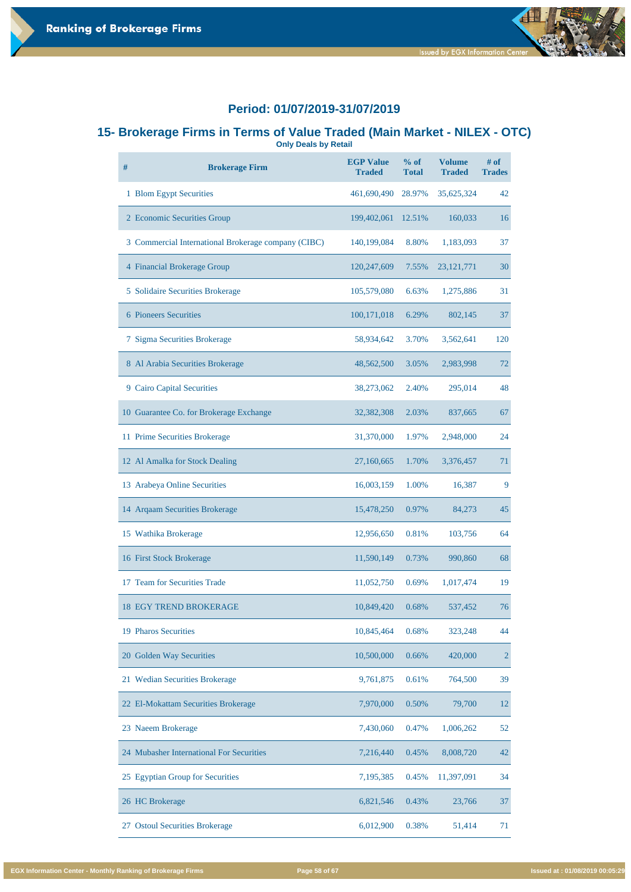

#### **15- Brokerage Firms in Terms of Value Traded (Main Market - NILEX - OTC) Only Deals by Retail**

| #  | <b>Brokerage Firm</b>                               | <b>EGP Value</b><br><b>Traded</b> | % of<br><b>Total</b> | <b>Volume</b><br><b>Traded</b> | # of<br><b>Trades</b> |
|----|-----------------------------------------------------|-----------------------------------|----------------------|--------------------------------|-----------------------|
|    | 1 Blom Egypt Securities                             | 461,690,490                       | 28.97%               | 35,625,324                     | 42                    |
|    | 2 Economic Securities Group                         | 199,402,061                       | 12.51%               | 160,033                        | 16                    |
|    | 3 Commercial International Brokerage company (CIBC) | 140,199,084                       | 8.80%                | 1,183,093                      | 37                    |
|    | 4 Financial Brokerage Group                         | 120,247,609                       | 7.55%                | 23, 121, 771                   | 30                    |
|    | 5 Solidaire Securities Brokerage                    | 105,579,080                       | 6.63%                | 1,275,886                      | 31                    |
|    | <b>6 Pioneers Securities</b>                        | 100,171,018                       | 6.29%                | 802,145                        | 37                    |
| 7  | <b>Sigma Securities Brokerage</b>                   | 58,934,642                        | 3.70%                | 3,562,641                      | 120                   |
|    | 8 Al Arabia Securities Brokerage                    | 48,562,500                        | 3.05%                | 2,983,998                      | 72                    |
|    | 9 Cairo Capital Securities                          | 38,273,062                        | 2.40%                | 295,014                        | 48                    |
|    | 10 Guarantee Co. for Brokerage Exchange             | 32,382,308                        | 2.03%                | 837,665                        | 67                    |
|    | 11 Prime Securities Brokerage                       | 31,370,000                        | 1.97%                | 2,948,000                      | 24                    |
|    | 12 Al Amalka for Stock Dealing                      | 27,160,665                        | 1.70%                | 3,376,457                      | 71                    |
|    | 13 Arabeya Online Securities                        | 16,003,159                        | 1.00%                | 16,387                         | 9                     |
|    | 14 Arqaam Securities Brokerage                      | 15,478,250                        | 0.97%                | 84,273                         | 45                    |
|    | 15 Wathika Brokerage                                | 12,956,650                        | 0.81%                | 103,756                        | 64                    |
|    | 16 First Stock Brokerage                            | 11,590,149                        | 0.73%                | 990,860                        | 68                    |
| 17 | <b>Team for Securities Trade</b>                    | 11,052,750                        | 0.69%                | 1,017,474                      | 19                    |
|    | <b>18 EGY TREND BROKERAGE</b>                       | 10,849,420                        | 0.68%                | 537,452                        | 76                    |
|    | 19 Pharos Securities                                | 10,845,464                        | 0.68%                | 323,248                        | 44                    |

| 20 Golden Way Securities                 | 10,500,000 | 0.66% | 420,000    | 2  |
|------------------------------------------|------------|-------|------------|----|
| 21 Wedian Securities Brokerage           | 9,761,875  | 0.61% | 764,500    | 39 |
| 22 El-Mokattam Securities Brokerage      | 7,970,000  | 0.50% | 79,700     | 12 |
| 23 Naeem Brokerage                       | 7,430,060  | 0.47% | 1,006,262  | 52 |
| 24 Mubasher International For Securities | 7,216,440  | 0.45% | 8,008,720  | 42 |
| 25 Egyptian Group for Securities         | 7,195,385  | 0.45% | 11,397,091 | 34 |
| 26 HC Brokerage                          | 6,821,546  | 0.43% | 23,766     | 37 |
| 27 Ostoul Securities Brokerage           | 6,012,900  | 0.38% | 51,414     | 71 |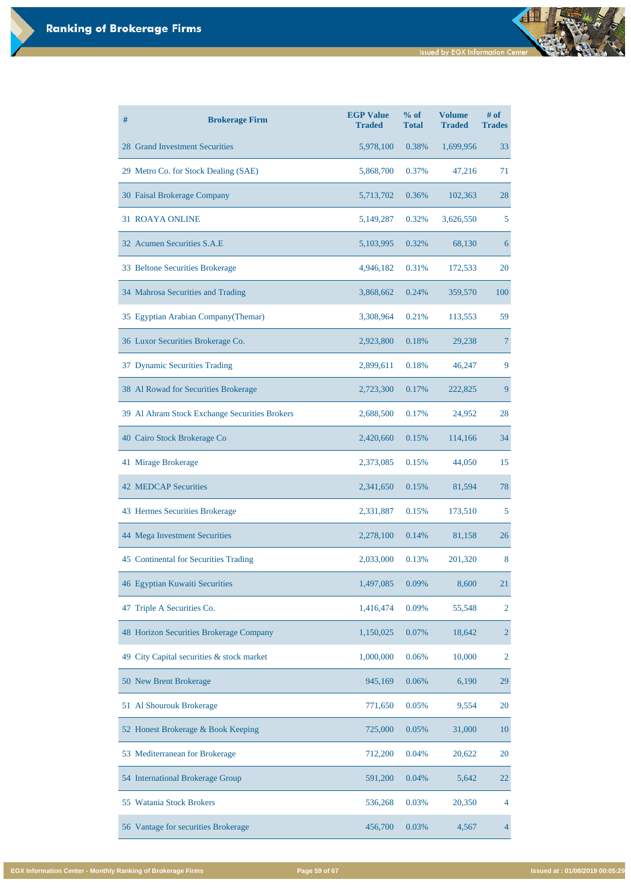| #  | <b>Brokerage Firm</b>                          | <b>EGP Value</b><br><b>Traded</b> | % of<br><b>Total</b> | <b>Volume</b><br><b>Traded</b> | # of<br><b>Trades</b> |
|----|------------------------------------------------|-----------------------------------|----------------------|--------------------------------|-----------------------|
|    | 28 Grand Investment Securities                 | 5,978,100                         | 0.38%                | 1,699,956                      | 33                    |
|    | 29 Metro Co. for Stock Dealing (SAE)           | 5,868,700                         | 0.37%                | 47,216                         | 71                    |
|    | 30 Faisal Brokerage Company                    | 5,713,702                         | 0.36%                | 102,363                        | 28                    |
|    | <b>31 ROAYA ONLINE</b>                         | 5,149,287                         | 0.32%                | 3,626,550                      | 5                     |
|    | 32 Acumen Securities S.A.E                     | 5,103,995                         | 0.32%                | 68,130                         | 6                     |
|    | 33 Beltone Securities Brokerage                | 4,946,182                         | 0.31%                | 172,533                        | 20                    |
|    | 34 Mahrosa Securities and Trading              | 3,868,662                         | 0.24%                | 359,570                        | 100                   |
|    | 35 Egyptian Arabian Company (Themar)           | 3,308,964                         | 0.21%                | 113,553                        | 59                    |
|    | 36 Luxor Securities Brokerage Co.              | 2,923,800                         | 0.18%                | 29,238                         |                       |
|    | 37 Dynamic Securities Trading                  | 2,899,611                         | 0.18%                | 46,247                         | 9                     |
|    | 38 Al Rowad for Securities Brokerage           | 2,723,300                         | 0.17%                | 222,825                        | 9                     |
|    | 39 Al Ahram Stock Exchange Securities Brokers  | 2,688,500                         | 0.17%                | 24,952                         | 28                    |
|    | 40 Cairo Stock Brokerage Co                    | 2,420,660                         | 0.15%                | 114,166                        | 34                    |
|    | 41 Mirage Brokerage                            | 2,373,085                         | 0.15%                | 44,050                         | 15                    |
|    | <b>42 MEDCAP Securities</b>                    | 2,341,650                         | 0.15%                | 81,594                         | 78                    |
|    | 43 Hermes Securities Brokerage                 | 2,331,887                         | 0.15%                | 173,510                        | 5                     |
|    | 44 Mega Investment Securities                  | 2,278,100                         | 0.14%                | 81,158                         | 26                    |
|    | 45 Continental for Securities Trading          | 2,033,000                         | 0.13%                | 201,320                        | 8                     |
|    | 46 Egyptian Kuwaiti Securities                 | 1,497,085                         | 0.09%                | 8,600                          | 21                    |
| 47 | Triple A Securities Co.                        | 1,416,474                         | 0.09%                | 55,548                         | 2                     |
|    | <b>48 Horizon Securities Brokerage Company</b> | 1,150,025                         | 0.07%                | 18,642                         | $\overline{2}$        |

| 49 City Capital securities & stock market | 1,000,000 | 0.06% | 10,000 | 2              |
|-------------------------------------------|-----------|-------|--------|----------------|
| 50 New Brent Brokerage                    | 945,169   | 0.06% | 6,190  | 29             |
| 51 Al Shourouk Brokerage                  | 771,650   | 0.05% | 9,554  | 20             |
| 52 Honest Brokerage & Book Keeping        | 725,000   | 0.05% | 31,000 | 10             |
| 53 Mediterranean for Brokerage            | 712,200   | 0.04% | 20,622 | 20             |
| 54 International Brokerage Group          | 591,200   | 0.04% | 5,642  | 22             |
| 55 Watania Stock Brokers                  | 536,268   | 0.03% | 20,350 | $\overline{4}$ |
| 56 Vantage for securities Brokerage       | 456,700   | 0.03% | 4,567  |                |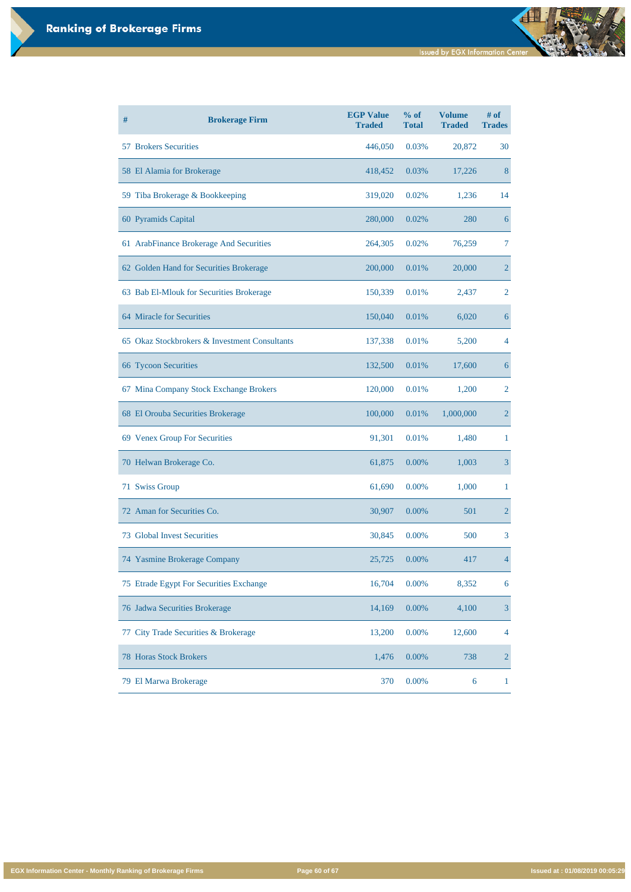| #  | <b>Brokerage Firm</b>                         | <b>EGP Value</b><br><b>Traded</b> | % of<br><b>Total</b> | <b>Volume</b><br><b>Traded</b> | # of<br><b>Trades</b> |
|----|-----------------------------------------------|-----------------------------------|----------------------|--------------------------------|-----------------------|
|    | <b>57 Brokers Securities</b>                  | 446,050                           | 0.03%                | 20,872                         | 30                    |
|    | 58 El Alamia for Brokerage                    | 418,452                           | 0.03%                | 17,226                         | 8                     |
|    | 59 Tiba Brokerage & Bookkeeping               | 319,020                           | 0.02%                | 1,236                          | 14                    |
|    | 60 Pyramids Capital                           | 280,000                           | 0.02%                | 280                            | 6                     |
|    | 61 ArabFinance Brokerage And Securities       | 264,305                           | 0.02%                | 76,259                         | 7                     |
|    | 62 Golden Hand for Securities Brokerage       | 200,000                           | 0.01%                | 20,000                         | $\overline{2}$        |
|    | 63 Bab El-Mlouk for Securities Brokerage      | 150,339                           | 0.01%                | 2,437                          | 2                     |
|    | 64 Miracle for Securities                     | 150,040                           | 0.01%                | 6,020                          | 6                     |
|    | 65 Okaz Stockbrokers & Investment Consultants | 137,338                           | 0.01%                | 5,200                          | 4                     |
|    | 66 Tycoon Securities                          | 132,500                           | 0.01%                | 17,600                         | 6                     |
|    | 67 Mina Company Stock Exchange Brokers        | 120,000                           | 0.01%                | 1,200                          | 2                     |
|    | 68 El Orouba Securities Brokerage             | 100,000                           | 0.01%                | 1,000,000                      | 2                     |
|    | 69 Venex Group For Securities                 | 91,301                            | 0.01%                | 1,480                          |                       |
|    | 70 Helwan Brokerage Co.                       | 61,875                            | 0.00%                | 1,003                          | 3                     |
|    | 71 Swiss Group                                | 61,690                            | 0.00%                | 1,000                          | 1                     |
|    | 72 Aman for Securities Co.                    | 30,907                            | 0.00%                | 501                            | $\overline{2}$        |
| 73 | <b>Global Invest Securities</b>               | 30,845                            | 0.00%                | 500                            | 3                     |
|    | 74 Yasmine Brokerage Company                  | 25,725                            | 0.00%                | 417                            | $\overline{4}$        |
|    | 75 Etrade Egypt For Securities Exchange       | 16,704                            | 0.00%                | 8,352                          | 6                     |
|    | 76 Jadwa Securities Brokerage                 | 14,169                            | 0.00%                | 4,100                          | 3                     |
| 77 | City Trade Securities & Brokerage             | 13,200                            | 0.00%                | 12,600                         | $\overline{4}$        |

| 78 Horas Stock Brokers | 1,476 | $0.00\%$ | 738 |  |
|------------------------|-------|----------|-----|--|
| 79 El Marwa Brokerage  | 370   | $0.00\%$ |     |  |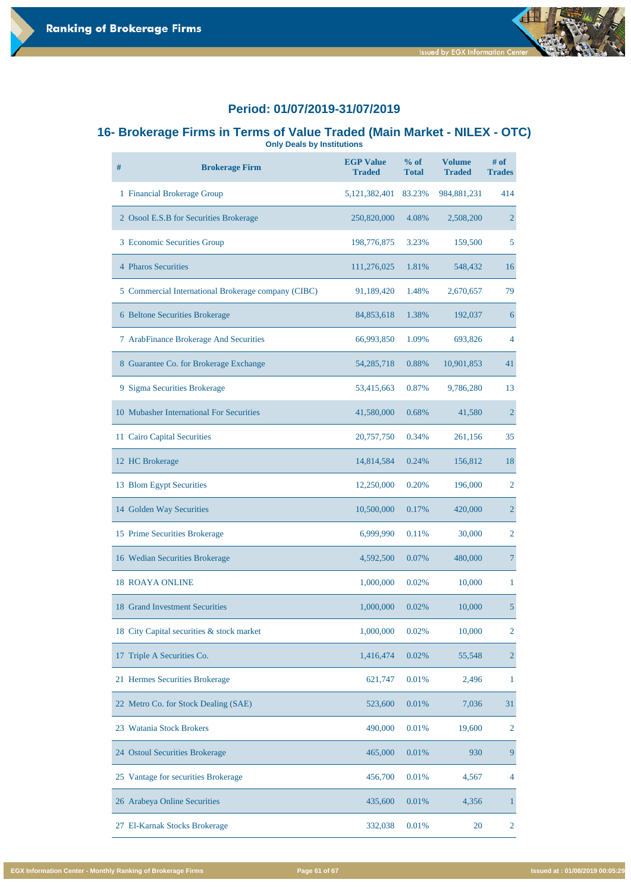**# Brokerage Firm EGP Value Traded % of Total Volume Traded # of Trades** 1 Financial Brokerage Group 5,121,382,401 83.23% 984,881,231 414 2 Osool E.S.B for Securities Brokerage 250,820,000 4.08% 2,508,200 2 3 Economic Securities Group 198,776,875 3.23% 159,500 5 4 Pharos Securities 111,276,025 1.81% 548,432 16 5 Commercial International Brokerage company (CIBC) 91,189,420 1.48% 2,670,657 79 6 Beltone Securities Brokerage 84,853,618 1.38% 192,037 6 7 ArabFinance Brokerage And Securities 66,993,850 1.09% 693,826 4 8 Guarantee Co. for Brokerage Exchange 54,285,718 0.88% 10,901,853 41 9 Sigma Securities Brokerage 53,415,663 0.87% 9,786,280 13 10 Mubasher International For Securities 41,580,000 0.68% 41,580 2 11 Cairo Capital Securities 20,757,750 0.34% 261,156 35 12 HC Brokerage 14,814,584 0.24% 156,812 18 13 Blom Egypt Securities 12,250,000 0.20% 196,000 2 14 Golden Way Securities 2010 10,500,000 0.17% 420,000 2 15 Prime Securities Brokerage 6,999,990 0.11% 30,000 2 16 Wedian Securities Brokerage 16 Median Securities Brokerage 1,592,500 0.07% 480,000 7 18 ROAYA ONLINE 1,000,000 0.02% 10,000 1 18 Grand Investment Securities 1,000,000 0.02% 10,000 5 18 City Capital securities & stock market 1,000,000 0.02% 10,000 2



#### **Period: 01/07/2019-31/07/2019**

#### **16- Brokerage Firms in Terms of Value Traded (Main Market - NILEX - OTC) Only Deals by Institutions**

| 17 Triple A Securities Co.           | 1,416,474 | 0.02% | 55,548 | $\overline{2}$ |
|--------------------------------------|-----------|-------|--------|----------------|
| 21 Hermes Securities Brokerage       | 621,747   | 0.01% | 2,496  |                |
| 22 Metro Co. for Stock Dealing (SAE) | 523,600   | 0.01% | 7,036  | 31             |
| 23 Watania Stock Brokers             | 490,000   | 0.01% | 19,600 | 2              |
| 24 Ostoul Securities Brokerage       | 465,000   | 0.01% | 930    | 9              |
| 25 Vantage for securities Brokerage  | 456,700   | 0.01% | 4,567  | $\overline{4}$ |
| 26 Arabeya Online Securities         | 435,600   | 0.01% | 4,356  |                |
| El-Karnak Stocks Brokerage<br>27     | 332,038   | 0.01% | 20     | 2              |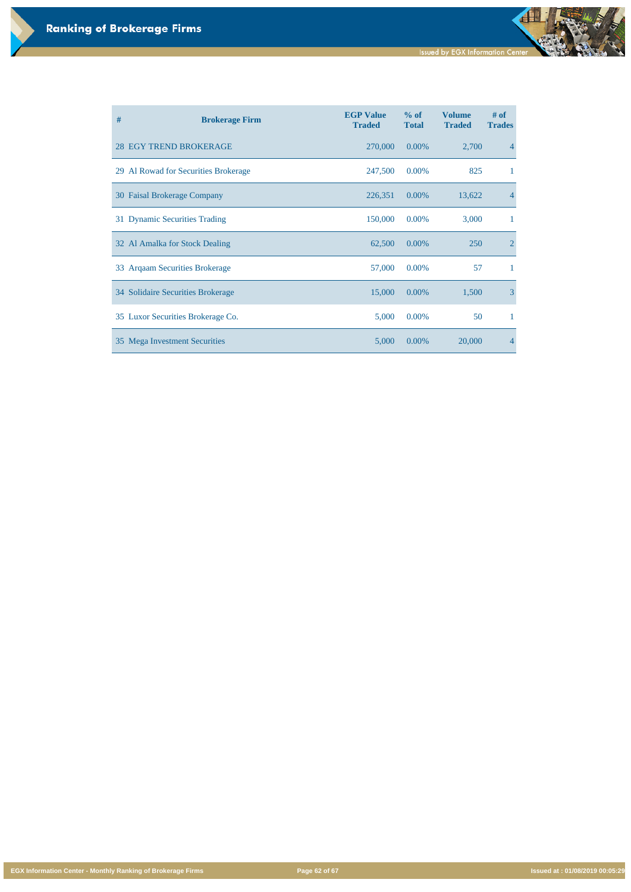đ

**EGX Information Center - Monthly Ranking of Brokerage Firms Page 62 of 67 Issued at : 01/08/2019 00:05:29**

| # | <b>Brokerage Firm</b>                | <b>EGP Value</b><br><b>Traded</b> | % of<br><b>Total</b> | <b>Volume</b><br><b>Traded</b> | # of<br><b>Trades</b> |
|---|--------------------------------------|-----------------------------------|----------------------|--------------------------------|-----------------------|
|   | <b>28 EGY TREND BROKERAGE</b>        | 270,000                           | 0.00%                | 2,700                          | $\overline{4}$        |
|   | 29 Al Rowad for Securities Brokerage | 247,500                           | 0.00%                | 825                            | 1                     |
|   | 30 Faisal Brokerage Company          | 226,351                           | 0.00%                | 13,622                         | 4                     |
|   | 31 Dynamic Securities Trading        | 150,000                           | 0.00%                | 3,000                          | 1                     |
|   | 32 Al Amalka for Stock Dealing       | 62,500                            | 0.00%                | 250                            | $\overline{2}$        |
|   | 33 Arqaam Securities Brokerage       | 57,000                            | 0.00%                | 57                             | 1                     |
|   | 34 Solidaire Securities Brokerage    | 15,000                            | 0.00%                | 1,500                          | $\overline{3}$        |
|   | 35 Luxor Securities Brokerage Co.    | 5,000                             | 0.00%                | 50                             | 1                     |
|   | 35 Mega Investment Securities        | 5,000                             | $0.00\%$             | 20,000                         | 4                     |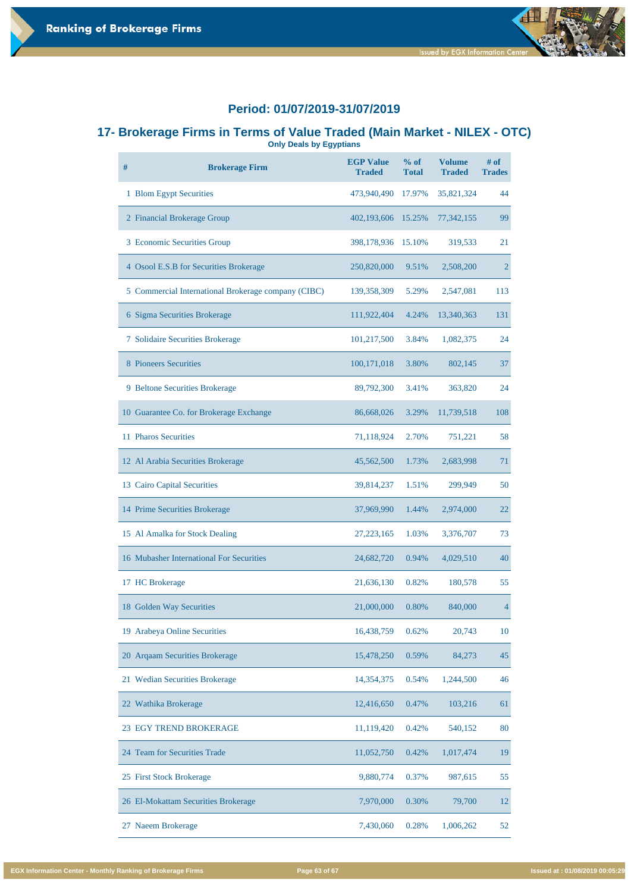

#### **17- Brokerage Firms in Terms of Value Traded (Main Market - NILEX - OTC) Only Deals by Egyptians**

| #  | <b>Brokerage Firm</b>                               | <b>EGP Value</b><br><b>Traded</b> | % of<br><b>Total</b> | <b>Volume</b><br><b>Traded</b> | $#$ of<br><b>Trades</b> |
|----|-----------------------------------------------------|-----------------------------------|----------------------|--------------------------------|-------------------------|
|    | 1 Blom Egypt Securities                             | 473,940,490                       | 17.97%               | 35,821,324                     | 44                      |
|    | 2 Financial Brokerage Group                         | 402,193,606                       | 15.25%               | 77, 342, 155                   | 99                      |
|    | 3 Economic Securities Group                         | 398,178,936                       | 15.10%               | 319,533                        | 21                      |
|    | 4 Osool E.S.B for Securities Brokerage              | 250,820,000                       | 9.51%                | 2,508,200                      | $\overline{2}$          |
|    | 5 Commercial International Brokerage company (CIBC) | 139,358,309                       | 5.29%                | 2,547,081                      | 113                     |
|    | 6 Sigma Securities Brokerage                        | 111,922,404                       | 4.24%                | 13,340,363                     | 131                     |
|    | <b>7 Solidaire Securities Brokerage</b>             | 101,217,500                       | 3.84%                | 1,082,375                      | 24                      |
|    | <b>8 Pioneers Securities</b>                        | 100,171,018                       | 3.80%                | 802,145                        | 37                      |
|    | 9 Beltone Securities Brokerage                      | 89,792,300                        | 3.41%                | 363,820                        | 24                      |
|    | 10 Guarantee Co. for Brokerage Exchange             | 86,668,026                        | 3.29%                | 11,739,518                     | 108                     |
|    | 11 Pharos Securities                                | 71,118,924                        | 2.70%                | 751,221                        | 58                      |
|    | 12 Al Arabia Securities Brokerage                   | 45,562,500                        | 1.73%                | 2,683,998                      | 71                      |
| 13 | <b>Cairo Capital Securities</b>                     | 39,814,237                        | 1.51%                | 299,949                        | 50                      |
|    | 14 Prime Securities Brokerage                       | 37,969,990                        | 1.44%                | 2,974,000                      | 22                      |
|    | 15 Al Amalka for Stock Dealing                      | 27, 223, 165                      | 1.03%                | 3,376,707                      | 73                      |
|    | 16 Mubasher International For Securities            | 24,682,720                        | 0.94%                | 4,029,510                      | 40                      |
|    | 17 HC Brokerage                                     | 21,636,130                        | 0.82%                | 180,578                        | 55                      |
|    | 18 Golden Way Securities                            | 21,000,000                        | 0.80%                | 840,000                        | $\overline{4}$          |
|    | 19 Arabeya Online Securities                        | 16,438,759                        | 0.62%                | 20,743                         | 10                      |

| 20 Argaam Securities Brokerage      | 15,478,250 | 0.59% | 84,273    | 45 |
|-------------------------------------|------------|-------|-----------|----|
| 21 Wedian Securities Brokerage      | 14,354,375 | 0.54% | 1,244,500 | 46 |
| 22 Wathika Brokerage                | 12,416,650 | 0.47% | 103,216   | 61 |
| <b>23 EGY TREND BROKERAGE</b>       | 11,119,420 | 0.42% | 540,152   | 80 |
| 24 Team for Securities Trade        | 11,052,750 | 0.42% | 1,017,474 | 19 |
| 25 First Stock Brokerage            | 9,880,774  | 0.37% | 987,615   | 55 |
| 26 El-Mokattam Securities Brokerage | 7,970,000  | 0.30% | 79,700    | 12 |
| 27 Naeem Brokerage                  | 7,430,060  | 0.28% | 1,006,262 | 52 |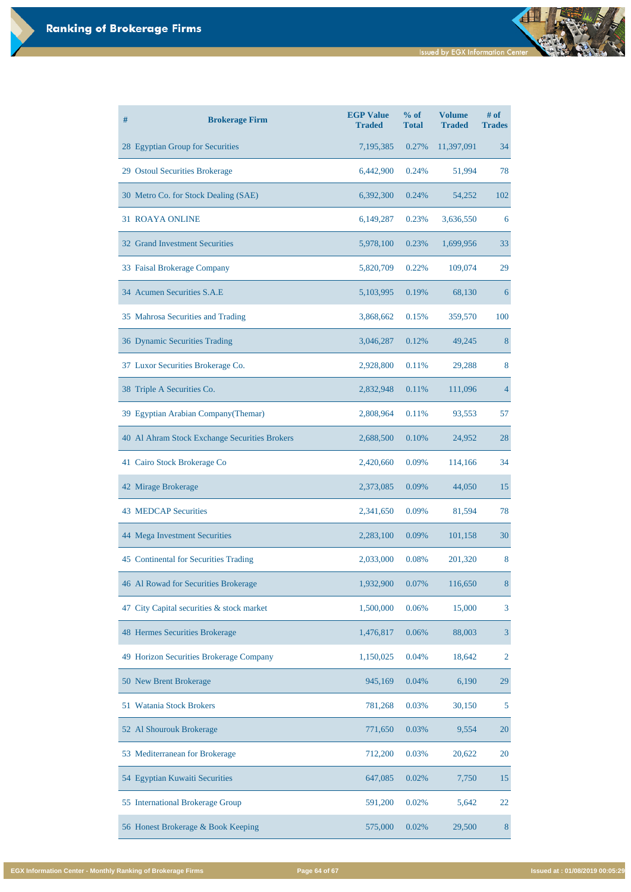| # | <b>Brokerage Firm</b>                         | <b>EGP Value</b><br><b>Traded</b> | % of<br><b>Total</b> | <b>Volume</b><br><b>Traded</b> | # of<br><b>Trades</b> |
|---|-----------------------------------------------|-----------------------------------|----------------------|--------------------------------|-----------------------|
|   | 28 Egyptian Group for Securities              | 7,195,385                         | 0.27%                | 11,397,091                     | 34                    |
|   | 29 Ostoul Securities Brokerage                | 6,442,900                         | 0.24%                | 51,994                         | 78                    |
|   | 30 Metro Co. for Stock Dealing (SAE)          | 6,392,300                         | 0.24%                | 54,252                         | 102                   |
|   | <b>31 ROAYA ONLINE</b>                        | 6,149,287                         | 0.23%                | 3,636,550                      | 6                     |
|   | <b>32 Grand Investment Securities</b>         | 5,978,100                         | 0.23%                | 1,699,956                      | 33                    |
|   | 33 Faisal Brokerage Company                   | 5,820,709                         | 0.22%                | 109,074                        | 29                    |
|   | 34 Acumen Securities S.A.E                    | 5,103,995                         | 0.19%                | 68,130                         | 6                     |
|   | 35 Mahrosa Securities and Trading             | 3,868,662                         | 0.15%                | 359,570                        | 100                   |
|   | 36 Dynamic Securities Trading                 | 3,046,287                         | 0.12%                | 49,245                         | 8                     |
|   | 37 Luxor Securities Brokerage Co.             | 2,928,800                         | 0.11%                | 29,288                         | 8                     |
|   | 38 Triple A Securities Co.                    | 2,832,948                         | 0.11%                | 111,096                        | 4                     |
|   | 39 Egyptian Arabian Company (Themar)          | 2,808,964                         | 0.11%                | 93,553                         | 57                    |
|   | 40 Al Ahram Stock Exchange Securities Brokers | 2,688,500                         | 0.10%                | 24,952                         | 28                    |
|   | 41 Cairo Stock Brokerage Co                   | 2,420,660                         | 0.09%                | 114,166                        | 34                    |
|   | 42 Mirage Brokerage                           | 2,373,085                         | 0.09%                | 44,050                         | 15                    |
|   | <b>43 MEDCAP Securities</b>                   | 2,341,650                         | 0.09%                | 81,594                         | 78                    |
|   | 44 Mega Investment Securities                 | 2,283,100                         | 0.09%                | 101,158                        | 30                    |
|   | 45 Continental for Securities Trading         | 2,033,000                         | 0.08%                | 201,320                        | 8                     |
|   | 46 Al Rowad for Securities Brokerage          | 1,932,900                         | 0.07%                | 116,650                        | 8                     |
|   | 47 City Capital securities & stock market     | 1,500,000                         | 0.06%                | 15,000                         | 3                     |
|   | 48 Hermes Securities Brokerage                | 1,476,817                         | 0.06%                | 88,003                         | $\overline{3}$        |

| 49 Horizon Securities Brokerage Company | 1,150,025 | 0.04% | 18,642 | $\overline{2}$ |
|-----------------------------------------|-----------|-------|--------|----------------|
| 50 New Brent Brokerage                  | 945,169   | 0.04% | 6,190  | 29             |
| 51 Watania Stock Brokers                | 781,268   | 0.03% | 30,150 | 5              |
| 52 Al Shourouk Brokerage                | 771,650   | 0.03% | 9,554  | 20             |
| 53 Mediterranean for Brokerage          | 712,200   | 0.03% | 20,622 | 20             |
| 54 Egyptian Kuwaiti Securities          | 647,085   | 0.02% | 7,750  | 15             |
| 55 International Brokerage Group        | 591,200   | 0.02% | 5,642  | 22             |
| 56 Honest Brokerage & Book Keeping      | 575,000   | 0.02% | 29,500 | 8              |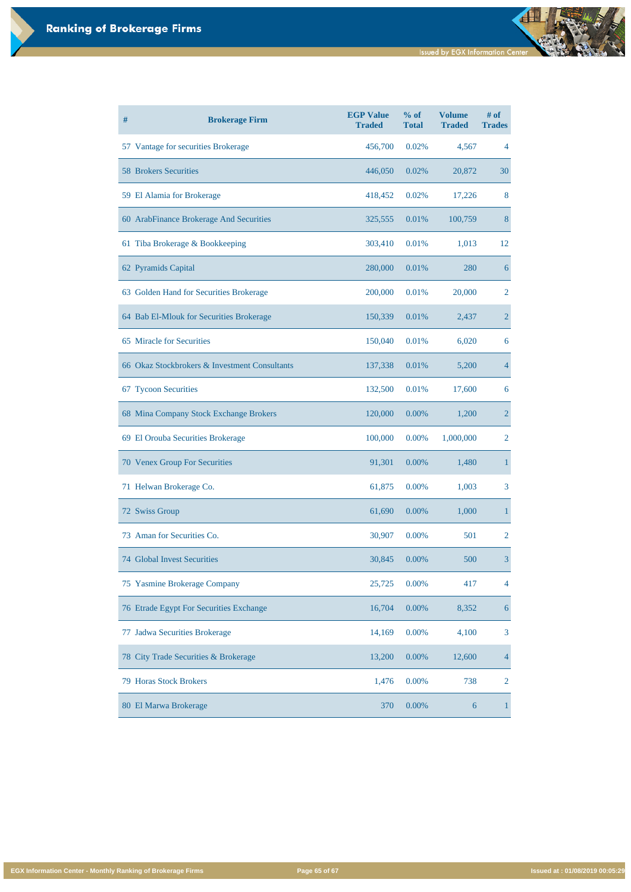| #  | <b>Brokerage Firm</b>                         | <b>EGP Value</b><br><b>Traded</b> | % of<br><b>Total</b> | <b>Volume</b><br><b>Traded</b> | # of<br><b>Trades</b> |
|----|-----------------------------------------------|-----------------------------------|----------------------|--------------------------------|-----------------------|
|    | 57 Vantage for securities Brokerage           | 456,700                           | 0.02%                | 4,567                          | $\overline{4}$        |
|    | <b>58 Brokers Securities</b>                  | 446,050                           | 0.02%                | 20,872                         | 30                    |
|    | 59 El Alamia for Brokerage                    | 418,452                           | 0.02%                | 17,226                         | 8                     |
|    | 60 ArabFinance Brokerage And Securities       | 325,555                           | 0.01%                | 100,759                        | 8                     |
|    | 61 Tiba Brokerage & Bookkeeping               | 303,410                           | 0.01%                | 1,013                          | 12                    |
|    | 62 Pyramids Capital                           | 280,000                           | 0.01%                | 280                            | 6                     |
|    | 63 Golden Hand for Securities Brokerage       | 200,000                           | 0.01%                | 20,000                         | 2                     |
|    | 64 Bab El-Mlouk for Securities Brokerage      | 150,339                           | 0.01%                | 2,437                          | $\overline{2}$        |
|    | 65 Miracle for Securities                     | 150,040                           | 0.01%                | 6,020                          | 6                     |
|    | 66 Okaz Stockbrokers & Investment Consultants | 137,338                           | 0.01%                | 5,200                          | 4                     |
|    | 67 Tycoon Securities                          | 132,500                           | 0.01%                | 17,600                         | 6                     |
|    | 68 Mina Company Stock Exchange Brokers        | 120,000                           | 0.00%                | 1,200                          | 2                     |
|    | 69 El Orouba Securities Brokerage             | 100,000                           | 0.00%                | 1,000,000                      | 2                     |
|    | 70 Venex Group For Securities                 | 91,301                            | 0.00%                | 1,480                          | 1                     |
|    | 71 Helwan Brokerage Co.                       | 61,875                            | 0.00%                | 1,003                          | 3                     |
|    | 72 Swiss Group                                | 61,690                            | 0.00%                | 1,000                          |                       |
|    | 73 Aman for Securities Co.                    | 30,907                            | 0.00%                | 501                            | 2                     |
|    | <b>74 Global Invest Securities</b>            | 30,845                            | 0.00%                | 500                            | 3                     |
|    | 75 Yasmine Brokerage Company                  | 25,725                            | 0.00%                | 417                            | 4                     |
|    | 76 Etrade Egypt For Securities Exchange       | 16,704                            | 0.00%                | 8,352                          | 6                     |
| 77 | <b>Jadwa Securities Brokerage</b>             | 14,169                            | 0.00%                | 4,100                          | 3                     |

| 78 City Trade Securities & Brokerage | 13,200 | $0.00\%$ | 12,600 | 4 |
|--------------------------------------|--------|----------|--------|---|
| 79 Horas Stock Brokers               | 1,476  | $0.00\%$ | 738    |   |
| 80 El Marwa Brokerage                | 370    | $0.00\%$ |        |   |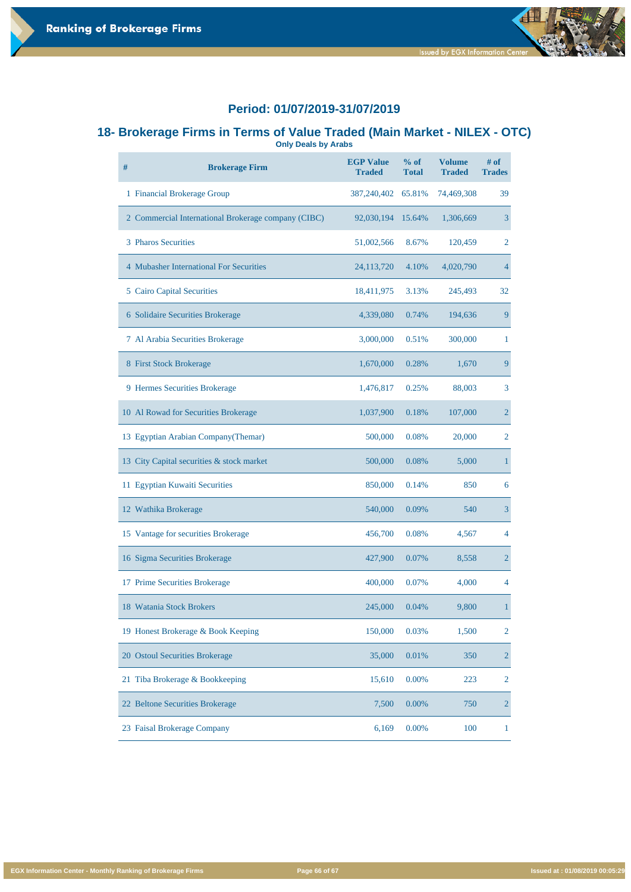

#### **18- Brokerage Firms in Terms of Value Traded (Main Market - NILEX - OTC) Only Deals by Arabs**

**# Brokerage Firm EGP Value Traded % of Total Volume Traded # of Trades** 1 Financial Brokerage Group 387,240,402 65.81% 74,469,308 39 2 Commercial International Brokerage company (CIBC) 92,030,194 15.64% 1,306,669 3 3 Pharos Securities 51,002,566 8.67% 120,459 2 4 Mubasher International For Securities 24,113,720 4.10% 4,020,790 4 5 Cairo Capital Securities 18,411,975 3.13% 245,493 32 6 Solidaire Securities Brokerage 4,339,080 0.74% 194,636 9 7 Al Arabia Securities Brokerage 3,000,000 0.51% 300,000 1 8 First Stock Brokerage 1,670,000 0.28% 1,670 9 9 Hermes Securities Brokerage 1,476,817 0.25% 88,003 3 10 Al Rowad for Securities Brokerage 1,037,900 0.18% 107,000 2 13 Egyptian Arabian Company(Themar) 500,000 0.08% 20,000 2 13 City Capital securities & stock market 500,000 0.08% 5,000 1 11 Egyptian Kuwaiti Securities 6850,000 0.14% 850 6 12 Wathika Brokerage 540,000 540,000 540 540 3 15 Vantage for securities Brokerage 456,700 0.08% 4,567 4 16 Sigma Securities Brokerage 2016 127,900 0.07% 8,558 2 17 Prime Securities Brokerage 400,000 0.07% 4,000 4 18 Watania Stock Brokers 245,000 0.04% 9,800 1

19 Honest Brokerage & Book Keeping 150,000 0.03% 1,500 2

| 20 Ostoul Securities Brokerage  | 35,000 | 0.01%    | 350 |  |
|---------------------------------|--------|----------|-----|--|
| 21 Tiba Brokerage & Bookkeeping | 15,610 | $0.00\%$ | 223 |  |
| 22 Beltone Securities Brokerage | 7,500  | $0.00\%$ | 750 |  |
| 23 Faisal Brokerage Company     | 6,169  | $0.00\%$ | 100 |  |